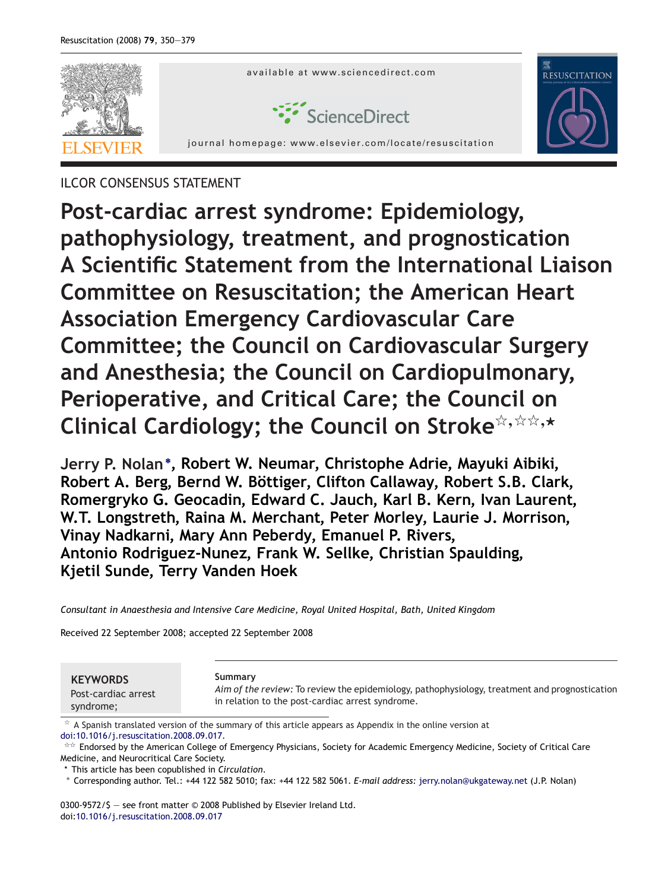

ILCOR CONSENSUS STATEMENT

**Post-cardiac arrest syndrome: Epidemiology, pathophysiology, treatment, and prognostication A Scientific Statement from the International Liaison Committee on Resuscitation; the American Heart Association Emergency Cardiovascular Care Committee; the Council on Cardiovascular Surgery and Anesthesia; the Council on Cardiopulmonary, Perioperative, and Critical Care; the Council on**  $\blacksquare$  Clinical Cardiology; the Council on Stroke $\stackrel{\star}{\mathbf{x}}, \stackrel{\star}{\mathbf{x}}$ 

**Jerry P. Nolan<sup>∗</sup> , Robert W. Neumar, Christophe Adrie, Mayuki Aibiki, Robert A. Berg, Bernd W. Böttiger, Clifton Callaway, Robert S.B. Clark, Romergryko G. Geocadin, Edward C. Jauch, Karl B. Kern, Ivan Laurent, W.T. Longstreth, Raina M. Merchant, Peter Morley, Laurie J. Morrison, Vinay Nadkarni, Mary Ann Peberdy, Emanuel P. Rivers, Antonio Rodriguez-Nunez, Frank W. Sellke, Christian Spaulding, Kjetil Sunde, Terry Vanden Hoek**

*Consultant in Anaesthesia and Intensive Care Medicine, Royal United Hospital, Bath, United Kingdom*

Received 22 September 2008; accepted 22 September 2008

| <b>KEYWORDS</b>     | Summary                                                                                       |
|---------------------|-----------------------------------------------------------------------------------------------|
| Post-cardiac arrest | Aim of the review: To review the epidemiology, pathophysiology, treatment and prognostication |
| syndrome;           | in relation to the post-cardiac arrest syndrome.                                              |

 $^{\star}$  A Spanish translated version of the summary of this article appears as Appendix in the online version at

[doi:10.1016/j.resuscitation.2008.09.017](http://dx.doi.org/10.1016/j.resuscitation.2008.09.017).

0300-9572/\$ — see front matter © 2008 Published by Elsevier Ireland Ltd. doi:[10.1016/j.resuscitation.2008.09.017](dx.doi.org/10.1016/j.resuscitation.2008.09.017)

<sup>-</sup>- Endorsed by the American College of Emergency Physicians, Society for Academic Emergency Medicine, Society of Critical Care Medicine, and Neurocritical Care Society.

<sup>-</sup> This article has been copublished in *Circulation*.

<sup>∗</sup> Corresponding author. Tel.: +44 122 582 5010; fax: +44 122 582 5061. *E-mail address:* [jerry.nolan@ukgateway.net](mailto:jerry.nolan@ukgateway.net) (J.P. Nolan)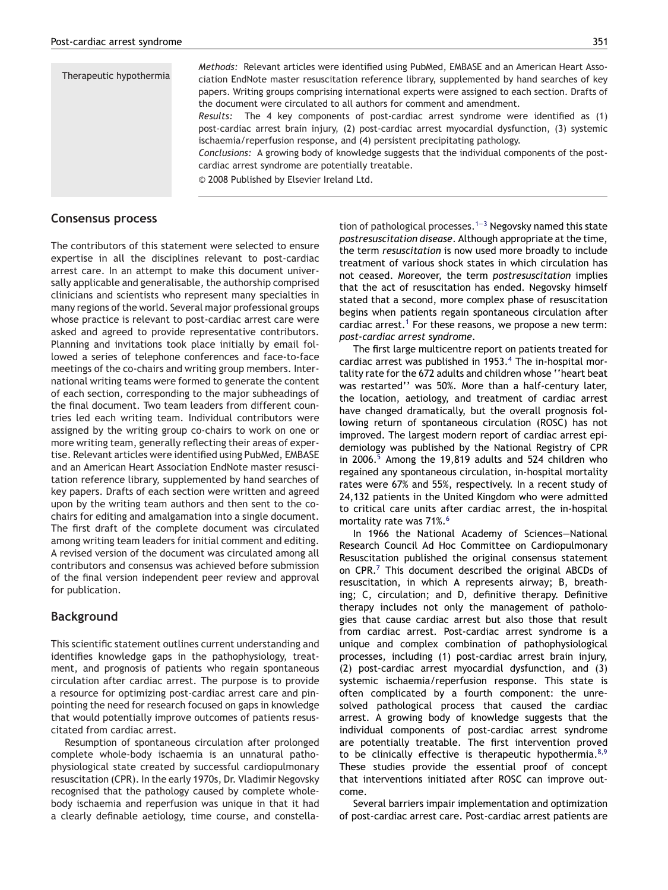

# **Consensus process**

The contributors of this statement were selected to ensure expertise in all the disciplines relevant to post-cardiac arrest care. In an attempt to make this document universally applicable and generalisable, the authorship comprised clinicians and scientists who represent many specialties in many regions of the world. Several major professional groups whose practice is relevant to post-cardiac arrest care were asked and agreed to provide representative contributors. Planning and invitations took place initially by email followed a series of telephone conferences and face-to-face meetings of the co-chairs and writing group members. International writing teams were formed to generate the content of each section, corresponding to the major subheadings of the final document. Two team leaders from different countries led each writing team. Individual contributors were assigned by the writing group co-chairs to work on one or more writing team, generally reflecting their areas of expertise. Relevant articles were identified using PubMed, EMBASE and an American Heart Association EndNote master resuscitation reference library, supplemented by hand searches of key papers. Drafts of each section were written and agreed upon by the writing team authors and then sent to the cochairs for editing and amalgamation into a single document. The first draft of the complete document was circulated among writing team leaders for initial comment and editing. A revised version of the document was circulated among all contributors and consensus was achieved before submission of the final version independent peer review and approval for publication.

# **Background**

This scientific statement outlines current understanding and identifies knowledge gaps in the pathophysiology, treatment, and prognosis of patients who regain spontaneous circulation after cardiac arrest. The purpose is to provide a resource for optimizing post-cardiac arrest care and pinpointing the need for research focused on gaps in knowledge that would potentially improve outcomes of patients resuscitated from cardiac arrest.

Resumption of spontaneous circulation after prolonged complete whole-body ischaemia is an unnatural pathophysiological state created by successful cardiopulmonary resuscitation (CPR). In the early 1970s, Dr. Vladimir Negovsky recognised that the pathology caused by complete wholebody ischaemia and reperfusion was unique in that it had a clearly definable aetiology, time course, and constellation of pathological processes. $1-3$  Negovsky named this state *postresuscitation disease*. Although appropriate at the time, the term *resuscitation* is now used more broadly to include treatment of various shock states in which circulation has not ceased. Moreover, the term *postresuscitation* implies that the act of resuscitation has ended. Negovsky himself stated that a second, more complex phase of resuscitation begins when patients regain spontaneous circulation after cardiac arrest.<sup>[1](#page-20-0)</sup> For these reasons, we propose a new term: *post-cardiac arrest syndrome*.

The first large multicentre report on patients treated for cardiac arrest was published in 1953.[4](#page-20-0) The in-hospital mortality rate for the 672 adults and children whose ''heart beat was restarted'' was 50%. More than a half-century later, the location, aetiology, and treatment of cardiac arrest have changed dramatically, but the overall prognosis following return of spontaneous circulation (ROSC) has not improved. The largest modern report of cardiac arrest epidemiology was published by the National Registry of CPR in 2006. $5$  Among the 19,819 adults and 524 children who regained any spontaneous circulation, in-hospital mortality rates were 67% and 55%, respectively. In a recent study of 24,132 patients in the United Kingdom who were admitted to critical care units after cardiac arrest, the in-hospital mortality rate was 71%.<sup>[6](#page-20-0)</sup>

In 1966 the National Academy of Sciences—National Research Council Ad Hoc Committee on Cardiopulmonary Resuscitation published the original consensus statement on CPR.[7](#page-20-0) This document described the original ABCDs of resuscitation, in which A represents airway; B, breathing; C, circulation; and D, definitive therapy. Definitive therapy includes not only the management of pathologies that cause cardiac arrest but also those that result from cardiac arrest. Post-cardiac arrest syndrome is a unique and complex combination of pathophysiological processes, including (1) post-cardiac arrest brain injury, (2) post-cardiac arrest myocardial dysfunction, and (3) systemic ischaemia/reperfusion response. This state is often complicated by a fourth component: the unresolved pathological process that caused the cardiac arrest. A growing body of knowledge suggests that the individual components of post-cardiac arrest syndrome are potentially treatable. The first intervention proved to be clinically effective is therapeutic hypothermia.<sup>[8,9](#page-20-0)</sup> These studies provide the essential proof of concept that interventions initiated after ROSC can improve outcome.

Several barriers impair implementation and optimization of post-cardiac arrest care. Post-cardiac arrest patients are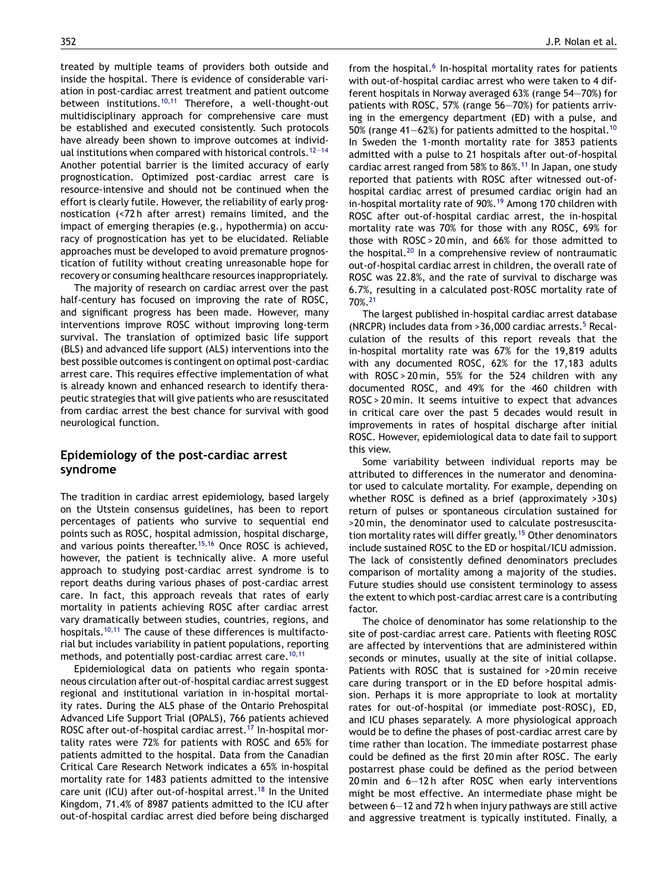treated by multiple teams of providers both outside and inside the hospital. There is evidence of considerable variation in post-cardiac arrest treatment and patient outcome between institutions.<sup>[10,11](#page-20-0)</sup> Therefore, a well-thought-out multidisciplinary approach for comprehensive care must be established and executed consistently. Such protocols have already been shown to improve outcomes at individual institutions when compared with historical controls.<sup>12-14</sup> Another potential barrier is the limited accuracy of early prognostication. Optimized post-cardiac arrest care is resource-intensive and should not be continued when the effort is clearly futile. However, the reliability of early prognostication (<72 h after arrest) remains limited, and the impact of emerging therapies (e.g., hypothermia) on accuracy of prognostication has yet to be elucidated. Reliable approaches must be developed to avoid premature prognostication of futility without creating unreasonable hope for recovery or consuming healthcare resources inappropriately.

The majority of research on cardiac arrest over the past half-century has focused on improving the rate of ROSC, and significant progress has been made. However, many interventions improve ROSC without improving long-term survival. The translation of optimized basic life support (BLS) and advanced life support (ALS) interventions into the best possible outcomes is contingent on optimal post-cardiac arrest care. This requires effective implementation of what is already known and enhanced research to identify therapeutic strategies that will give patients who are resuscitated from cardiac arrest the best chance for survival with good neurological function.

# **Epidemiology of the post-cardiac arrest syndrome**

The tradition in cardiac arrest epidemiology, based largely on the Utstein consensus guidelines, has been to report percentages of patients who survive to sequential end points such as ROSC, hospital admission, hospital discharge, and various points thereafter.<sup>[15,16](#page-20-0)</sup> Once ROSC is achieved, however, the patient is technically alive. A more useful approach to studying post-cardiac arrest syndrome is to report deaths during various phases of post-cardiac arrest care. In fact, this approach reveals that rates of early mortality in patients achieving ROSC after cardiac arrest vary dramatically between studies, countries, regions, and hospitals.<sup>[10,11](#page-20-0)</sup> The cause of these differences is multifactorial but includes variability in patient populations, reporting methods, and potentially post-cardiac arrest care.<sup>[10,11](#page-20-0)</sup>

Epidemiological data on patients who regain spontaneous circulation after out-of-hospital cardiac arrest suggest regional and institutional variation in in-hospital mortality rates. During the ALS phase of the Ontario Prehospital Advanced Life Support Trial (OPALS), 766 patients achieved ROSC after out-of-hospital cardiac arrest.<sup>[17](#page-20-0)</sup> In-hospital mortality rates were 72% for patients with ROSC and 65% for patients admitted to the hospital. Data from the Canadian Critical Care Research Network indicates a 65% in-hospital mortality rate for 1483 patients admitted to the intensive care unit (ICU) after out-of-hospital arrest.<sup>[18](#page-20-0)</sup> In the United Kingdom, 71.4% of 8987 patients admitted to the ICU after out-of-hospital cardiac arrest died before being discharged

from the hospital. $6$  In-hospital mortality rates for patients with out-of-hospital cardiac arrest who were taken to 4 different hospitals in Norway averaged 63% (range 54—70%) for patients with ROSC, 57% (range 56—70%) for patients arriving in the emergency department (ED) with a pulse, and 50% (range 41 $-62$ %) for patients admitted to the hospital.<sup>[10](#page-20-0)</sup> In Sweden the 1-month mortality rate for 3853 patients admitted with a pulse to 21 hospitals after out-of-hospital cardiac arrest ranged from 58% to 86%.<sup>[11](#page-20-0)</sup> In Japan, one study reported that patients with ROSC after witnessed out-ofhospital cardiac arrest of presumed cardiac origin had an in-hospital mortality rate of 90%.<sup>[19](#page-20-0)</sup> Among 170 children with ROSC after out-of-hospital cardiac arrest, the in-hospital mortality rate was 70% for those with any ROSC, 69% for those with ROSC > 20 min, and 66% for those admitted to the hospital. $20$  In a comprehensive review of nontraumatic out-of-hospital cardiac arrest in children, the overall rate of ROSC was 22.8%, and the rate of survival to discharge was 6.7%, resulting in a calculated post-ROSC mortality rate of  $70\%$ .<sup>[21](#page-20-0)</sup>

The largest published in-hospital cardiac arrest database (NRCPR) includes data from >36,000 cardiac arrests.<sup>5</sup> [R](#page-20-0)ecalculation of the results of this report reveals that the in-hospital mortality rate was 67% for the 19,819 adults with any documented ROSC, 62% for the 17,183 adults with ROSC > 20 min, 55% for the 524 children with any documented ROSC, and 49% for the 460 children with ROSC > 20 min. It seems intuitive to expect that advances in critical care over the past 5 decades would result in improvements in rates of hospital discharge after initial ROSC. However, epidemiological data to date fail to support this view.

Some variability between individual reports may be attributed to differences in the numerator and denominator used to calculate mortality. For example, depending on whether ROSC is defined as a brief (approximately >30 s) return of pulses or spontaneous circulation sustained for >20 min, the denominator used to calculate postresuscitation mortality rates will differ greatly.[15](#page-20-0) Other denominators include sustained ROSC to the ED or hospital/ICU admission. The lack of consistently defined denominators precludes comparison of mortality among a majority of the studies. Future studies should use consistent terminology to assess the extent to which post-cardiac arrest care is a contributing factor.

The choice of denominator has some relationship to the site of post-cardiac arrest care. Patients with fleeting ROSC are affected by interventions that are administered within seconds or minutes, usually at the site of initial collapse. Patients with ROSC that is sustained for >20 min receive care during transport or in the ED before hospital admission. Perhaps it is more appropriate to look at mortality rates for out-of-hospital (or immediate post-ROSC), ED, and ICU phases separately. A more physiological approach would be to define the phases of post-cardiac arrest care by time rather than location. The immediate postarrest phase could be defined as the first 20 min after ROSC. The early postarrest phase could be defined as the period between 20 min and 6—12 h after ROSC when early interventions might be most effective. An intermediate phase might be between 6—12 and 72 h when injury pathways are still active and aggressive treatment is typically instituted. Finally, a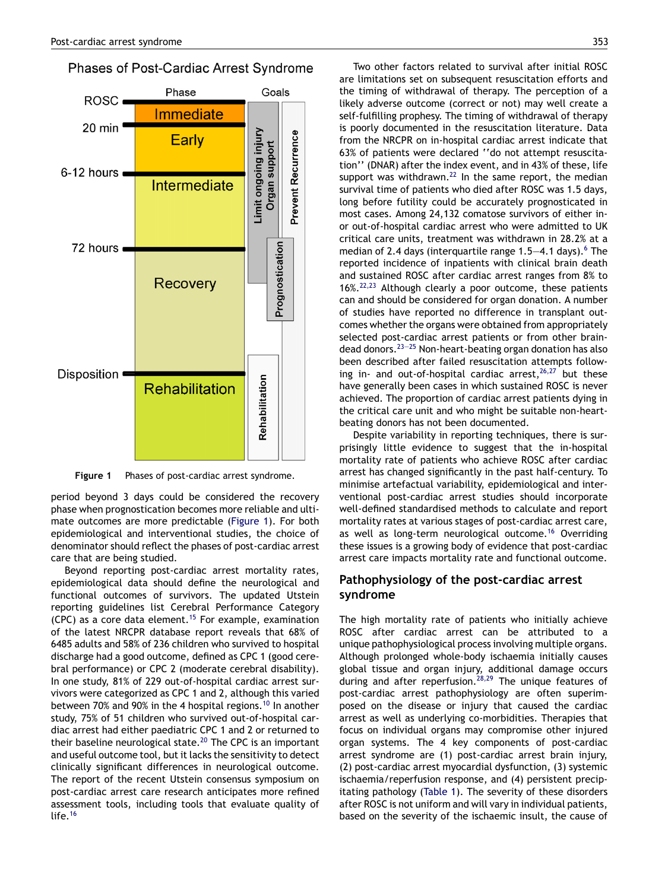

# **Phases of Post-Cardiac Arrest Syndrome**

**Figure 1** Phases of post-cardiac arrest syndrome.

period beyond 3 days could be considered the recovery phase when prognostication becomes more reliable and ultimate outcomes are more predictable (Figure 1). For both epidemiological and interventional studies, the choice of denominator should reflect the phases of post-cardiac arrest care that are being studied.

Beyond reporting post-cardiac arrest mortality rates, epidemiological data should define the neurological and functional outcomes of survivors. The updated Utstein reporting guidelines list Cerebral Performance Category (CPC) as a core data element.[15](#page-20-0) For example, examination of the latest NRCPR database report reveals that 68% of 6485 adults and 58% of 236 children who survived to hospital discharge had a good outcome, defined as CPC 1 (good cerebral performance) or CPC 2 (moderate cerebral disability). In one study, 81% of 229 out-of-hospital cardiac arrest survivors were categorized as CPC 1 and 2, although this varied between 70% and 90% in the 4 hospital regions.<sup>[10](#page-20-0)</sup> In another study, 75% of 51 children who survived out-of-hospital cardiac arrest had either paediatric CPC 1 and 2 or returned to their baseline neurological state. $20$  The CPC is an important and useful outcome tool, but it lacks the sensitivity to detect clinically significant differences in neurological outcome. The report of the recent Utstein consensus symposium on post-cardiac arrest care research anticipates more refined assessment tools, including tools that evaluate quality of life.[16](#page-20-0)

Two other factors related to survival after initial ROSC are limitations set on subsequent resuscitation efforts and the timing of withdrawal of therapy. The perception of a likely adverse outcome (correct or not) may well create a self-fulfilling prophesy. The timing of withdrawal of therapy is poorly documented in the resuscitation literature. Data from the NRCPR on in-hospital cardiac arrest indicate that 63% of patients were declared ''do not attempt resuscitation'' (DNAR) after the index event, and in 43% of these, life support was withdrawn.<sup>[22](#page-20-0)</sup> In the same report, the median survival time of patients who died after ROSC was 1.5 days, long before futility could be accurately prognosticated in most cases. Among 24,132 comatose survivors of either inor out-of-hospital cardiac arrest who were admitted to UK critical care units, treatment was withdrawn in 28.2% at a median of 2.4 days (interquartile range  $1.5-4.1$  days).<sup>6</sup> [T](#page-20-0)he reported incidence of inpatients with clinical brain death and sustained ROSC after cardiac arrest ranges from 8% to  $16\%,^{22,23}$  $16\%,^{22,23}$  $16\%,^{22,23}$  Although clearly a poor outcome, these patients can and should be considered for organ donation. A number of studies have reported no difference in transplant outcomes whether the organs were obtained from appropriately selected post-cardiac arrest patients or from other braindead donors.[23—25](#page-20-0) Non-heart-beating organ donation has also been described after failed resuscitation attempts following in- and out-of-hospital cardiac arrest,  $26,27$  but these have generally been cases in which sustained ROSC is never achieved. The proportion of cardiac arrest patients dying in the critical care unit and who might be suitable non-heartbeating donors has not been documented.

Despite variability in reporting techniques, there is surprisingly little evidence to suggest that the in-hospital mortality rate of patients who achieve ROSC after cardiac arrest has changed significantly in the past half-century. To minimise artefactual variability, epidemiological and interventional post-cardiac arrest studies should incorporate well-defined standardised methods to calculate and report mortality rates at various stages of post-cardiac arrest care, as well as long-term neurological outcome.[16](#page-20-0) Overriding these issues is a growing body of evidence that post-cardiac arrest care impacts mortality rate and functional outcome.

# **Pathophysiology of the post-cardiac arrest syndrome**

The high mortality rate of patients who initially achieve ROSC after cardiac arrest can be attributed to a unique pathophysiological process involving multiple organs. Although prolonged whole-body ischaemia initially causes global tissue and organ injury, additional damage occurs during and after reperfusion.<sup>[28,29](#page-20-0)</sup> The unique features of post-cardiac arrest pathophysiology are often superimposed on the disease or injury that caused the cardiac arrest as well as underlying co-morbidities. Therapies that focus on individual organs may compromise other injured organ systems. The 4 key components of post-cardiac arrest syndrome are (1) post-cardiac arrest brain injury, (2) post-cardiac arrest myocardial dysfunction, (3) systemic ischaemia/reperfusion response, and (4) persistent precipitating pathology ([Table 1\).](#page-4-0) The severity of these disorders after ROSC is not uniform and will vary in individual patients, based on the severity of the ischaemic insult, the cause of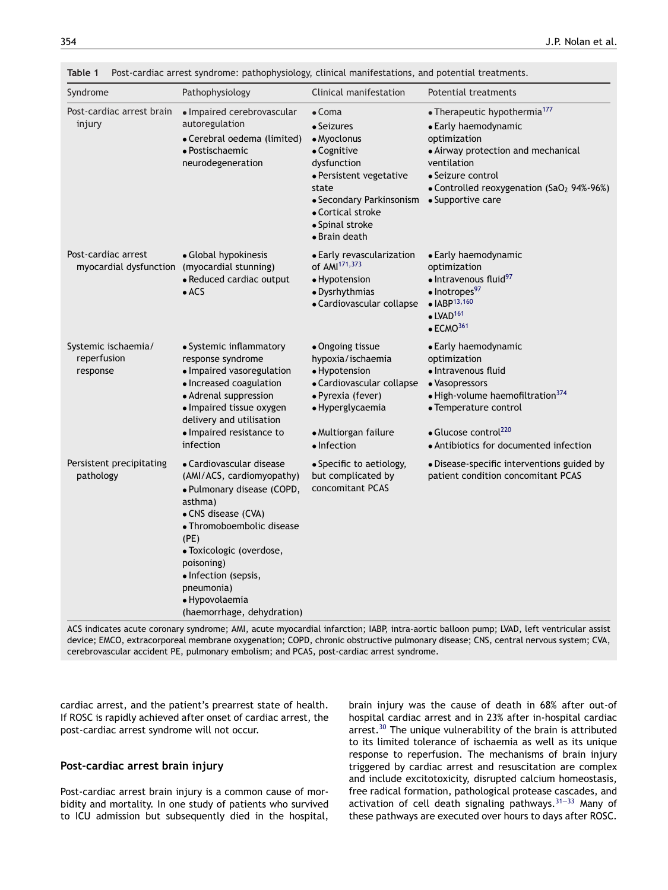| Syndrome                                                            | Pathophysiology                                                                                                                                                                                                                                                                            | Clinical manifestation                                                                                                                                                                             | Potential treatments                                                                                                                                                                                                                         |
|---------------------------------------------------------------------|--------------------------------------------------------------------------------------------------------------------------------------------------------------------------------------------------------------------------------------------------------------------------------------------|----------------------------------------------------------------------------------------------------------------------------------------------------------------------------------------------------|----------------------------------------------------------------------------------------------------------------------------------------------------------------------------------------------------------------------------------------------|
| Post-cardiac arrest brain<br>injury                                 | · Impaired cerebrovascular<br>autoregulation<br>• Cerebral oedema (limited)<br>• Postischaemic<br>neurodegeneration                                                                                                                                                                        | $\bullet$ Coma<br>• Seizures<br>• Myoclonus<br>• Cognitive<br>dysfunction<br>· Persistent vegetative<br>state<br>• Secondary Parkinsonism<br>• Cortical stroke<br>• Spinal stroke<br>• Brain death | • Therapeutic hypothermia <sup>177</sup><br>• Early haemodynamic<br>optimization<br>• Airway protection and mechanical<br>ventilation<br>• Seizure control<br>• Controlled reoxygenation (SaO <sub>2</sub> 94%-96%)<br>• Supportive care     |
| Post-cardiac arrest<br>myocardial dysfunction (myocardial stunning) | • Global hypokinesis<br>• Reduced cardiac output<br>$\bullet$ ACS                                                                                                                                                                                                                          | • Early revascularization<br>of AMI <sup>171,373</sup><br>• Hypotension<br>· Dysrhythmias<br>• Cardiovascular collapse                                                                             | $\bullet$ Early haemodynamic<br>optimization<br>• Intravenous fluid <sup>97</sup><br>· Inotropes97<br>$\bullet$ IABP <sup>13,160</sup><br>$\bullet$ LVAD <sup>161</sup><br>$\bullet$ ECMO $^{361}$                                           |
| Systemic ischaemia/<br>reperfusion<br>response                      | • Systemic inflammatory<br>response syndrome<br>· Impaired vasoregulation<br>• Increased coagulation<br>• Adrenal suppression<br>• Impaired tissue oxygen<br>delivery and utilisation<br>· Impaired resistance to<br>infection                                                             | • Ongoing tissue<br>hypoxia/ischaemia<br>• Hypotension<br>• Cardiovascular collapse<br>· Pyrexia (fever)<br>· Hyperglycaemia<br>· Multiorgan failure<br>$\bullet$ Infection                        | $\bullet$ Early haemodynamic<br>optimization<br>· Intravenous fluid<br>· Vasopressors<br>• High-volume haemofiltration <sup>374</sup><br>• Temperature control<br>· Glucose control <sup>220</sup><br>• Antibiotics for documented infection |
| Persistent precipitating<br>pathology                               | • Cardiovascular disease<br>(AMI/ACS, cardiomyopathy)<br>· Pulmonary disease (COPD,<br>asthma)<br>• CNS disease (CVA)<br>• Thromoboembolic disease<br>(PE)<br>· Toxicologic (overdose,<br>poisoning)<br>· Infection (sepsis,<br>pneumonia)<br>· Hypovolaemia<br>(haemorrhage, dehydration) | $\bullet$ Specific to aetiology,<br>but complicated by<br>concomitant PCAS                                                                                                                         | · Disease-specific interventions guided by<br>patient condition concomitant PCAS                                                                                                                                                             |

<span id="page-4-0"></span>**Table 1** Post-cardiac arrest syndrome: pathophysiology, clinical manifestations, and potential treatments.

ACS indicates acute coronary syndrome; AMI, acute myocardial infarction; IABP, intra-aortic balloon pump; LVAD, left ventricular assist device; EMCO, extracorporeal membrane oxygenation; COPD, chronic obstructive pulmonary disease; CNS, central nervous system; CVA, cerebrovascular accident PE, pulmonary embolism; and PCAS, post-cardiac arrest syndrome.

cardiac arrest, and the patient's prearrest state of health. If ROSC is rapidly achieved after onset of cardiac arrest, the post-cardiac arrest syndrome will not occur.

# **Post-cardiac arrest brain injury**

Post-cardiac arrest brain injury is a common cause of morbidity and mortality. In one study of patients who survived to ICU admission but subsequently died in the hospital, brain injury was the cause of death in 68% after out-of hospital cardiac arrest and in 23% after in-hospital cardiac arrest.<sup>[30](#page-20-0)</sup> The unique vulnerability of the brain is attributed to its limited tolerance of ischaemia as well as its unique response to reperfusion. The mechanisms of brain injury triggered by cardiac arrest and resuscitation are complex and include excitotoxicity, disrupted calcium homeostasis, free radical formation, pathological protease cascades, and activation of cell death signaling pathways.  $31-33$  Many of these pathways are executed over hours to days after ROSC.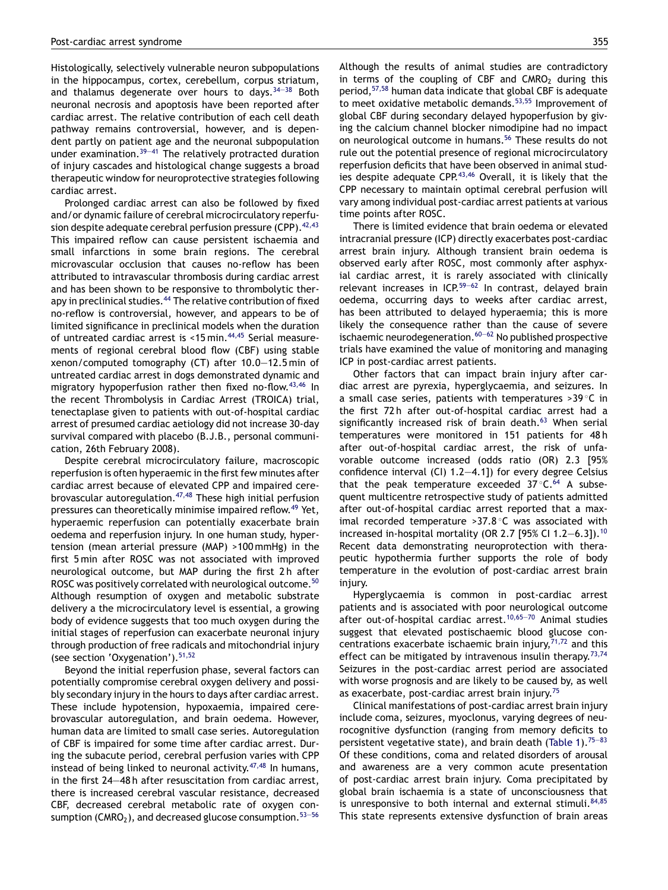Histologically, selectively vulnerable neuron subpopulations in the hippocampus, cortex, cerebellum, corpus striatum, and thalamus degenerate over hours to days.  $34-38$  Both neuronal necrosis and apoptosis have been reported after cardiac arrest. The relative contribution of each cell death pathway remains controversial, however, and is dependent partly on patient age and the neuronal subpopulation under examination. $39-41$  The relatively protracted duration of injury cascades and histological change suggests a broad therapeutic window for neuroprotective strategies following cardiac arrest.

Prolonged cardiac arrest can also be followed by fixed and/or dynamic failure of cerebral microcirculatory reperfusion despite adequate cerebral perfusion pressure (CPP).  $42,43$ This impaired reflow can cause persistent ischaemia and small infarctions in some brain regions. The cerebral microvascular occlusion that causes no-reflow has been attributed to intravascular thrombosis during cardiac arrest and has been shown to be responsive to thrombolytic ther-apy in preclinical studies.<sup>[44](#page-21-0)</sup> The relative contribution of fixed no-reflow is controversial, however, and appears to be of limited significance in preclinical models when the duration of untreated cardiac arrest is <15 min.<sup>[44,45](#page-21-0)</sup> Serial measurements of regional cerebral blood flow (CBF) using stable xenon/computed tomography (CT) after 10.0—12.5 min of untreated cardiac arrest in dogs demonstrated dynamic and migratory hypoperfusion rather then fixed no-flow.<sup>[43,46](#page-21-0)</sup> In the recent Thrombolysis in Cardiac Arrest (TROICA) trial, tenectaplase given to patients with out-of-hospital cardiac arrest of presumed cardiac aetiology did not increase 30-day survival compared with placebo (B.J.B., personal communication, 26th February 2008).

Despite cerebral microcirculatory failure, macroscopic reperfusion is often hyperaemic in the first few minutes after cardiac arrest because of elevated CPP and impaired cerebrovascular autoregulation.[47,48](#page-21-0) These high initial perfusion pressures can theoretically minimise impaired reflow.<sup>[49](#page-21-0)</sup> Yet, hyperaemic reperfusion can potentially exacerbate brain oedema and reperfusion injury. In one human study, hypertension (mean arterial pressure (MAP) >100 mmHg) in the first 5 min after ROSC was not associated with improved neurological outcome, but MAP during the first 2 h after ROSC was positively correlated with neurological outcome.<sup>[50](#page-21-0)</sup> Although resumption of oxygen and metabolic substrate delivery a the microcirculatory level is essential, a growing body of evidence suggests that too much oxygen during the initial stages of reperfusion can exacerbate neuronal injury through production of free radicals and mitochondrial injury (see section 'Oxygenation'). [51,52](#page-21-0)

Beyond the initial reperfusion phase, several factors can potentially compromise cerebral oxygen delivery and possibly secondary injury in the hours to days after cardiac arrest. These include hypotension, hypoxaemia, impaired cerebrovascular autoregulation, and brain oedema. However, human data are limited to small case series. Autoregulation of CBF is impaired for some time after cardiac arrest. During the subacute period, cerebral perfusion varies with CPP instead of being linked to neuronal activity. $47,48$  In humans, in the first 24—48 h after resuscitation from cardiac arrest, there is increased cerebral vascular resistance, decreased CBF, decreased cerebral metabolic rate of oxygen consumption (CMRO<sub>2</sub>), and decreased glucose consumption.  $53-56$  Although the results of animal studies are contradictory in terms of the coupling of CBF and  $CMRO<sub>2</sub>$  during this period,[57,58](#page-21-0) human data indicate that global CBF is adequate to meet oxidative metabolic demands.<sup>[53,55](#page-21-0)</sup> Improvement of global CBF during secondary delayed hypoperfusion by giving the calcium channel blocker nimodipine had no impact on neurological outcome in humans.[56](#page-21-0) These results do not rule out the potential presence of regional microcirculatory reperfusion deficits that have been observed in animal studies despite adequate CPP. $43,46$  Overall, it is likely that the CPP necessary to maintain optimal cerebral perfusion will vary among individual post-cardiac arrest patients at various time points after ROSC.

There is limited evidence that brain oedema or elevated intracranial pressure (ICP) directly exacerbates post-cardiac arrest brain injury. Although transient brain oedema is observed early after ROSC, most commonly after asphyxial cardiac arrest, it is rarely associated with clinically relevant increases in ICP.<sup>59-62</sup> In contrast, delayed brain oedema, occurring days to weeks after cardiac arrest, has been attributed to delayed hyperaemia; this is more likely the consequence rather than the cause of severe ischaemic neurodegeneration. $60-62$  No published prospective trials have examined the value of monitoring and managing ICP in post-cardiac arrest patients.

Other factors that can impact brain injury after cardiac arrest are pyrexia, hyperglycaemia, and seizures. In a small case series, patients with temperatures >39 ◦C in the first 72 h after out-of-hospital cardiac arrest had a significantly increased risk of brain death. $63$  When serial temperatures were monitored in 151 patients for 48 h after out-of-hospital cardiac arrest, the risk of unfavorable outcome increased (odds ratio (OR) 2.3 [95% confidence interval (CI) 1.2—4.1]) for every degree Celsius that the peak temperature exceeded  $37^{\circ}$ C.<sup>[64](#page-21-0)</sup> A subsequent multicentre retrospective study of patients admitted after out-of-hospital cardiac arrest reported that a maximal recorded temperature >37.8 $\degree$ C was associated with increased in-hospital mortality (OR 2.7 [95% CI 1.2–6.3]).<sup>[10](#page-20-0)</sup> Recent data demonstrating neuroprotection with therapeutic hypothermia further supports the role of body temperature in the evolution of post-cardiac arrest brain injury.

Hyperglycaemia is common in post-cardiac arrest patients and is associated with poor neurological outcome after out-of-hospital cardiac arrest.[10,65—70](#page-20-0) Animal studies suggest that elevated postischaemic blood glucose concentrations exacerbate ischaemic brain injury, $71,72$  and this effect can be mitigated by intravenous insulin therapy.<sup>[73,74](#page-22-0)</sup> Seizures in the post-cardiac arrest period are associated with worse prognosis and are likely to be caused by, as well as exacerbate, post-cardiac arrest brain injury.<sup>[75](#page-22-0)</sup>

Clinical manifestations of post-cardiac arrest brain injury include coma, seizures, myoclonus, varying degrees of neurocognitive dysfunction (ranging from memory deficits to persistent vegetative state), and brain death ([Table 1\).](#page-4-0)<sup>75-83</sup> Of these conditions, coma and related disorders of arousal and awareness are a very common acute presentation of post-cardiac arrest brain injury. Coma precipitated by global brain ischaemia is a state of unconsciousness that is unresponsive to both internal and external stimuli. $84,85$ This state represents extensive dysfunction of brain areas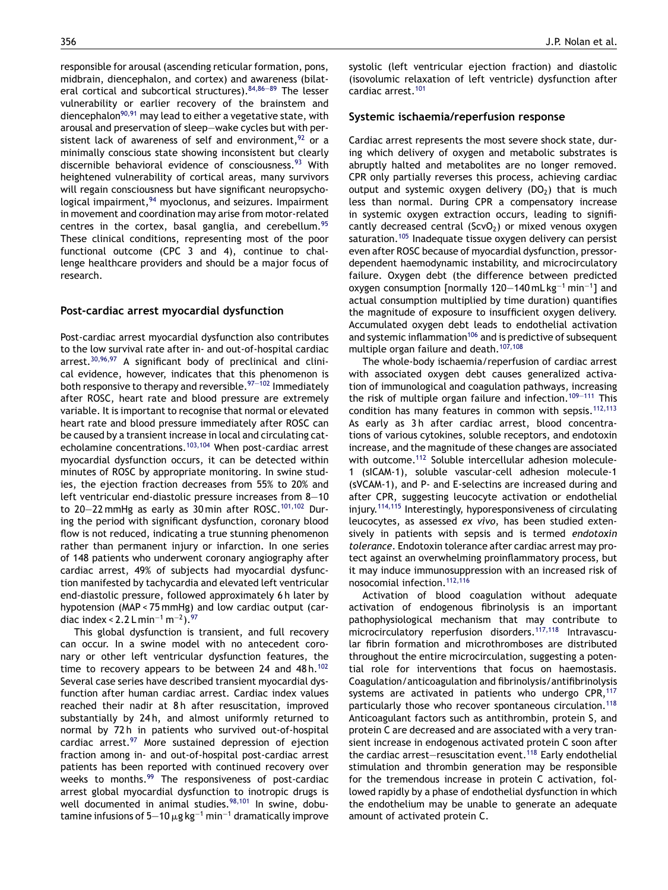responsible for arousal (ascending reticular formation, pons, midbrain, diencephalon, and cortex) and awareness (bilateral cortical and subcortical structures). 84,86-89 The lesser vulnerability or earlier recovery of the brainstem and diencephalon<sup>[90,91](#page-22-0)</sup> may lead to either a vegetative state, with arousal and preservation of sleep—wake cycles but with persistent lack of awareness of self and environment,  $92$  or a minimally conscious state showing inconsistent but clearly discernible behavioral evidence of consciousness.  $93$  With heightened vulnerability of cortical areas, many survivors will regain consciousness but have significant neuropsycho-logical impairment, <sup>[94](#page-22-0)</sup> myoclonus, and seizures. Impairment in movement and coordination may arise from motor-related centres in the cortex, basal ganglia, and cerebellum.<sup>[95](#page-22-0)</sup> These clinical conditions, representing most of the poor functional outcome (CPC 3 and 4), continue to challenge healthcare providers and should be a major focus of research.

### **Post-cardiac arrest myocardial dysfunction**

Post-cardiac arrest myocardial dysfunction also contributes to the low survival rate after in- and out-of-hospital cardiac arrest.[30,96,97](#page-20-0) A significant body of preclinical and clinical evidence, however, indicates that this phenomenon is both responsive to therapy and reversible.<sup>97-102</sup> Immediately after ROSC, heart rate and blood pressure are extremely variable. It is important to recognise that normal or elevated heart rate and blood pressure immediately after ROSC can be caused by a transient increase in local and circulating catecholamine concentrations.[103,104](#page-22-0) When post-cardiac arrest myocardial dysfunction occurs, it can be detected within minutes of ROSC by appropriate monitoring. In swine studies, the ejection fraction decreases from 55% to 20% and left ventricular end-diastolic pressure increases from 8—10 to 20-22 mmHg as early as 30 min after ROSC.<sup>[101,102](#page-22-0)</sup> During the period with significant dysfunction, coronary blood flow is not reduced, indicating a true stunning phenomenon rather than permanent injury or infarction. In one series of 148 patients who underwent coronary angiography after cardiac arrest, 49% of subjects had myocardial dysfunction manifested by tachycardia and elevated left ventricular end-diastolic pressure, followed approximately 6 h later by hypotension (MAP < 75 mmHg) and low cardiac output (cardiac index < 2.2 L min<sup>-1</sup> m<sup>-2</sup>).<sup>97</sup>

This global dysfunction is transient, and full recovery can occur. In a swine model with no antecedent coronary or other left ventricular dysfunction features, the time to recovery appears to be between 24 and  $48 h.^{102}$  $48 h.^{102}$  $48 h.^{102}$ Several case series have described transient myocardial dysfunction after human cardiac arrest. Cardiac index values reached their nadir at 8h after resuscitation, improved substantially by 24h, and almost uniformly returned to normal by 72 h in patients who survived out-of-hospital cardiac arrest.<sup>[97](#page-22-0)</sup> More sustained depression of ejection fraction among in- and out-of-hospital post-cardiac arrest patients has been reported with continued recovery over weeks to months.<sup>[99](#page-22-0)</sup> The responsiveness of post-cardiac arrest global myocardial dysfunction to inotropic drugs is well documented in animal studies. $98,101$  In swine, dobutamine infusions of 5 $-$ 10  $\mu$ g kg $^{-1}$  min $^{-1}$  dramatically improve

systolic (left ventricular ejection fraction) and diastolic (isovolumic relaxation of left ventricle) dysfunction after cardiac arrest.[101](#page-22-0)

#### **Systemic ischaemia/reperfusion response**

Cardiac arrest represents the most severe shock state, during which delivery of oxygen and metabolic substrates is abruptly halted and metabolites are no longer removed. CPR only partially reverses this process, achieving cardiac output and systemic oxygen delivery  $(DO<sub>2</sub>)$  that is much less than normal. During CPR a compensatory increase in systemic oxygen extraction occurs, leading to significantly decreased central  $(ScvO<sub>2</sub>)$  or mixed venous oxygen saturation.<sup>[105](#page-22-0)</sup> Inadequate tissue oxygen delivery can persist even after ROSC because of myocardial dysfunction, pressordependent haemodynamic instability, and microcirculatory failure. Oxygen debt (the difference between predicted oxygen consumption [normally 120—140 mL kg−<sup>1</sup> min−1] and actual consumption multiplied by time duration) quantifies the magnitude of exposure to insufficient oxygen delivery. Accumulated oxygen debt leads to endothelial activation and systemic inflammation<sup>[106](#page-22-0)</sup> and is predictive of subsequent multiple organ failure and death.[107,108](#page-22-0)

The whole-body ischaemia/reperfusion of cardiac arrest with associated oxygen debt causes generalized activation of immunological and coagulation pathways, increasing the risk of multiple organ failure and infection.<sup>109–111</sup> This condition has many features in common with sepsis. $112,113$ As early as 3h after cardiac arrest, blood concentrations of various cytokines, soluble receptors, and endotoxin increase, and the magnitude of these changes are associated with outcome.<sup>[112](#page-22-0)</sup> Soluble intercellular adhesion molecule-1 (sICAM-1), soluble vascular-cell adhesion molecule-1 (sVCAM-1), and P- and E-selectins are increased during and after CPR, suggesting leucocyte activation or endothelial injury.<sup>[114,115](#page-22-0)</sup> Interestingly, hyporesponsiveness of circulating leucocytes, as assessed *ex vivo*, has been studied extensively in patients with sepsis and is termed *endotoxin tolerance*. Endotoxin tolerance after cardiac arrest may protect against an overwhelming proinflammatory process, but it may induce immunosuppression with an increased risk of nosocomial infection.[112,116](#page-22-0)

Activation of blood coagulation without adequate activation of endogenous fibrinolysis is an important pathophysiological mechanism that may contribute to microcirculatory reperfusion disorders.<sup>[117,118](#page-23-0)</sup> Intravascular fibrin formation and microthromboses are distributed throughout the entire microcirculation, suggesting a potential role for interventions that focus on haemostasis. Coagulation/anticoagulation and fibrinolysis/antifibrinolysis systems are activated in patients who undergo  $CPR$ ,  $^{117}$  $^{117}$  $^{117}$ particularly those who recover spontaneous circulation.<sup>[118](#page-23-0)</sup> Anticoagulant factors such as antithrombin, protein S, and protein C are decreased and are associated with a very transient increase in endogenous activated protein C soon after the cardiac arrest-resuscitation event.<sup>[118](#page-23-0)</sup> Early endothelial stimulation and thrombin generation may be responsible for the tremendous increase in protein C activation, followed rapidly by a phase of endothelial dysfunction in which the endothelium may be unable to generate an adequate amount of activated protein C.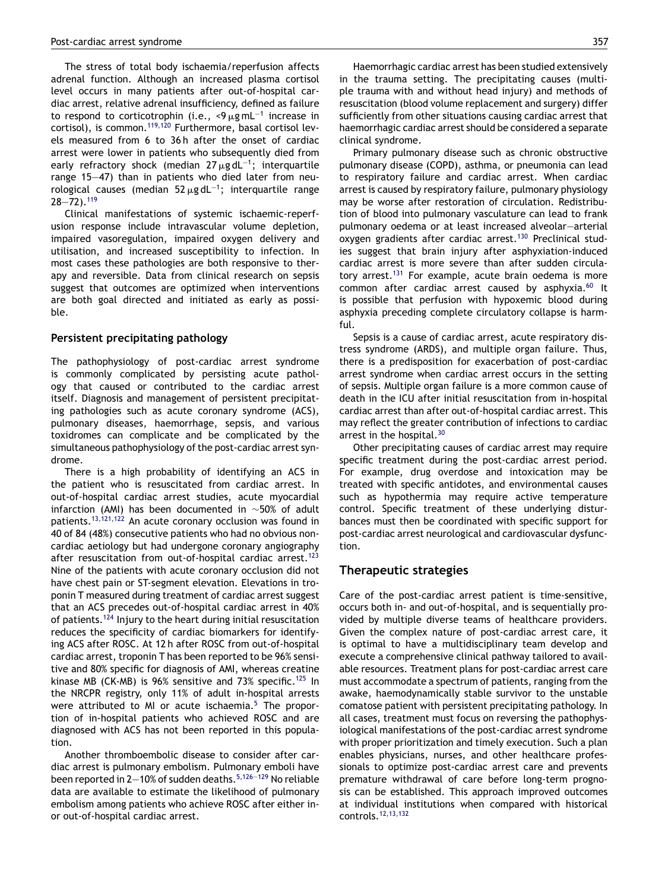The stress of total body ischaemia/reperfusion affects adrenal function. Although an increased plasma cortisol level occurs in many patients after out-of-hospital cardiac arrest, relative adrenal insufficiency, defined as failure to respond to corticotrophin (i.e., <9  $\mu$ gmL $^{-1}$  increase in cortisol), is common.<sup>[119,120](#page-23-0)</sup> Furthermore, basal cortisol levels measured from 6 to 36 h after the onset of cardiac arrest were lower in patients who subsequently died from early refractory shock (median 27  $\mu$ g<code>dL $^{-1}$ ; interquartile</code> range 15—47) than in patients who died later from neurological causes (median 52 µgdL $^{-1}$ ; interquartile range  $28 - 72$ ).<sup>[119](#page-23-0)</sup>

Clinical manifestations of systemic ischaemic-reperfusion response include intravascular volume depletion, impaired vasoregulation, impaired oxygen delivery and utilisation, and increased susceptibility to infection. In most cases these pathologies are both responsive to therapy and reversible. Data from clinical research on sepsis suggest that outcomes are optimized when interventions are both goal directed and initiated as early as possible.

#### **Persistent precipitating pathology**

The pathophysiology of post-cardiac arrest syndrome is commonly complicated by persisting acute pathology that caused or contributed to the cardiac arrest itself. Diagnosis and management of persistent precipitating pathologies such as acute coronary syndrome (ACS), pulmonary diseases, haemorrhage, sepsis, and various toxidromes can complicate and be complicated by the simultaneous pathophysiology of the post-cardiac arrest syndrome.

There is a high probability of identifying an ACS in the patient who is resuscitated from cardiac arrest. In out-of-hospital cardiac arrest studies, acute myocardial infarction (AMI) has been documented in ∼50% of adult patients.<sup>[13,121,122](#page-20-0)</sup> An acute coronary occlusion was found in 40 of 84 (48%) consecutive patients who had no obvious noncardiac aetiology but had undergone coronary angiography after resuscitation from out-of-hospital cardiac arrest.<sup>[123](#page-23-0)</sup> Nine of the patients with acute coronary occlusion did not have chest pain or ST-segment elevation. Elevations in troponin T measured during treatment of cardiac arrest suggest that an ACS precedes out-of-hospital cardiac arrest in 40% of patients.[124](#page-23-0) Injury to the heart during initial resuscitation reduces the specificity of cardiac biomarkers for identifying ACS after ROSC. At 12 h after ROSC from out-of-hospital cardiac arrest, troponin T has been reported to be 96% sensitive and 80% specific for diagnosis of AMI, whereas creatine kinase MB (CK-MB) is 96% sensitive and 73% specific.<sup>[125](#page-23-0)</sup> In the NRCPR registry, only 11% of adult in-hospital arrests were attributed to MI or acute ischaemia.<sup>[5](#page-20-0)</sup> The proportion of in-hospital patients who achieved ROSC and are diagnosed with ACS has not been reported in this population.

Another thromboembolic disease to consider after cardiac arrest is pulmonary embolism. Pulmonary emboli have been reported in 2-10% of sudden deaths.<sup>5,126-129</sup> No reliable data are available to estimate the likelihood of pulmonary embolism among patients who achieve ROSC after either inor out-of-hospital cardiac arrest.

Haemorrhagic cardiac arrest has been studied extensively in the trauma setting. The precipitating causes (multiple trauma with and without head injury) and methods of resuscitation (blood volume replacement and surgery) differ sufficiently from other situations causing cardiac arrest that haemorrhagic cardiac arrest should be considered a separate clinical syndrome.

Primary pulmonary disease such as chronic obstructive pulmonary disease (COPD), asthma, or pneumonia can lead to respiratory failure and cardiac arrest. When cardiac arrest is caused by respiratory failure, pulmonary physiology may be worse after restoration of circulation. Redistribution of blood into pulmonary vasculature can lead to frank pulmonary oedema or at least increased alveolar—arterial oxygen gradients after cardiac arrest.[130](#page-23-0) Preclinical studies suggest that brain injury after asphyxiation-induced cardiac arrest is more severe than after sudden circula-tory arrest.<sup>[131](#page-23-0)</sup> For example, acute brain oedema is more common after cardiac arrest caused by asphyxia.<sup>[60](#page-21-0)</sup> It is possible that perfusion with hypoxemic blood during asphyxia preceding complete circulatory collapse is harmful.

Sepsis is a cause of cardiac arrest, acute respiratory distress syndrome (ARDS), and multiple organ failure. Thus, there is a predisposition for exacerbation of post-cardiac arrest syndrome when cardiac arrest occurs in the setting of sepsis. Multiple organ failure is a more common cause of death in the ICU after initial resuscitation from in-hospital cardiac arrest than after out-of-hospital cardiac arrest. This may reflect the greater contribution of infections to cardiac arrest in the hospital.<sup>[30](#page-20-0)</sup>

Other precipitating causes of cardiac arrest may require specific treatment during the post-cardiac arrest period. For example, drug overdose and intoxication may be treated with specific antidotes, and environmental causes such as hypothermia may require active temperature control. Specific treatment of these underlying disturbances must then be coordinated with specific support for post-cardiac arrest neurological and cardiovascular dysfunction.

### **Therapeutic strategies**

Care of the post-cardiac arrest patient is time-sensitive, occurs both in- and out-of-hospital, and is sequentially provided by multiple diverse teams of healthcare providers. Given the complex nature of post-cardiac arrest care, it is optimal to have a multidisciplinary team develop and execute a comprehensive clinical pathway tailored to available resources. Treatment plans for post-cardiac arrest care must accommodate a spectrum of patients, ranging from the awake, haemodynamically stable survivor to the unstable comatose patient with persistent precipitating pathology. In all cases, treatment must focus on reversing the pathophysiological manifestations of the post-cardiac arrest syndrome with proper prioritization and timely execution. Such a plan enables physicians, nurses, and other healthcare professionals to optimize post-cardiac arrest care and prevents premature withdrawal of care before long-term prognosis can be established. This approach improved outcomes at individual institutions when compared with historical controls.[12,13,132](#page-20-0)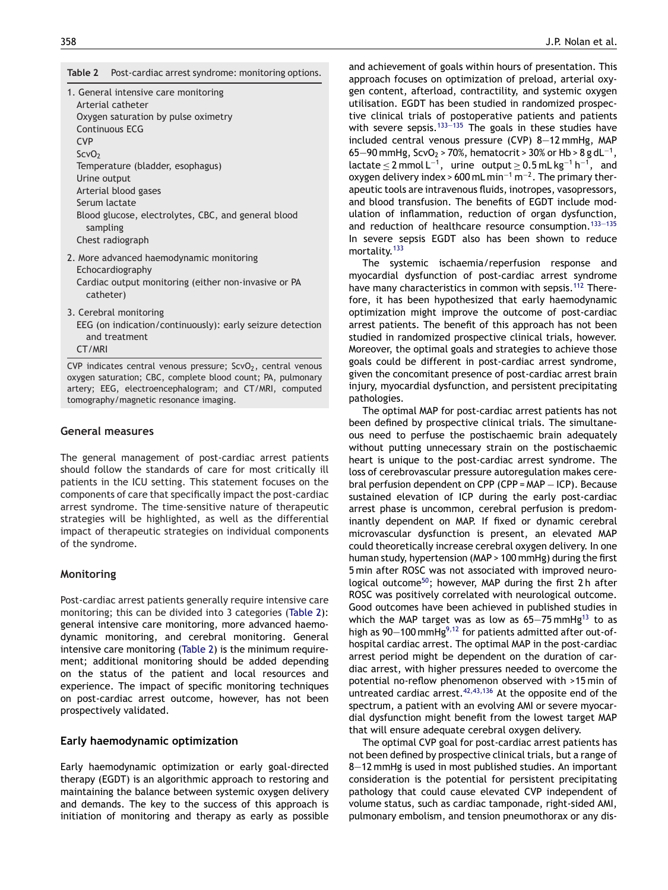**Table 2** Post-cardiac arrest syndrome: monitoring options.

| 1. General intensive care monitoring<br>Arterial catheter       |
|-----------------------------------------------------------------|
| Oxygen saturation by pulse oximetry                             |
| Continuous FCG                                                  |
| CV <sub>P</sub>                                                 |
| ScvO <sub>2</sub>                                               |
| Temperature (bladder, esophagus)                                |
| Urine output                                                    |
| Arterial blood gases                                            |
| Serum lactate                                                   |
| Blood glucose, electrolytes, CBC, and general blood<br>sampling |
| Chest radiograph                                                |
|                                                                 |

- 2. More advanced haemodynamic monitoring Echocardiography Cardiac output monitoring (either non-invasive or PA catheter)
- 3. Cerebral monitoring EEG (on indication/continuously): early seizure detection and treatment CT/MRI

CVP indicates central venous pressure;  $ScvO<sub>2</sub>$ , central venous oxygen saturation; CBC, complete blood count; PA, pulmonary artery; EEG, electroencephalogram; and CT/MRI, computed tomography/magnetic resonance imaging.

### **General measures**

The general management of post-cardiac arrest patients should follow the standards of care for most critically ill patients in the ICU setting. This statement focuses on the components of care that specifically impact the post-cardiac arrest syndrome. The time-sensitive nature of therapeutic strategies will be highlighted, as well as the differential impact of therapeutic strategies on individual components of the syndrome.

### **Monitoring**

Post-cardiac arrest patients generally require intensive care monitoring; this can be divided into 3 categories (Table 2): general intensive care monitoring, more advanced haemodynamic monitoring, and cerebral monitoring. General intensive care monitoring (Table 2) is the minimum requirement; additional monitoring should be added depending on the status of the patient and local resources and experience. The impact of specific monitoring techniques on post-cardiac arrest outcome, however, has not been prospectively validated.

## **Early haemodynamic optimization**

Early haemodynamic optimization or early goal-directed therapy (EGDT) is an algorithmic approach to restoring and maintaining the balance between systemic oxygen delivery and demands. The key to the success of this approach is initiation of monitoring and therapy as early as possible

and achievement of goals within hours of presentation. This approach focuses on optimization of preload, arterial oxygen content, afterload, contractility, and systemic oxygen utilisation. EGDT has been studied in randomized prospective clinical trials of postoperative patients and patients with severe sepsis.<sup>133–135</sup> The goals in these studies have included central venous pressure (CVP) 8—12 mmHg, MAP 65—90 mmHg, ScvO<sub>2</sub> > 70%, hematocrit > 30% or Hb > 8 g dL<sup>-1</sup>, lactate <sup>≤</sup> 2 mmol L−1, urine output <sup>≥</sup> 0.5 mL kg−<sup>1</sup> <sup>h</sup>−1, and oxygen delivery index > 600 mL min<sup>-1</sup> m<sup>-2</sup>. The primary therapeutic tools are intravenous fluids, inotropes, vasopressors, and blood transfusion. The benefits of EGDT include modulation of inflammation, reduction of organ dysfunction, and reduction of healthcare resource consumption.<sup>133-135</sup> In severe sepsis EGDT also has been shown to reduce mortality.<sup>[133](#page-23-0)</sup>

The systemic ischaemia/reperfusion response and myocardial dysfunction of post-cardiac arrest syndrome have many characteristics in common with sepsis.<sup>[112](#page-22-0)</sup> Therefore, it has been hypothesized that early haemodynamic optimization might improve the outcome of post-cardiac arrest patients. The benefit of this approach has not been studied in randomized prospective clinical trials, however. Moreover, the optimal goals and strategies to achieve those goals could be different in post-cardiac arrest syndrome, given the concomitant presence of post-cardiac arrest brain injury, myocardial dysfunction, and persistent precipitating pathologies.

The optimal MAP for post-cardiac arrest patients has not been defined by prospective clinical trials. The simultaneous need to perfuse the postischaemic brain adequately without putting unnecessary strain on the postischaemic heart is unique to the post-cardiac arrest syndrome. The loss of cerebrovascular pressure autoregulation makes cerebral perfusion dependent on CPP (CPP = MAP − ICP). Because sustained elevation of ICP during the early post-cardiac arrest phase is uncommon, cerebral perfusion is predominantly dependent on MAP. If fixed or dynamic cerebral microvascular dysfunction is present, an elevated MAP could theoretically increase cerebral oxygen delivery. In one human study, hypertension (MAP > 100 mmHg) during the first 5 min after ROSC was not associated with improved neurological outcome<sup>50</sup>; however, MAP during the first 2h after ROSC was positively correlated with neurological outcome. Good outcomes have been achieved in published studies in which the MAP target was as low as  $65-75$  mmHg<sup>[13](#page-20-0)</sup> to as high as  $90-100$  mmHg<sup>[9,12](#page-20-0)</sup> for patients admitted after out-ofhospital cardiac arrest. The optimal MAP in the post-cardiac arrest period might be dependent on the duration of cardiac arrest, with higher pressures needed to overcome the potential no-reflow phenomenon observed with >15 min of untreated cardiac arrest. $42,43,136$  At the opposite end of the spectrum, a patient with an evolving AMI or severe myocardial dysfunction might benefit from the lowest target MAP that will ensure adequate cerebral oxygen delivery.

The optimal CVP goal for post-cardiac arrest patients has not been defined by prospective clinical trials, but a range of 8—12 mmHg is used in most published studies. An important consideration is the potential for persistent precipitating pathology that could cause elevated CVP independent of volume status, such as cardiac tamponade, right-sided AMI, pulmonary embolism, and tension pneumothorax or any dis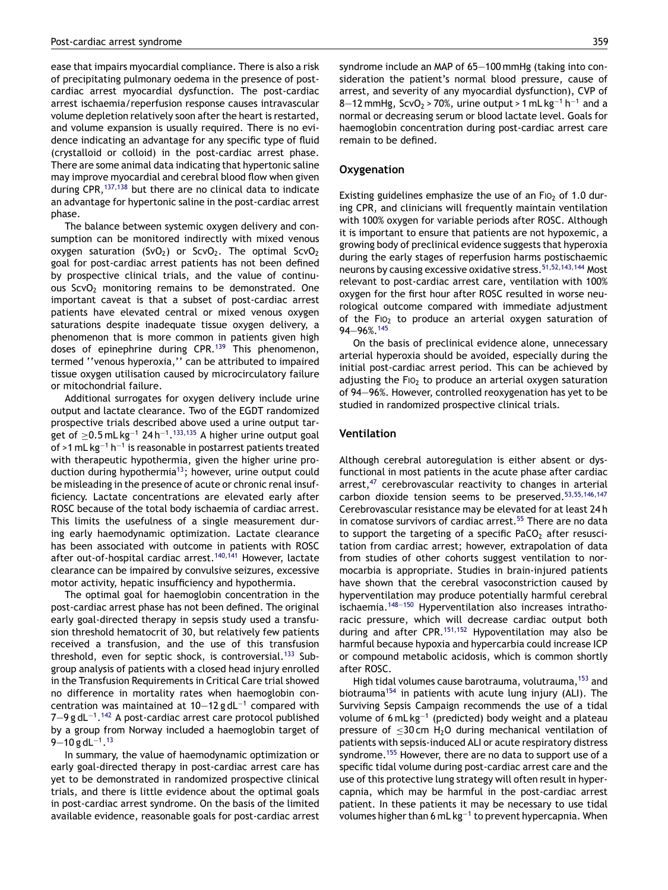ease that impairs myocardial compliance. There is also a risk of precipitating pulmonary oedema in the presence of postcardiac arrest myocardial dysfunction. The post-cardiac arrest ischaemia/reperfusion response causes intravascular volume depletion relatively soon after the heart is restarted, and volume expansion is usually required. There is no evidence indicating an advantage for any specific type of fluid (crystalloid or colloid) in the post-cardiac arrest phase. There are some animal data indicating that hypertonic saline may improve myocardial and cerebral blood flow when given during CPR,[137,138](#page-23-0) but there are no clinical data to indicate an advantage for hypertonic saline in the post-cardiac arrest phase.

The balance between systemic oxygen delivery and consumption can be monitored indirectly with mixed venous oxygen saturation (SvO<sub>2</sub>) or ScvO<sub>2</sub>. The optimal ScvO<sub>2</sub> goal for post-cardiac arrest patients has not been defined by prospective clinical trials, and the value of continuous  $ScvO<sub>2</sub>$  monitoring remains to be demonstrated. One important caveat is that a subset of post-cardiac arrest patients have elevated central or mixed venous oxygen saturations despite inadequate tissue oxygen delivery, a phenomenon that is more common in patients given high doses of epinephrine during CPR.[139](#page-23-0) This phenomenon, termed ''venous hyperoxia,'' can be attributed to impaired tissue oxygen utilisation caused by microcirculatory failure or mitochondrial failure.

Additional surrogates for oxygen delivery include urine output and lactate clearance. Two of the EGDT randomized prospective trials described above used a urine output target of  $\geq$ 0.5 mL kg<sup>-1</sup> 24 h<sup>-1</sup>.<sup>133,135</sup> A higher urine output goal of >1 mL kg−<sup>1</sup> h−<sup>1</sup> is reasonable in postarrest patients treated with therapeutic hypothermia, given the higher urine production during hypothermia<sup>13</sup>; however, urine output could be misleading in the presence of acute or chronic renal insufficiency. Lactate concentrations are elevated early after ROSC because of the total body ischaemia of cardiac arrest. This limits the usefulness of a single measurement during early haemodynamic optimization. Lactate clearance has been associated with outcome in patients with ROSC after out-of-hospital cardiac arrest.<sup>[140,141](#page-23-0)</sup> However, lactate clearance can be impaired by convulsive seizures, excessive motor activity, hepatic insufficiency and hypothermia.

The optimal goal for haemoglobin concentration in the post-cardiac arrest phase has not been defined. The original early goal-directed therapy in sepsis study used a transfusion threshold hematocrit of 30, but relatively few patients received a transfusion, and the use of this transfusion threshold, even for septic shock, is controversial.<sup>[133](#page-23-0)</sup> Subgroup analysis of patients with a closed head injury enrolled in the Transfusion Requirements in Critical Care trial showed no difference in mortality rates when haemoglobin concentration was maintained at 10–12 g dL<sup>-1</sup> compared with 7—9 g dL−1[.142](#page-23-0) A post-cardiac arrest care protocol published by a group from Norway included a haemoglobin target of 9–10 g dL<sup>-1</sup>.<sup>[13](#page-20-0)</sup>

In summary, the value of haemodynamic optimization or early goal-directed therapy in post-cardiac arrest care has yet to be demonstrated in randomized prospective clinical trials, and there is little evidence about the optimal goals in post-cardiac arrest syndrome. On the basis of the limited available evidence, reasonable goals for post-cardiac arrest syndrome include an MAP of 65—100 mmHg (taking into consideration the patient's normal blood pressure, cause of arrest, and severity of any myocardial dysfunction), CVP of 8—12 mmHg, ScvO<sub>2</sub> > 70%, urine output > 1 mL kg<sup>-1</sup> h<sup>-1</sup> and a normal or decreasing serum or blood lactate level. Goals for haemoglobin concentration during post-cardiac arrest care remain to be defined.

## **Oxygenation**

Existing guidelines emphasize the use of an FIO<sub>2</sub> of 1.0 during CPR, and clinicians will frequently maintain ventilation with 100% oxygen for variable periods after ROSC. Although it is important to ensure that patients are not hypoxemic, a growing body of preclinical evidence suggests that hyperoxia during the early stages of reperfusion harms postischaemic neurons by causing excessive oxidative stress.<sup>[51,52,143,144](#page-21-0)</sup> Most relevant to post-cardiac arrest care, ventilation with 100% oxygen for the first hour after ROSC resulted in worse neurological outcome compared with immediate adjustment of the FIO<sub>2</sub> to produce an arterial oxygen saturation of 94—96%.[145](#page-23-0)

On the basis of preclinical evidence alone, unnecessary arterial hyperoxia should be avoided, especially during the initial post-cardiac arrest period. This can be achieved by adjusting the  $F10<sub>2</sub>$  to produce an arterial oxygen saturation of 94—96%. However, controlled reoxygenation has yet to be studied in randomized prospective clinical trials.

## **Ventilation**

Although cerebral autoregulation is either absent or dysfunctional in most patients in the acute phase after cardiac arrest, $47$  cerebrovascular reactivity to changes in arterial carbon dioxide tension seems to be preserved.[53,55,146,147](#page-21-0) Cerebrovascular resistance may be elevated for at least 24 h in comatose survivors of cardiac arrest.<sup>[55](#page-21-0)</sup> There are no data to support the targeting of a specific PaCO<sub>2</sub> after resuscitation from cardiac arrest; however, extrapolation of data from studies of other cohorts suggest ventilation to normocarbia is appropriate. Studies in brain-injured patients have shown that the cerebral vasoconstriction caused by hyperventilation may produce potentially harmful cerebral ischaemia.[148—150](#page-23-0) Hyperventilation also increases intrathoracic pressure, which will decrease cardiac output both during and after CPR.<sup>[151,152](#page-23-0)</sup> Hypoventilation may also be harmful because hypoxia and hypercarbia could increase ICP or compound metabolic acidosis, which is common shortly after ROSC.

High tidal volumes cause barotrauma, volutrauma, <sup>[153](#page-24-0)</sup> and biotrauma<sup>[154](#page-24-0)</sup> in patients with acute lung injury (ALI). The Surviving Sepsis Campaign recommends the use of a tidal volume of 6 mL kg−<sup>1</sup> (predicted) body weight and a plateau pressure of  $\leq 30$  cm H<sub>2</sub>O during mechanical ventilation of patients with sepsis-induced ALI or acute respiratory distress syndrome.[155](#page-24-0) However, there are no data to support use of a specific tidal volume during post-cardiac arrest care and the use of this protective lung strategy will often result in hypercapnia, which may be harmful in the post-cardiac arrest patient. In these patients it may be necessary to use tidal volumes higher than 6 mL kg−<sup>1</sup> to prevent hypercapnia. When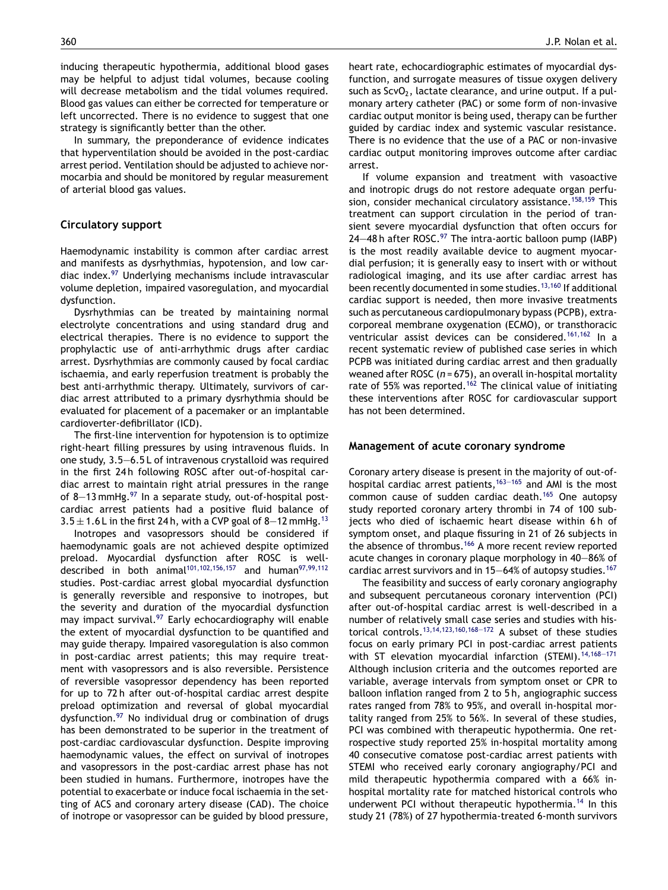inducing therapeutic hypothermia, additional blood gases may be helpful to adjust tidal volumes, because cooling will decrease metabolism and the tidal volumes required. Blood gas values can either be corrected for temperature or left uncorrected. There is no evidence to suggest that one strategy is significantly better than the other.

In summary, the preponderance of evidence indicates that hyperventilation should be avoided in the post-cardiac arrest period. Ventilation should be adjusted to achieve normocarbia and should be monitored by regular measurement of arterial blood gas values.

## **Circulatory support**

Haemodynamic instability is common after cardiac arrest and manifests as dysrhythmias, hypotension, and low cardiac index.[97](#page-22-0) Underlying mechanisms include intravascular volume depletion, impaired vasoregulation, and myocardial dysfunction.

Dysrhythmias can be treated by maintaining normal electrolyte concentrations and using standard drug and electrical therapies. There is no evidence to support the prophylactic use of anti-arrhythmic drugs after cardiac arrest. Dysrhythmias are commonly caused by focal cardiac ischaemia, and early reperfusion treatment is probably the best anti-arrhythmic therapy. Ultimately, survivors of cardiac arrest attributed to a primary dysrhythmia should be evaluated for placement of a pacemaker or an implantable cardioverter-defibrillator (ICD).

The first-line intervention for hypotension is to optimize right-heart filling pressures by using intravenous fluids. In one study, 3.5—6.5 L of intravenous crystalloid was required in the first 24 h following ROSC after out-of-hospital cardiac arrest to maintain right atrial pressures in the range of 8-13 mmHg. $97$  In a separate study, out-of-hospital postcardiac arrest patients had a positive fluid balance of  $3.5 \pm 1.6$  L in the first 24 h, with a CVP goal of 8–12 mmHg.<sup>[13](#page-20-0)</sup>

Inotropes and vasopressors should be considered if haemodynamic goals are not achieved despite optimized preload. Myocardial dysfunction after ROSC is well-described in both animal<sup>[101,102,156,157](#page-22-0)</sup> and human<sup>[97,99,112](#page-22-0)</sup> studies. Post-cardiac arrest global myocardial dysfunction is generally reversible and responsive to inotropes, but the severity and duration of the myocardial dysfunction may impact survival.<sup>[97](#page-22-0)</sup> Early echocardiography will enable the extent of myocardial dysfunction to be quantified and may guide therapy. Impaired vasoregulation is also common in post-cardiac arrest patients; this may require treatment with vasopressors and is also reversible. Persistence of reversible vasopressor dependency has been reported for up to 72 h after out-of-hospital cardiac arrest despite preload optimization and reversal of global myocardial dysfunction.[97](#page-22-0) No individual drug or combination of drugs has been demonstrated to be superior in the treatment of post-cardiac cardiovascular dysfunction. Despite improving haemodynamic values, the effect on survival of inotropes and vasopressors in the post-cardiac arrest phase has not been studied in humans. Furthermore, inotropes have the potential to exacerbate or induce focal ischaemia in the setting of ACS and coronary artery disease (CAD). The choice of inotrope or vasopressor can be guided by blood pressure,

heart rate, echocardiographic estimates of myocardial dysfunction, and surrogate measures of tissue oxygen delivery such as  $ScvO<sub>2</sub>$ , lactate clearance, and urine output. If a pulmonary artery catheter (PAC) or some form of non-invasive cardiac output monitor is being used, therapy can be further guided by cardiac index and systemic vascular resistance. There is no evidence that the use of a PAC or non-invasive cardiac output monitoring improves outcome after cardiac arrest.

If volume expansion and treatment with vasoactive and inotropic drugs do not restore adequate organ perfu-sion, consider mechanical circulatory assistance.<sup>[158,159](#page-24-0)</sup> This treatment can support circulation in the period of transient severe myocardial dysfunction that often occurs for 24 $-48$  h after ROSC.<sup>[97](#page-22-0)</sup> The intra-aortic balloon pump (IABP) is the most readily available device to augment myocardial perfusion; it is generally easy to insert with or without radiological imaging, and its use after cardiac arrest has been recently documented in some studies.[13,160](#page-20-0) If additional cardiac support is needed, then more invasive treatments such as percutaneous cardiopulmonary bypass (PCPB), extracorporeal membrane oxygenation (ECMO), or transthoracic ventricular assist devices can be considered.<sup>[161,162](#page-24-0)</sup> In a recent systematic review of published case series in which PCPB was initiated during cardiac arrest and then gradually weaned after ROSC (*n* = 675), an overall in-hospital mortality rate of 55% was reported.<sup>[162](#page-24-0)</sup> The clinical value of initiating these interventions after ROSC for cardiovascular support has not been determined.

## **Management of acute coronary syndrome**

Coronary artery disease is present in the majority of out-ofhospital cardiac arrest patients, $163-165$  and AMI is the most common cause of sudden cardiac death.<sup>[165](#page-24-0)</sup> One autopsy study reported coronary artery thrombi in 74 of 100 subjects who died of ischaemic heart disease within 6h of symptom onset, and plaque fissuring in 21 of 26 subjects in the absence of thrombus.<sup>[166](#page-24-0)</sup> A more recent review reported acute changes in coronary plaque morphology in 40—86% of cardiac arrest survivors and in  $15-64\%$  of autopsy studies.<sup>[167](#page-24-0)</sup>

The feasibility and success of early coronary angiography and subsequent percutaneous coronary intervention (PCI) after out-of-hospital cardiac arrest is well-described in a number of relatively small case series and studies with historical controls.<sup>13,14,123,160,168-172</sup> A subset of these studies focus on early primary PCI in post-cardiac arrest patients with ST elevation myocardial infarction (STEMI).<sup>14,168-171</sup> Although inclusion criteria and the outcomes reported are variable, average intervals from symptom onset or CPR to balloon inflation ranged from 2 to 5 h, angiographic success rates ranged from 78% to 95%, and overall in-hospital mortality ranged from 25% to 56%. In several of these studies, PCI was combined with therapeutic hypothermia. One retrospective study reported 25% in-hospital mortality among 40 consecutive comatose post-cardiac arrest patients with STEMI who received early coronary angiography/PCI and mild therapeutic hypothermia compared with a 66% inhospital mortality rate for matched historical controls who underwent PCI without therapeutic hypothermia.[14](#page-20-0) In this study 21 (78%) of 27 hypothermia-treated 6-month survivors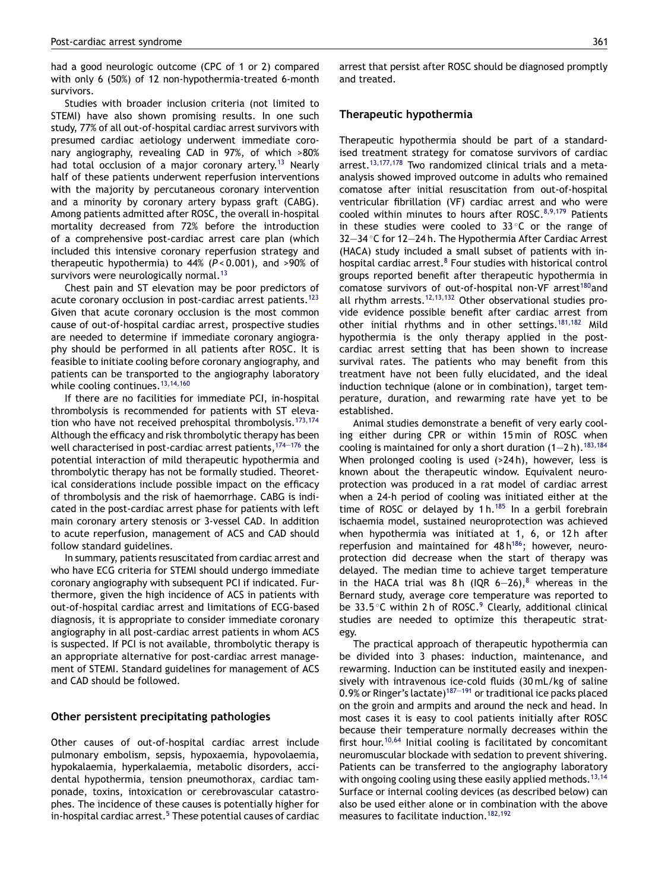had a good neurologic outcome (CPC of 1 or 2) compared with only 6 (50%) of 12 non-hypothermia-treated 6-month survivors.

Studies with broader inclusion criteria (not limited to STEMI) have also shown promising results. In one such study, 77% of all out-of-hospital cardiac arrest survivors with presumed cardiac aetiology underwent immediate coronary angiography, revealing CAD in 97%, of which >80% had total occlusion of a major coronary artery.<sup>[13](#page-20-0)</sup> Nearly half of these patients underwent reperfusion interventions with the majority by percutaneous coronary intervention and a minority by coronary artery bypass graft (CABG). Among patients admitted after ROSC, the overall in-hospital mortality decreased from 72% before the introduction of a comprehensive post-cardiac arrest care plan (which included this intensive coronary reperfusion strategy and therapeutic hypothermia) to 44% (*P* < 0.001), and >90% of survivors were neurologically normal.<sup>[13](#page-20-0)</sup>

Chest pain and ST elevation may be poor predictors of acute coronary occlusion in post-cardiac arrest patients.<sup>[123](#page-23-0)</sup> Given that acute coronary occlusion is the most common cause of out-of-hospital cardiac arrest, prospective studies are needed to determine if immediate coronary angiography should be performed in all patients after ROSC. It is feasible to initiate cooling before coronary angiography, and patients can be transported to the angiography laboratory while cooling continues.  $13,14,160$ 

If there are no facilities for immediate PCI, in-hospital thrombolysis is recommended for patients with ST eleva-tion who have not received prehospital thrombolysis.<sup>[173,174](#page-24-0)</sup> Although the efficacy and risk thrombolytic therapy has been well characterised in post-cardiac arrest patients, 174-176 the potential interaction of mild therapeutic hypothermia and thrombolytic therapy has not be formally studied. Theoretical considerations include possible impact on the efficacy of thrombolysis and the risk of haemorrhage. CABG is indicated in the post-cardiac arrest phase for patients with left main coronary artery stenosis or 3-vessel CAD. In addition to acute reperfusion, management of ACS and CAD should follow standard guidelines.

In summary, patients resuscitated from cardiac arrest and who have ECG criteria for STEMI should undergo immediate coronary angiography with subsequent PCI if indicated. Furthermore, given the high incidence of ACS in patients with out-of-hospital cardiac arrest and limitations of ECG-based diagnosis, it is appropriate to consider immediate coronary angiography in all post-cardiac arrest patients in whom ACS is suspected. If PCI is not available, thrombolytic therapy is an appropriate alternative for post-cardiac arrest management of STEMI. Standard guidelines for management of ACS and CAD should be followed.

### **Other persistent precipitating pathologies**

Other causes of out-of-hospital cardiac arrest include pulmonary embolism, sepsis, hypoxaemia, hypovolaemia, hypokalaemia, hyperkalaemia, metabolic disorders, accidental hypothermia, tension pneumothorax, cardiac tamponade, toxins, intoxication or cerebrovascular catastrophes. The incidence of these causes is potentially higher for in-hospital cardiac arrest.<sup>5</sup> [T](#page-20-0)hese potential causes of cardiac arrest that persist after ROSC should be diagnosed promptly and treated.

### **Therapeutic hypothermia**

Therapeutic hypothermia should be part of a standardised treatment strategy for comatose survivors of cardiac arrest.[13,177,178](#page-20-0) Two randomized clinical trials and a metaanalysis showed improved outcome in adults who remained comatose after initial resuscitation from out-of-hospital ventricular fibrillation (VF) cardiac arrest and who were cooled within minutes to hours after ROSC.<sup>[8,9,179](#page-20-0)</sup> Patients in these studies were cooled to 33 ◦C or the range of 32—34 ◦C for 12—24 h. The Hypothermia After Cardiac Arrest (HACA) study included a small subset of patients with in-hospital cardiac arrest.<sup>[8](#page-20-0)</sup> Four studies with historical control groups reported benefit after therapeutic hypothermia in comatose survivors of out-of-hospital non-VF arrest<sup>180</sup> and all rhythm arrests. $12,13,132$  Other observational studies provide evidence possible benefit after cardiac arrest from other initial rhythms and in other settings.<sup>[181,182](#page-24-0)</sup> Mild hypothermia is the only therapy applied in the postcardiac arrest setting that has been shown to increase survival rates. The patients who may benefit from this treatment have not been fully elucidated, and the ideal induction technique (alone or in combination), target temperature, duration, and rewarming rate have yet to be established.

Animal studies demonstrate a benefit of very early cooling either during CPR or within 15 min of ROSC when cooling is maintained for only a short duration  $(1-2 h)$ .<sup>[183,184](#page-24-0)</sup> When prolonged cooling is used (>24h), however, less is known about the therapeutic window. Equivalent neuroprotection was produced in a rat model of cardiac arrest when a 24-h period of cooling was initiated either at the time of ROSC or delayed by  $1 h$ .<sup>[185](#page-24-0)</sup> In a gerbil forebrain ischaemia model, sustained neuroprotection was achieved when hypothermia was initiated at 1, 6, or 12 h after reperfusion and maintained for 48 h<sup>186</sup>; however, neuroprotection did decrease when the start of therapy was delayed. The median time to achieve target temperature in the HACA trial was [8](#page-20-0)h (IQR  $6-26$ ),<sup>8</sup> whereas in the Bernard study, average core temperature was reported to be 33.5 °C within 2 h of ROSC.<sup>[9](#page-20-0)</sup> Clearly, additional clinical studies are needed to optimize this therapeutic strategy.

The practical approach of therapeutic hypothermia can be divided into 3 phases: induction, maintenance, and rewarming. Induction can be instituted easily and inexpensively with intravenous ice-cold fluids (30 mL/kg of saline 0.9% or Ringer's lactate)<sup>187-191</sup> or traditional ice packs placed on the groin and armpits and around the neck and head. In most cases it is easy to cool patients initially after ROSC because their temperature normally decreases within the first hour.[10,64](#page-20-0) Initial cooling is facilitated by concomitant neuromuscular blockade with sedation to prevent shivering. Patients can be transferred to the angiography laboratory with ongoing cooling using these easily applied methods.<sup>[13,14](#page-20-0)</sup> Surface or internal cooling devices (as described below) can also be used either alone or in combination with the above measures to facilitate induction.<sup>[182,192](#page-24-0)</sup>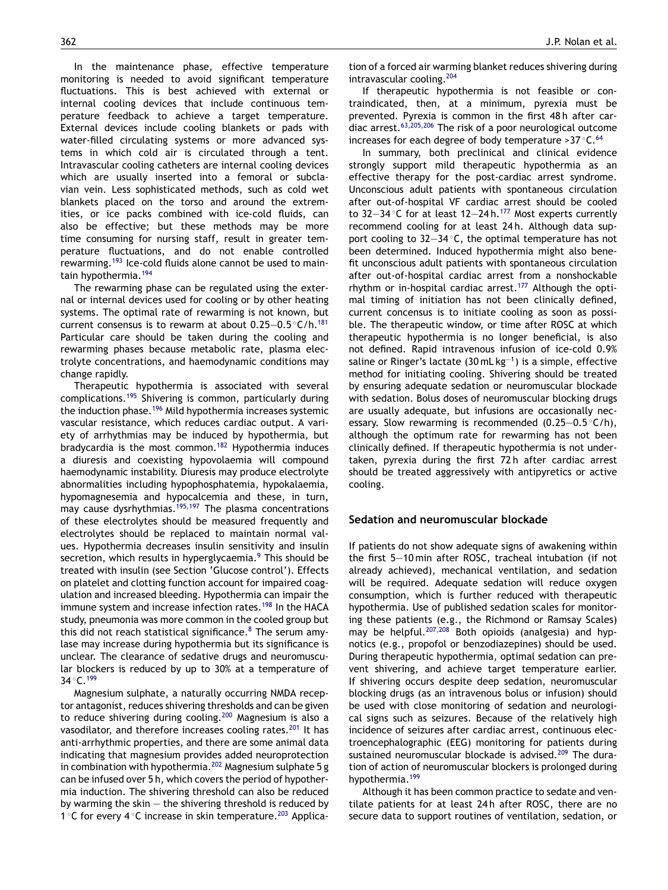In the maintenance phase, effective temperature monitoring is needed to avoid significant temperature fluctuations. This is best achieved with external or internal cooling devices that include continuous temperature feedback to achieve a target temperature. External devices include cooling blankets or pads with water-filled circulating systems or more advanced systems in which cold air is circulated through a tent. Intravascular cooling catheters are internal cooling devices which are usually inserted into a femoral or subclavian vein. Less sophisticated methods, such as cold wet blankets placed on the torso and around the extremities, or ice packs combined with ice-cold fluids, can also be effective; but these methods may be more time consuming for nursing staff, result in greater temperature fluctuations, and do not enable controlled rewarming.[193](#page-25-0) Ice-cold fluids alone cannot be used to maintain hypothermia.[194](#page-25-0)

The rewarming phase can be regulated using the external or internal devices used for cooling or by other heating systems. The optimal rate of rewarming is not known, but current consensus is to rewarm at about  $0.25-0.5\degree$ C/h.<sup>[181](#page-24-0)</sup> Particular care should be taken during the cooling and rewarming phases because metabolic rate, plasma electrolyte concentrations, and haemodynamic conditions may change rapidly.

Therapeutic hypothermia is associated with several complications.[195](#page-25-0) Shivering is common, particularly during the induction phase.<sup>[196](#page-25-0)</sup> Mild hypothermia increases systemic vascular resistance, which reduces cardiac output. A variety of arrhythmias may be induced by hypothermia, but bradycardia is the most common.[182](#page-24-0) Hypothermia induces a diuresis and coexisting hypovolaemia will compound haemodynamic instability. Diuresis may produce electrolyte abnormalities including hypophosphatemia, hypokalaemia, hypomagnesemia and hypocalcemia and these, in turn, may cause dysrhythmias.<sup>[195,197](#page-25-0)</sup> The plasma concentrations of these electrolytes should be measured frequently and electrolytes should be replaced to maintain normal values. Hypothermia decreases insulin sensitivity and insulin secretion, which results in hyperglycaemia.<sup>9</sup> [T](#page-20-0)his should be treated with insulin (see Section 'Glucose control'). Effects on platelet and clotting function account for impaired coagulation and increased bleeding. Hypothermia can impair the immune system and increase infection rates.<sup>[198](#page-25-0)</sup> In the HACA study, pneumonia was more common in the cooled group but this did not reach statistical significance.<sup>[8](#page-20-0)</sup> The serum amylase may increase during hypothermia but its significance is unclear. The clearance of sedative drugs and neuromuscular blockers is reduced by up to 30% at a temperature of 34 °C.<sup>[199](#page-25-0)</sup>

Magnesium sulphate, a naturally occurring NMDA receptor antagonist, reduces shivering thresholds and can be given to reduce shivering during cooling.<sup>[200](#page-25-0)</sup> Magnesium is also a vasodilator, and therefore increases cooling rates.<sup>[201](#page-25-0)</sup> It has anti-arrhythmic properties, and there are some animal data indicating that magnesium provides added neuroprotection in combination with hypothermia.<sup>[202](#page-25-0)</sup> Magnesium sulphate 5 g can be infused over 5 h, which covers the period of hypothermia induction. The shivering threshold can also be reduced by warming the skin — the shivering threshold is reduced by 1 °C for every 4 °C increase in skin temperature.<sup>[203](#page-25-0)</sup> Application of a forced air warming blanket reduces shivering during intravascular cooling.[204](#page-25-0)

If therapeutic hypothermia is not feasible or contraindicated, then, at a minimum, pyrexia must be prevented. Pyrexia is common in the first 48 h after cardiac arrest.[63,205,206](#page-21-0) The risk of a poor neurological outcome increases for each degree of body temperature >37 ◦C.[64](#page-21-0)

In summary, both preclinical and clinical evidence strongly support mild therapeutic hypothermia as an effective therapy for the post-cardiac arrest syndrome. Unconscious adult patients with spontaneous circulation after out-of-hospital VF cardiac arrest should be cooled to 32-34 ℃ for at least 12-24 h.<sup>[177](#page-24-0)</sup> Most experts currently recommend cooling for at least 24 h. Although data support cooling to 32–34 ℃, the optimal temperature has not been determined. Induced hypothermia might also benefit unconscious adult patients with spontaneous circulation after out-of-hospital cardiac arrest from a nonshockable rhythm or in-hospital cardiac arrest.[177](#page-24-0) Although the optimal timing of initiation has not been clinically defined, current concensus is to initiate cooling as soon as possible. The therapeutic window, or time after ROSC at which therapeutic hypothermia is no longer beneficial, is also not defined. Rapid intravenous infusion of ice-cold 0.9% saline or Ringer's lactate  $(30 \text{ mL kg}^{-1})$  is a simple, effective method for initiating cooling. Shivering should be treated by ensuring adequate sedation or neuromuscular blockade with sedation. Bolus doses of neuromuscular blocking drugs are usually adequate, but infusions are occasionally necessary. Slow rewarming is recommended  $(0.25-0.5\degree\text{C/h})$ , although the optimum rate for rewarming has not been clinically defined. If therapeutic hypothermia is not undertaken, pyrexia during the first 72 h after cardiac arrest should be treated aggressively with antipyretics or active cooling.

#### **Sedation and neuromuscular blockade**

If patients do not show adequate signs of awakening within the first 5—10 min after ROSC, tracheal intubation (if not already achieved), mechanical ventilation, and sedation will be required. Adequate sedation will reduce oxygen consumption, which is further reduced with therapeutic hypothermia. Use of published sedation scales for monitoring these patients (e.g., the Richmond or Ramsay Scales) may be helpful.<sup>[207,208](#page-25-0)</sup> Both opioids (analgesia) and hypnotics (e.g., propofol or benzodiazepines) should be used. During therapeutic hypothermia, optimal sedation can prevent shivering, and achieve target temperature earlier. If shivering occurs despite deep sedation, neuromuscular blocking drugs (as an intravenous bolus or infusion) should be used with close monitoring of sedation and neurological signs such as seizures. Because of the relatively high incidence of seizures after cardiac arrest, continuous electroencephalographic (EEG) monitoring for patients during sustained neuromuscular blockade is advised.<sup>[209](#page-25-0)</sup> The duration of action of neuromuscular blockers is prolonged during hypothermia.<sup>[199](#page-25-0)</sup>

Although it has been common practice to sedate and ventilate patients for at least 24 h after ROSC, there are no secure data to support routines of ventilation, sedation, or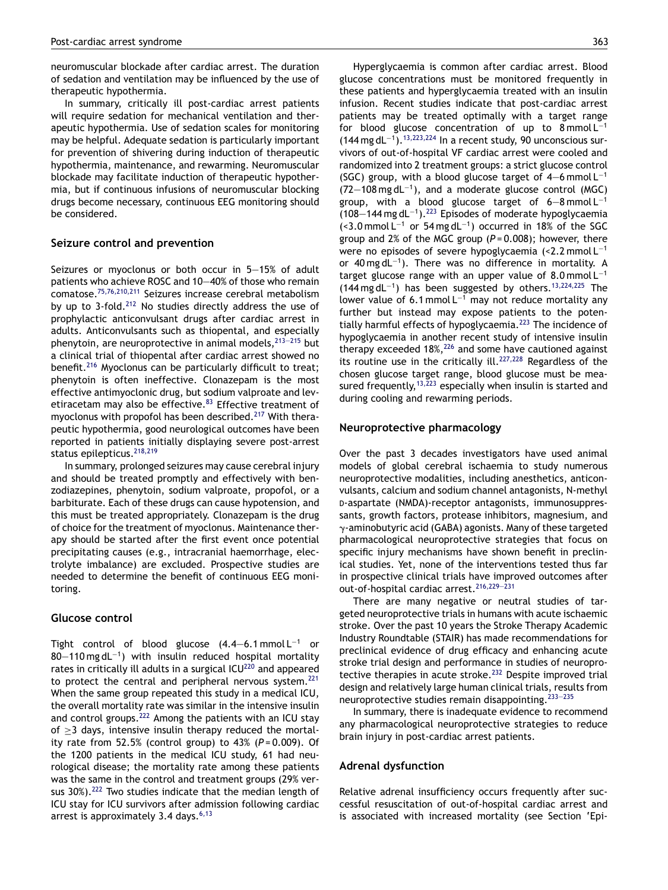neuromuscular blockade after cardiac arrest. The duration of sedation and ventilation may be influenced by the use of therapeutic hypothermia.

In summary, critically ill post-cardiac arrest patients will require sedation for mechanical ventilation and therapeutic hypothermia. Use of sedation scales for monitoring may be helpful. Adequate sedation is particularly important for prevention of shivering during induction of therapeutic hypothermia, maintenance, and rewarming. Neuromuscular blockade may facilitate induction of therapeutic hypothermia, but if continuous infusions of neuromuscular blocking drugs become necessary, continuous EEG monitoring should be considered.

### **Seizure control and prevention**

Seizures or myoclonus or both occur in 5—15% of adult patients who achieve ROSC and 10—40% of those who remain comatose.[75,76,210,211](#page-22-0) Seizures increase cerebral metabolism by up to 3-fold.<sup>[212](#page-25-0)</sup> No studies directly address the use of prophylactic anticonvulsant drugs after cardiac arrest in adults. Anticonvulsants such as thiopental, and especially phenytoin, are neuroprotective in animal models,  $213-215$  but a clinical trial of thiopental after cardiac arrest showed no benefit.<sup>[216](#page-25-0)</sup> Myoclonus can be particularly difficult to treat; phenytoin is often ineffective. Clonazepam is the most effective antimyoclonic drug, but sodium valproate and lev-etiracetam may also be effective.<sup>[83](#page-22-0)</sup> Effective treatment of myoclonus with propofol has been described.[217](#page-25-0) With therapeutic hypothermia, good neurological outcomes have been reported in patients initially displaying severe post-arrest status epilepticus.<sup>[218,219](#page-25-0)</sup>

In summary, prolonged seizures may cause cerebral injury and should be treated promptly and effectively with benzodiazepines, phenytoin, sodium valproate, propofol, or a barbiturate. Each of these drugs can cause hypotension, and this must be treated appropriately. Clonazepam is the drug of choice for the treatment of myoclonus. Maintenance therapy should be started after the first event once potential precipitating causes (e.g., intracranial haemorrhage, electrolyte imbalance) are excluded. Prospective studies are needed to determine the benefit of continuous EEG monitoring.

## **Glucose control**

Tight control of blood glucose (4.4—6.1 mmol L−<sup>1</sup> or 80—110 mg dL−1) with insulin reduced hospital mortality rates in critically ill adults in a surgical ICU<sup>[220](#page-25-0)</sup> and appeared to protect the central and peripheral nervous system.<sup>[221](#page-25-0)</sup> When the same group repeated this study in a medical ICU, the overall mortality rate was similar in the intensive insulin and control groups.<sup>[222](#page-25-0)</sup> Among the patients with an ICU stay of  $\geq$ 3 days, intensive insulin therapy reduced the mortality rate from 52.5% (control group) to 43% (*P* = 0.009). Of the 1200 patients in the medical ICU study, 61 had neurological disease; the mortality rate among these patients was the same in the control and treatment groups (29% ver-sus 30%).<sup>[222](#page-25-0)</sup> Two studies indicate that the median length of ICU stay for ICU survivors after admission following cardiac arrest is approximately 3.4 days. $6,13$ 

Hyperglycaemia is common after cardiac arrest. Blood glucose concentrations must be monitored frequently in these patients and hyperglycaemia treated with an insulin infusion. Recent studies indicate that post-cardiac arrest patients may be treated optimally with a target range for blood glucose concentration of up to 8 mmol L−<sup>1</sup> (144 mg dL−1)[.13,223,224](#page-20-0) In a recent study, 90 unconscious survivors of out-of-hospital VF cardiac arrest were cooled and randomized into 2 treatment groups: a strict glucose control (SGC) group, with a blood glucose target of  $4-6$  mmol L<sup>-1</sup> (72—108 mg dL−1), and a moderate glucose control (MGC) group, with a blood glucose target of  $6-8$  mmol L<sup>-1</sup> (108—144 mg dL−1).[223](#page-25-0) Episodes of moderate hypoglycaemia (<3.0 mmol L−<sup>1</sup> or 54 mg dL−1) occurred in 18% of the SGC group and 2% of the MGC group (*P* = 0.008); however, there were no episodes of severe hypoglycaemia (<2.2 mmol L−<sup>1</sup> or 40 mg dL<sup>-1</sup>). There was no difference in mortality. A target glucose range with an upper value of 8.0 mmol  $L^{-1}$ (144 mg dL<sup>-1</sup>) has been suggested by others.<sup>[13,224,225](#page-20-0)</sup> The lower value of 6.1 mmol L−<sup>1</sup> may not reduce mortality any further but instead may expose patients to the poten-tially harmful effects of hypoglycaemia.<sup>[223](#page-25-0)</sup> The incidence of hypoglycaemia in another recent study of intensive insulin therapy exceeded 18%,[226](#page-25-0) and some have cautioned against its routine use in the critically  $\frac{1}{227,228}$  $\frac{1}{227,228}$  $\frac{1}{227,228}$  Regardless of the chosen glucose target range, blood glucose must be measured frequently,  $13,223$  especially when insulin is started and during cooling and rewarming periods.

### **Neuroprotective pharmacology**

Over the past 3 decades investigators have used animal models of global cerebral ischaemia to study numerous neuroprotective modalities, including anesthetics, anticonvulsants, calcium and sodium channel antagonists, N-methyl D-aspartate (NMDA)-receptor antagonists, immunosuppressants, growth factors, protease inhibitors, magnesium, and  $\gamma$ -aminobutyric acid (GABA) agonists. Many of these targeted pharmacological neuroprotective strategies that focus on specific injury mechanisms have shown benefit in preclinical studies. Yet, none of the interventions tested thus far in prospective clinical trials have improved outcomes after out-of-hospital cardiac arrest.[216,229—231](#page-25-0)

There are many negative or neutral studies of targeted neuroprotective trials in humans with acute ischaemic stroke. Over the past 10 years the Stroke Therapy Academic Industry Roundtable (STAIR) has made recommendations for preclinical evidence of drug efficacy and enhancing acute stroke trial design and performance in studies of neuroprotective therapies in acute stroke.[232](#page-26-0) Despite improved trial design and relatively large human clinical trials, results from neuroprotective studies remain disappointing.[233—235](#page-26-0)

In summary, there is inadequate evidence to recommend any pharmacological neuroprotective strategies to reduce brain injury in post-cardiac arrest patients.

## **Adrenal dysfunction**

Relative adrenal insufficiency occurs frequently after successful resuscitation of out-of-hospital cardiac arrest and is associated with increased mortality (see Section 'Epi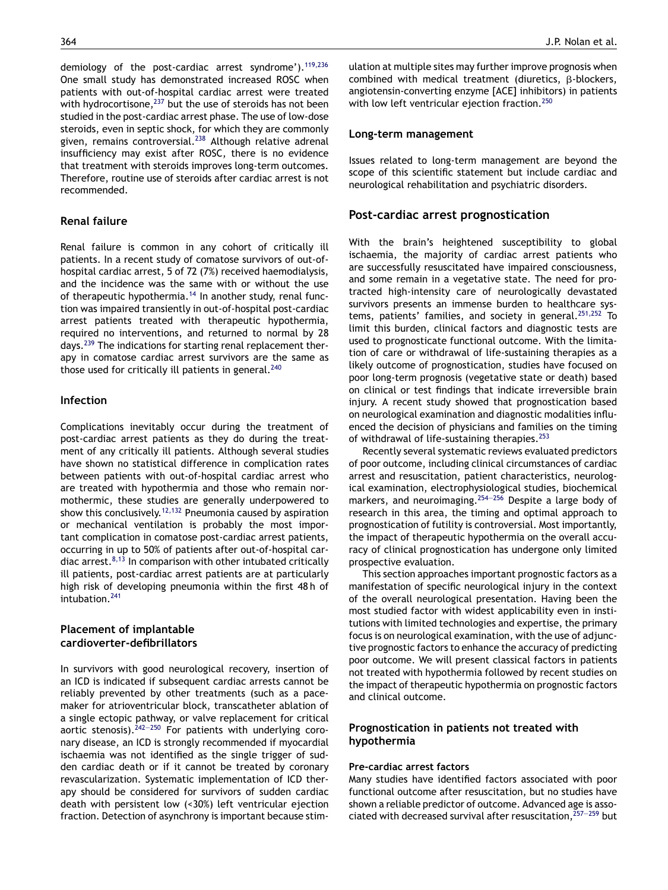demiology of the post-cardiac arrest syndrome').<sup>[119,236](#page-23-0)</sup> One small study has demonstrated increased ROSC when patients with out-of-hospital cardiac arrest were treated with hydrocortisone, $237$  but the use of steroids has not been studied in the post-cardiac arrest phase. The use of low-dose steroids, even in septic shock, for which they are commonly given, remains controversial.<sup>[238](#page-26-0)</sup> Although relative adrenal insufficiency may exist after ROSC, there is no evidence that treatment with steroids improves long-term outcomes. Therefore, routine use of steroids after cardiac arrest is not recommended.

## **Renal failure**

Renal failure is common in any cohort of critically ill patients. In a recent study of comatose survivors of out-ofhospital cardiac arrest, 5 of 72 (7%) received haemodialysis, and the incidence was the same with or without the use of therapeutic hypothermia.<sup>[14](#page-20-0)</sup> In another study, renal function was impaired transiently in out-of-hospital post-cardiac arrest patients treated with therapeutic hypothermia, required no interventions, and returned to normal by 28 days.<sup>[239](#page-26-0)</sup> The indications for starting renal replacement therapy in comatose cardiac arrest survivors are the same as those used for critically ill patients in general. $240$ 

### **Infection**

Complications inevitably occur during the treatment of post-cardiac arrest patients as they do during the treatment of any critically ill patients. Although several studies have shown no statistical difference in complication rates between patients with out-of-hospital cardiac arrest who are treated with hypothermia and those who remain normothermic, these studies are generally underpowered to show this conclusively.<sup>[12,132](#page-20-0)</sup> Pneumonia caused by aspiration or mechanical ventilation is probably the most important complication in comatose post-cardiac arrest patients, occurring in up to 50% of patients after out-of-hospital car-diac arrest.<sup>[8,13](#page-20-0)</sup> In comparison with other intubated critically ill patients, post-cardiac arrest patients are at particularly high risk of developing pneumonia within the first 48 h of intubation.[241](#page-26-0)

## **Placement of implantable cardioverter-defibrillators**

In survivors with good neurological recovery, insertion of an ICD is indicated if subsequent cardiac arrests cannot be reliably prevented by other treatments (such as a pacemaker for atrioventricular block, transcatheter ablation of a single ectopic pathway, or valve replacement for critical aortic stenosis). $242-250$  For patients with underlying coronary disease, an ICD is strongly recommended if myocardial ischaemia was not identified as the single trigger of sudden cardiac death or if it cannot be treated by coronary revascularization. Systematic implementation of ICD therapy should be considered for survivors of sudden cardiac death with persistent low (<30%) left ventricular ejection fraction. Detection of asynchrony is important because stim-

ulation at multiple sites may further improve prognosis when combined with medical treatment (diuretics,  $\beta$ -blockers, angiotensin-converting enzyme [ACE] inhibitors) in patients with low left ventricular ejection fraction.<sup>[250](#page-26-0)</sup>

#### **Long-term management**

Issues related to long-term management are beyond the scope of this scientific statement but include cardiac and neurological rehabilitation and psychiatric disorders.

### **Post-cardiac arrest prognostication**

With the brain's heightened susceptibility to global ischaemia, the majority of cardiac arrest patients who are successfully resuscitated have impaired consciousness, and some remain in a vegetative state. The need for protracted high-intensity care of neurologically devastated survivors presents an immense burden to healthcare sys-tems, patients' families, and society in general.<sup>[251,252](#page-26-0)</sup> To limit this burden, clinical factors and diagnostic tests are used to prognosticate functional outcome. With the limitation of care or withdrawal of life-sustaining therapies as a likely outcome of prognostication, studies have focused on poor long-term prognosis (vegetative state or death) based on clinical or test findings that indicate irreversible brain injury. A recent study showed that prognostication based on neurological examination and diagnostic modalities influenced the decision of physicians and families on the timing of withdrawal of life-sustaining therapies.<sup>[253](#page-26-0)</sup>

Recently several systematic reviews evaluated predictors of poor outcome, including clinical circumstances of cardiac arrest and resuscitation, patient characteristics, neurological examination, electrophysiological studies, biochemical markers, and neuroimaging.<sup>254–256</sup> Despite a large body of research in this area, the timing and optimal approach to prognostication of futility is controversial. Most importantly, the impact of therapeutic hypothermia on the overall accuracy of clinical prognostication has undergone only limited prospective evaluation.

This section approaches important prognostic factors as a manifestation of specific neurological injury in the context of the overall neurological presentation. Having been the most studied factor with widest applicability even in institutions with limited technologies and expertise, the primary focus is on neurological examination, with the use of adjunctive prognostic factors to enhance the accuracy of predicting poor outcome. We will present classical factors in patients not treated with hypothermia followed by recent studies on the impact of therapeutic hypothermia on prognostic factors and clinical outcome.

## **Prognostication in patients not treated with hypothermia**

### **Pre-cardiac arrest factors**

Many studies have identified factors associated with poor functional outcome after resuscitation, but no studies have shown a reliable predictor of outcome. Advanced age is associated with decreased survival after resuscitation,[257—259](#page-26-0) but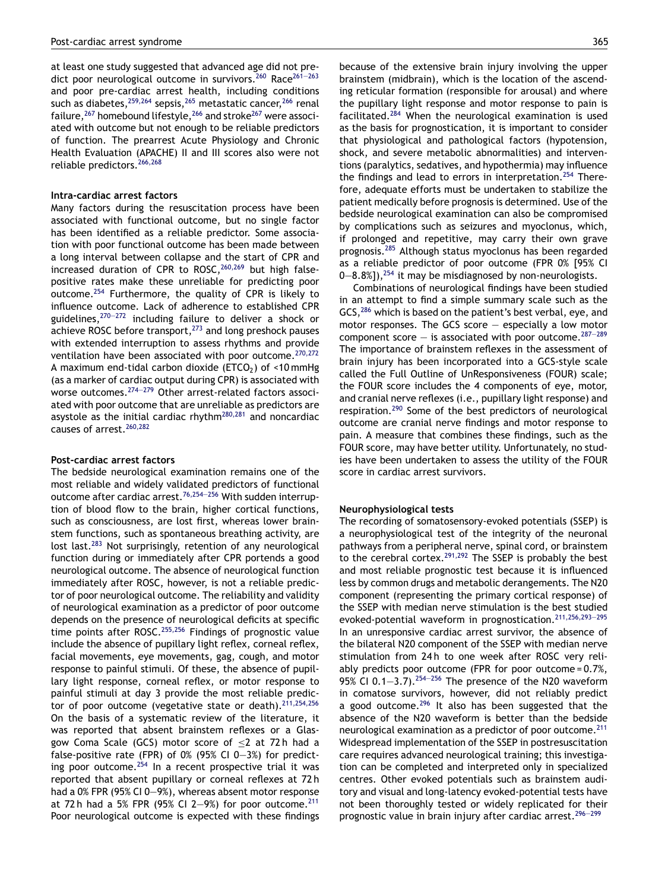at least one study suggested that advanced age did not pre-dict poor neurological outcome in survivors.<sup>[260](#page-26-0)</sup> Race<sup>261-263</sup> and poor pre-cardiac arrest health, including conditions such as diabetes,  $259,264$  sepsis,  $265$  metastatic cancer,  $266$  renal failure,<sup>[267](#page-26-0)</sup> homebound lifestyle,<sup>[266](#page-26-0)</sup> and stroke<sup>267</sup> were associated with outcome but not enough to be reliable predictors of function. The prearrest Acute Physiology and Chronic Health Evaluation (APACHE) II and III scores also were not reliable predictors.<sup>[266,268](#page-26-0)</sup>

#### **Intra-cardiac arrest factors**

Many factors during the resuscitation process have been associated with functional outcome, but no single factor has been identified as a reliable predictor. Some association with poor functional outcome has been made between a long interval between collapse and the start of CPR and increased duration of CPR to ROSC, [260,269](#page-26-0) but high falsepositive rates make these unreliable for predicting poor outcome.<sup>[254](#page-26-0)</sup> Furthermore, the quality of CPR is likely to influence outcome. Lack of adherence to established CPR guidelines, $270-272$  including failure to deliver a shock or achieve ROSC before transport, $273$  and long preshock pauses with extended interruption to assess rhythms and provide ventilation have been associated with poor outcome.<sup>[270,272](#page-27-0)</sup> A maximum end-tidal carbon dioxide (ETCO<sub>2</sub>) of <10 mmHg (as a marker of cardiac output during CPR) is associated with worse outcomes.[274—279](#page-27-0) Other arrest-related factors associated with poor outcome that are unreliable as predictors are asystole as the initial cardiac rhythm[280,281](#page-27-0) and noncardiac causes of arrest.<sup>[260,282](#page-26-0)</sup>

### **Post-cardiac arrest factors**

The bedside neurological examination remains one of the most reliable and widely validated predictors of functional outcome after cardiac arrest.<sup>76,254-256</sup> With sudden interruption of blood flow to the brain, higher cortical functions, such as consciousness, are lost first, whereas lower brainstem functions, such as spontaneous breathing activity, are lost last.<sup>[283](#page-27-0)</sup> Not surprisingly, retention of any neurological function during or immediately after CPR portends a good neurological outcome. The absence of neurological function immediately after ROSC, however, is not a reliable predictor of poor neurological outcome. The reliability and validity of neurological examination as a predictor of poor outcome depends on the presence of neurological deficits at specific time points after ROSC.<sup>[255,256](#page-26-0)</sup> Findings of prognostic value include the absence of pupillary light reflex, corneal reflex, facial movements, eye movements, gag, cough, and motor response to painful stimuli. Of these, the absence of pupillary light response, corneal reflex, or motor response to painful stimuli at day 3 provide the most reliable predic-tor of poor outcome (vegetative state or death).<sup>[211,254,256](#page-25-0)</sup> On the basis of a systematic review of the literature, it was reported that absent brainstem reflexes or a Glasgow Coma Scale (GCS) motor score of  $\leq$ 2 at 72 h had a false-positive rate (FPR) of 0% (95% CI 0—3%) for predicting poor outcome.[254](#page-26-0) In a recent prospective trial it was reported that absent pupillary or corneal reflexes at 72 h had a 0% FPR (95% CI 0–9%), whereas absent motor response at 72 h had a 5% FPR (95% CI 2-9%) for poor outcome.<sup>[211](#page-25-0)</sup> Poor neurological outcome is expected with these findings because of the extensive brain injury involving the upper brainstem (midbrain), which is the location of the ascending reticular formation (responsible for arousal) and where the pupillary light response and motor response to pain is facilitated.[284](#page-27-0) When the neurological examination is used as the basis for prognostication, it is important to consider that physiological and pathological factors (hypotension, shock, and severe metabolic abnormalities) and interventions (paralytics, sedatives, and hypothermia) may influence the findings and lead to errors in interpretation.<sup>[254](#page-26-0)</sup> Therefore, adequate efforts must be undertaken to stabilize the patient medically before prognosis is determined. Use of the bedside neurological examination can also be compromised by complications such as seizures and myoclonus, which, if prolonged and repetitive, may carry their own grave prognosis.[285](#page-27-0) Although status myoclonus has been regarded as a reliable predictor of poor outcome (FPR 0% [95% CI  $0-8.8\%$ ]),<sup>[254](#page-26-0)</sup> it may be misdiagnosed by non-neurologists.

Combinations of neurological findings have been studied in an attempt to find a simple summary scale such as the GCS,<sup>[286](#page-27-0)</sup> which is based on the patient's best verbal, eye, and motor responses. The GCS score  $-$  especially a low motor component score  $-$  is associated with poor outcome.<sup>287-289</sup> The importance of brainstem reflexes in the assessment of brain injury has been incorporated into a GCS-style scale called the Full Outline of UnResponsiveness (FOUR) scale; the FOUR score includes the 4 components of eye, motor, and cranial nerve reflexes (i.e., pupillary light response) and respiration.[290](#page-27-0) Some of the best predictors of neurological outcome are cranial nerve findings and motor response to pain. A measure that combines these findings, such as the FOUR score, may have better utility. Unfortunately, no studies have been undertaken to assess the utility of the FOUR score in cardiac arrest survivors.

### **Neurophysiological tests**

The recording of somatosensory-evoked potentials (SSEP) is a neurophysiological test of the integrity of the neuronal pathways from a peripheral nerve, spinal cord, or brainstem to the cerebral cortex.[291,292](#page-27-0) The SSEP is probably the best and most reliable prognostic test because it is influenced less by common drugs and metabolic derangements. The N20 component (representing the primary cortical response) of the SSEP with median nerve stimulation is the best studied evoked-potential waveform in prognostication.[211,256,293—295](#page-25-0) In an unresponsive cardiac arrest survivor, the absence of the bilateral N20 component of the SSEP with median nerve stimulation from 24 h to one week after ROSC very reliably predicts poor outcome (FPR for poor outcome = 0.7%, 95% CI 0.1-3.7).<sup>254-256</sup> The presence of the N20 waveform in comatose survivors, however, did not reliably predict a good outcome.<sup>[296](#page-27-0)</sup> It also has been suggested that the absence of the N20 waveform is better than the bedside neurological examination as a predictor of poor outcome.<sup>[211](#page-25-0)</sup> Widespread implementation of the SSEP in postresuscitation care requires advanced neurological training; this investigation can be completed and interpreted only in specialized centres. Other evoked potentials such as brainstem auditory and visual and long-latency evoked-potential tests have not been thoroughly tested or widely replicated for their prognostic value in brain injury after cardiac arrest.<sup>296-299</sup>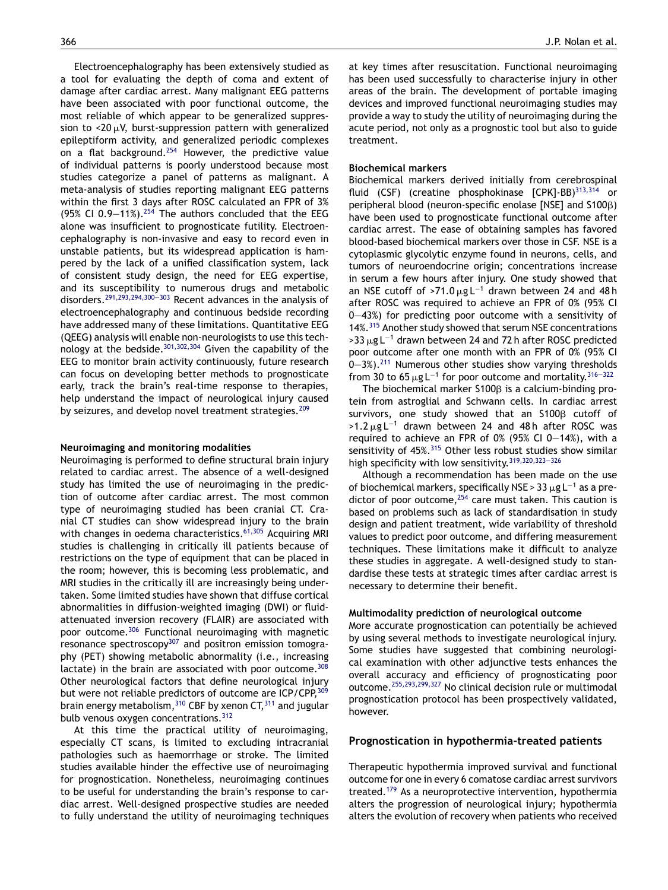Electroencephalography has been extensively studied as a tool for evaluating the depth of coma and extent of damage after cardiac arrest. Many malignant EEG patterns have been associated with poor functional outcome, the most reliable of which appear to be generalized suppression to <20  $\mu$ V, burst-suppression pattern with generalized epileptiform activity, and generalized periodic complexes on a flat background.[254](#page-26-0) However, the predictive value of individual patterns is poorly understood because most studies categorize a panel of patterns as malignant. A meta-analysis of studies reporting malignant EEG patterns within the first 3 days after ROSC calculated an FPR of 3% (95% CI 0.9-11%).<sup>[254](#page-26-0)</sup> The authors concluded that the EEG alone was insufficient to prognosticate futility. Electroencephalography is non-invasive and easy to record even in unstable patients, but its widespread application is hampered by the lack of a unified classification system, lack of consistent study design, the need for EEG expertise, and its susceptibility to numerous drugs and metabolic disorders.[291,293,294,300—303](#page-27-0) Recent advances in the analysis of electroencephalography and continuous bedside recording have addressed many of these limitations. Quantitative EEG (QEEG) analysis will enable non-neurologists to use this technology at the bedside.[301,302,304](#page-27-0) Given the capability of the EEG to monitor brain activity continuously, future research can focus on developing better methods to prognosticate early, track the brain's real-time response to therapies, help understand the impact of neurological injury caused by seizures, and develop novel treatment strategies.<sup>[209](#page-25-0)</sup>

### **Neuroimaging and monitoring modalities**

Neuroimaging is performed to define structural brain injury related to cardiac arrest. The absence of a well-designed study has limited the use of neuroimaging in the prediction of outcome after cardiac arrest. The most common type of neuroimaging studied has been cranial CT. Cranial CT studies can show widespread injury to the brain with changes in oedema characteristics.<sup>[61,305](#page-21-0)</sup> Acquiring MRI studies is challenging in critically ill patients because of restrictions on the type of equipment that can be placed in the room; however, this is becoming less problematic, and MRI studies in the critically ill are increasingly being undertaken. Some limited studies have shown that diffuse cortical abnormalities in diffusion-weighted imaging (DWI) or fluidattenuated inversion recovery (FLAIR) are associated with poor outcome.[306](#page-27-0) Functional neuroimaging with magnetic resonance spectroscopy<sup>[307](#page-27-0)</sup> and positron emission tomography (PET) showing metabolic abnormality (i.e., increasing lactate) in the brain are associated with poor outcome.<sup>[308](#page-27-0)</sup> Other neurological factors that define neurological injury but were not reliable predictors of outcome are ICP/CPP, [309](#page-27-0) brain energy metabolism,  $310$  CBF by xenon CT,  $311$  and jugular bulb venous oxygen concentrations.<sup>[312](#page-28-0)</sup>

At this time the practical utility of neuroimaging, especially CT scans, is limited to excluding intracranial pathologies such as haemorrhage or stroke. The limited studies available hinder the effective use of neuroimaging for prognostication. Nonetheless, neuroimaging continues to be useful for understanding the brain's response to cardiac arrest. Well-designed prospective studies are needed to fully understand the utility of neuroimaging techniques

at key times after resuscitation. Functional neuroimaging has been used successfully to characterise injury in other areas of the brain. The development of portable imaging devices and improved functional neuroimaging studies may provide a way to study the utility of neuroimaging during the acute period, not only as a prognostic tool but also to guide treatment.

#### **Biochemical markers**

Biochemical markers derived initially from cerebrospinal fluid (CSF) (creatine phosphokinase  $ICPK1-BB$ )<sup>[313,314](#page-28-0)</sup> or peripheral blood (neuron-specific enolase [NSE] and S100<sub>B</sub>) have been used to prognosticate functional outcome after cardiac arrest. The ease of obtaining samples has favored blood-based biochemical markers over those in CSF. NSE is a cytoplasmic glycolytic enzyme found in neurons, cells, and tumors of neuroendocrine origin; concentrations increase in serum a few hours after injury. One study showed that an NSE cutoff of >71.0  $\mu$ g L<sup>-1</sup> drawn between 24 and 48 h after ROSC was required to achieve an FPR of 0% (95% CI 0—43%) for predicting poor outcome with a sensitivity of 14%.<sup>[315](#page-28-0)</sup> Another study showed that serum NSE concentrations >33 µg L<sup>-1</sup> drawn between 24 and 72 h after ROSC predicted poor outcome after one month with an FPR of 0% (95% CI  $0-3\%$ ).<sup>[211](#page-25-0)</sup> Numerous other studies show varying thresholds from 30 to 65  $\mu$ g L<sup>-1</sup> for poor outcome and mortality.<sup>316–322</sup>

The biochemical marker S100<sub>B</sub> is a calcium-binding protein from astroglial and Schwann cells. In cardiac arrest survivors, one study showed that an S100<sub>B</sub> cutoff of >1.2 µg L<sup>-1</sup> drawn between 24 and 48h after ROSC was required to achieve an FPR of 0% (95% CI 0—14%), with a sensitivity of 45%.<sup>[315](#page-28-0)</sup> Other less robust studies show similar high specificity with low sensitivity.<sup>319,320,323-326</sup>

Although a recommendation has been made on the use of biochemical markers, specifically NSE > 33  $\mu$ g L<sup>-1</sup> as a predictor of poor outcome, $254$  care must taken. This caution is based on problems such as lack of standardisation in study design and patient treatment, wide variability of threshold values to predict poor outcome, and differing measurement techniques. These limitations make it difficult to analyze these studies in aggregate. A well-designed study to standardise these tests at strategic times after cardiac arrest is necessary to determine their benefit.

#### **Multimodality prediction of neurological outcome**

More accurate prognostication can potentially be achieved by using several methods to investigate neurological injury. Some studies have suggested that combining neurological examination with other adjunctive tests enhances the overall accuracy and efficiency of prognosticating poor outcome.[255,293,299,327](#page-26-0) No clinical decision rule or multimodal prognostication protocol has been prospectively validated, however.

## **Prognostication in hypothermia-treated patients**

Therapeutic hypothermia improved survival and functional outcome for one in every 6 comatose cardiac arrest survivors treated.[179](#page-24-0) As a neuroprotective intervention, hypothermia alters the progression of neurological injury; hypothermia alters the evolution of recovery when patients who received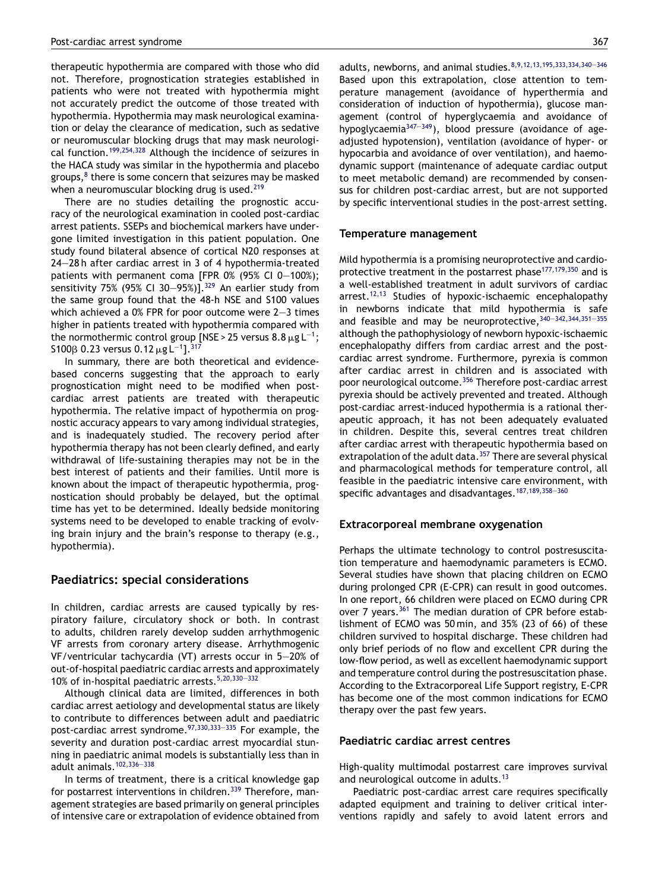therapeutic hypothermia are compared with those who did not. Therefore, prognostication strategies established in patients who were not treated with hypothermia might not accurately predict the outcome of those treated with hypothermia. Hypothermia may mask neurological examination or delay the clearance of medication, such as sedative or neuromuscular blocking drugs that may mask neurological function.[199,254,328](#page-25-0) Although the incidence of seizures in the HACA study was similar in the hypothermia and placebo groups, $8$  [t](#page-20-0)here is some concern that seizures may be masked when a neuromuscular blocking drug is used. $219$ 

There are no studies detailing the prognostic accuracy of the neurological examination in cooled post-cardiac arrest patients. SSEPs and biochemical markers have undergone limited investigation in this patient population. One study found bilateral absence of cortical N20 responses at 24—28 h after cardiac arrest in 3 of 4 hypothermia-treated patients with permanent coma [FPR 0% (95% CI 0—100%); sensitivity 75% (95% CI 30-95%)].<sup>[329](#page-28-0)</sup> An earlier study from the same group found that the 48-h NSE and S100 values which achieved a 0% FPR for poor outcome were 2—3 times higher in patients treated with hypothermia compared with the normothermic control group [NSE > 25 versus 8.8  $\mu$ g L $^{-1};$ S100 $\beta$  0.23 versus 0.12  $\mu$ g L $^{-1}$ ]. $^{317}$ 

In summary, there are both theoretical and evidencebased concerns suggesting that the approach to early prognostication might need to be modified when postcardiac arrest patients are treated with therapeutic hypothermia. The relative impact of hypothermia on prognostic accuracy appears to vary among individual strategies, and is inadequately studied. The recovery period after hypothermia therapy has not been clearly defined, and early withdrawal of life-sustaining therapies may not be in the best interest of patients and their families. Until more is known about the impact of therapeutic hypothermia, prognostication should probably be delayed, but the optimal time has yet to be determined. Ideally bedside monitoring systems need to be developed to enable tracking of evolving brain injury and the brain's response to therapy (e.g., hypothermia).

## **Paediatrics: special considerations**

In children, cardiac arrests are caused typically by respiratory failure, circulatory shock or both. In contrast to adults, children rarely develop sudden arrhythmogenic VF arrests from coronary artery disease. Arrhythmogenic VF/ventricular tachycardia (VT) arrests occur in 5—20% of out-of-hospital paediatric cardiac arrests and approximately 10% of in-hospital paediatric arrests.[5,20,330—332](#page-20-0)

Although clinical data are limited, differences in both cardiac arrest aetiology and developmental status are likely to contribute to differences between adult and paediatric post-cardiac arrest syndrome.[97,330,333—335](#page-22-0) For example, the severity and duration post-cardiac arrest myocardial stunning in paediatric animal models is substantially less than in adult animals.[102,336—338](#page-22-0)

In terms of treatment, there is a critical knowledge gap for postarrest interventions in children.<sup>[339](#page-28-0)</sup> Therefore, management strategies are based primarily on general principles of intensive care or extrapolation of evidence obtained from

adults, newborns, and animal studies.  $8,9,12,13,195,333,334,340-346$ Based upon this extrapolation, close attention to temperature management (avoidance of hyperthermia and consideration of induction of hypothermia), glucose management (control of hyperglycaemia and avoidance of hypoglycaemia[347—349\),](#page-29-0) blood pressure (avoidance of ageadjusted hypotension), ventilation (avoidance of hyper- or hypocarbia and avoidance of over ventilation), and haemodynamic support (maintenance of adequate cardiac output to meet metabolic demand) are recommended by consensus for children post-cardiac arrest, but are not supported by specific interventional studies in the post-arrest setting.

#### **Temperature management**

Mild hypothermia is a promising neuroprotective and cardio-protective treatment in the postarrest phase<sup>[177,179,350](#page-24-0)</sup> and is a well-established treatment in adult survivors of cardiac arrest.<sup>[12,13](#page-20-0)</sup> Studies of hypoxic-ischaemic encephalopathy in newborns indicate that mild hypothermia is safe and feasible and may be neuroprotective, 340-342, 344, 351-355 although the pathophysiology of newborn hypoxic-ischaemic encephalopathy differs from cardiac arrest and the postcardiac arrest syndrome. Furthermore, pyrexia is common after cardiac arrest in children and is associated with poor neurological outcome.[356](#page-29-0) Therefore post-cardiac arrest pyrexia should be actively prevented and treated. Although post-cardiac arrest-induced hypothermia is a rational therapeutic approach, it has not been adequately evaluated in children. Despite this, several centres treat children after cardiac arrest with therapeutic hypothermia based on extrapolation of the adult data.<sup>[357](#page-29-0)</sup> There are several physical and pharmacological methods for temperature control, all feasible in the paediatric intensive care environment, with specific advantages and disadvantages.[187,189,358—360](#page-24-0)

## **Extracorporeal membrane oxygenation**

Perhaps the ultimate technology to control postresuscitation temperature and haemodynamic parameters is ECMO. Several studies have shown that placing children on ECMO during prolonged CPR (E-CPR) can result in good outcomes. In one report, 66 children were placed on ECMO during CPR over 7 years.<sup>[361](#page-29-0)</sup> The median duration of CPR before establishment of ECMO was 50 min, and 35% (23 of 66) of these children survived to hospital discharge. These children had only brief periods of no flow and excellent CPR during the low-flow period, as well as excellent haemodynamic support and temperature control during the postresuscitation phase. According to the Extracorporeal Life Support registry, E-CPR has become one of the most common indications for ECMO therapy over the past few years.

### **Paediatric cardiac arrest centres**

High-quality multimodal postarrest care improves survival and neurological outcome in adults.<sup>[13](#page-20-0)</sup>

Paediatric post-cardiac arrest care requires specifically adapted equipment and training to deliver critical interventions rapidly and safely to avoid latent errors and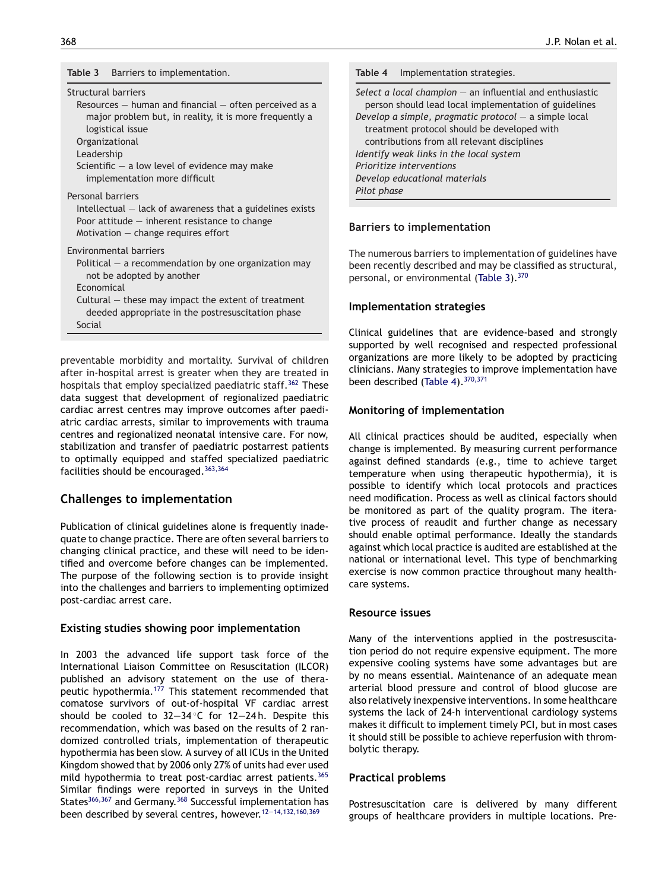|                                                               | <b>Table 3</b> Barriers to implementation.                                                                                                                                                                                   |
|---------------------------------------------------------------|------------------------------------------------------------------------------------------------------------------------------------------------------------------------------------------------------------------------------|
| Structural barriers<br>Organizational<br>Leadership           | Resources $-$ human and financial $-$ often perceived as a<br>major problem but, in reality, it is more frequently a<br>logistical issue<br>Scientific $-$ a low level of evidence may make<br>implementation more difficult |
| Personal barriers                                             | Intellectual $-$ lack of awareness that a guidelines exists<br>Poor attitude - inherent resistance to change<br>Motivation $-$ change requires effort                                                                        |
| <b>Fnvironmental barriers</b><br><b>F</b> conomical<br>Social | Political $-$ a recommendation by one organization may<br>not be adopted by another<br>Cultural $-$ these may impact the extent of treatment<br>deeded appropriate in the postresuscitation phase                            |

preventable morbidity and mortality. Survival of children after in-hospital arrest is greater when they are treated in hospitals that employ specialized paediatric staff.<sup>[362](#page-29-0)</sup> These data suggest that development of regionalized paediatric cardiac arrest centres may improve outcomes after paediatric cardiac arrests, similar to improvements with trauma centres and regionalized neonatal intensive care. For now, stabilization and transfer of paediatric postarrest patients to optimally equipped and staffed specialized paediatric facilities should be encouraged.[363,364](#page-29-0)

# **Challenges to implementation**

Publication of clinical guidelines alone is frequently inadequate to change practice. There are often several barriers to changing clinical practice, and these will need to be identified and overcome before changes can be implemented. The purpose of the following section is to provide insight into the challenges and barriers to implementing optimized post-cardiac arrest care.

## **Existing studies showing poor implementation**

In 2003 the advanced life support task force of the International Liaison Committee on Resuscitation (ILCOR) published an advisory statement on the use of therapeutic hypothermia.[177](#page-24-0) This statement recommended that comatose survivors of out-of-hospital VF cardiac arrest should be cooled to  $32-34$ °C for  $12-24$  h. Despite this recommendation, which was based on the results of 2 randomized controlled trials, implementation of therapeutic hypothermia has been slow. A survey of all ICUs in the United Kingdom showed that by 2006 only 27% of units had ever used mild hypothermia to treat post-cardiac arrest patients.<sup>[365](#page-29-0)</sup> Similar findings were reported in surveys in the United States<sup>[366,367](#page-29-0)</sup> and Germany.<sup>[368](#page-29-0)</sup> Successful implementation has been described by several centres, however.<sup>12-14,132,160,369</sup>

| Table 4<br>Implementation strategies.                                                                                |  |
|----------------------------------------------------------------------------------------------------------------------|--|
| Select a local champion $-$ an influential and enthusiastic<br>person should lead local implementation of guidelines |  |
| Develop a simple, pragmatic protocol $-$ a simple local                                                              |  |
| treatment protocol should be developed with                                                                          |  |
| contributions from all relevant disciplines                                                                          |  |
| Identify weak links in the local system                                                                              |  |
| Prioritize interventions                                                                                             |  |
| Develop educational materials                                                                                        |  |
| Pilot phase                                                                                                          |  |

## **Barriers to implementation**

The numerous barriers to implementation of guidelines have been recently described and may be classified as structural, personal, or environmental (Table 3).<sup>370</sup>

## **Implementation strategies**

Clinical guidelines that are evidence-based and strongly supported by well recognised and respected professional organizations are more likely to be adopted by practicing clinicians. Many strategies to improve implementation have been described (Table 4). 370, 371

## **Monitoring of implementation**

All clinical practices should be audited, especially when change is implemented. By measuring current performance against defined standards (e.g., time to achieve target temperature when using therapeutic hypothermia), it is possible to identify which local protocols and practices need modification. Process as well as clinical factors should be monitored as part of the quality program. The iterative process of reaudit and further change as necessary should enable optimal performance. Ideally the standards against which local practice is audited are established at the national or international level. This type of benchmarking exercise is now common practice throughout many healthcare systems.

## **Resource issues**

Many of the interventions applied in the postresuscitation period do not require expensive equipment. The more expensive cooling systems have some advantages but are by no means essential. Maintenance of an adequate mean arterial blood pressure and control of blood glucose are also relatively inexpensive interventions. In some healthcare systems the lack of 24-h interventional cardiology systems makes it difficult to implement timely PCI, but in most cases it should still be possible to achieve reperfusion with thrombolytic therapy.

## **Practical problems**

Postresuscitation care is delivered by many different groups of healthcare providers in multiple locations. Pre-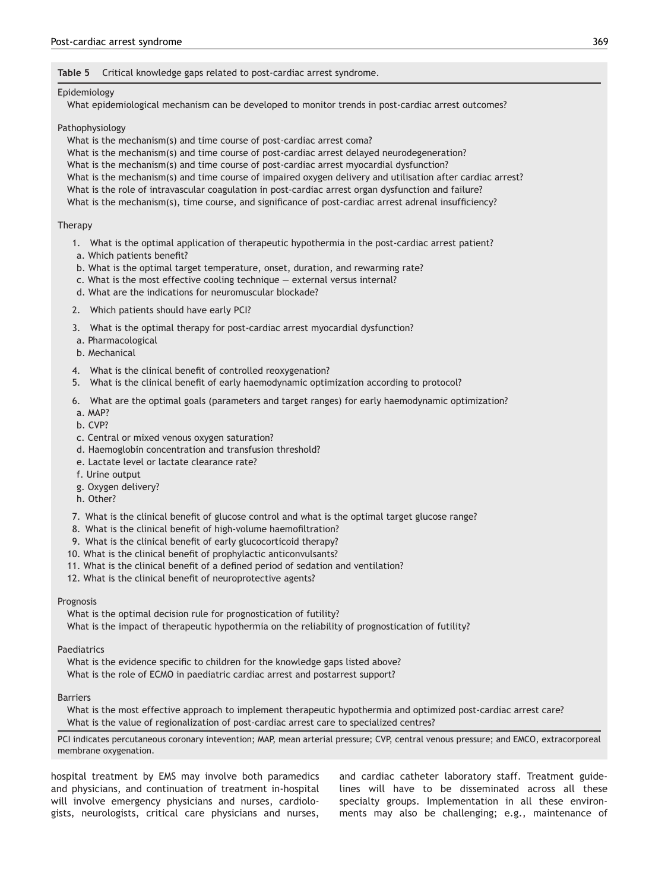### <span id="page-19-0"></span>**Table 5** Critical knowledge gaps related to post-cardiac arrest syndrome.

#### **Epidemiology**

What epidemiological mechanism can be developed to monitor trends in post-cardiac arrest outcomes?

#### Pathophysiology

- What is the mechanism(s) and time course of post-cardiac arrest coma?
- What is the mechanism(s) and time course of post-cardiac arrest delayed neurodegeneration?
- What is the mechanism(s) and time course of post-cardiac arrest myocardial dysfunction?
- What is the mechanism(s) and time course of impaired oxygen delivery and utilisation after cardiac arrest?
- What is the role of intravascular coagulation in post-cardiac arrest organ dysfunction and failure?

What is the mechanism(s), time course, and significance of post-cardiac arrest adrenal insufficiency?

### Therapy

- 1. What is the optimal application of therapeutic hypothermia in the post-cardiac arrest patient? a. Which patients benefit?
- b. What is the optimal target temperature, onset, duration, and rewarming rate?
- c. What is the most effective cooling technique external versus internal?
- d. What are the indications for neuromuscular blockade?
- 2. Which patients should have early PCI?
- 3. What is the optimal therapy for post-cardiac arrest myocardial dysfunction?
- a. Pharmacological
- b. Mechanical
- 4. What is the clinical benefit of controlled reoxygenation?
- 5. What is the clinical benefit of early haemodynamic optimization according to protocol?
- 6. What are the optimal goals (parameters and target ranges) for early haemodynamic optimization?
- a. MAP?
- b. CVP?
- c. Central or mixed venous oxygen saturation?
- d. Haemoglobin concentration and transfusion threshold?
- e. Lactate level or lactate clearance rate?
- f. Urine output
- g. Oxygen delivery?
- h. Other?
- 7. What is the clinical benefit of glucose control and what is the optimal target glucose range?
- 8. What is the clinical benefit of high-volume haemofiltration?
- 9. What is the clinical benefit of early glucocorticoid therapy?
- 10. What is the clinical benefit of prophylactic anticonvulsants?
- 11. What is the clinical benefit of a defined period of sedation and ventilation?
- 12. What is the clinical benefit of neuroprotective agents?

#### Prognosis

What is the optimal decision rule for prognostication of futility?

What is the impact of therapeutic hypothermia on the reliability of prognostication of futility?

### Paediatrics

What is the evidence specific to children for the knowledge gaps listed above?

What is the role of ECMO in paediatric cardiac arrest and postarrest support?

#### Barriers

What is the most effective approach to implement therapeutic hypothermia and optimized post-cardiac arrest care? What is the value of regionalization of post-cardiac arrest care to specialized centres?

PCI indicates percutaneous coronary intevention; MAP, mean arterial pressure; CVP, central venous pressure; and EMCO, extracorporeal membrane oxygenation.

hospital treatment by EMS may involve both paramedics and physicians, and continuation of treatment in-hospital will involve emergency physicians and nurses, cardiologists, neurologists, critical care physicians and nurses,

and cardiac catheter laboratory staff. Treatment guidelines will have to be disseminated across all these specialty groups. Implementation in all these environments may also be challenging; e.g., maintenance of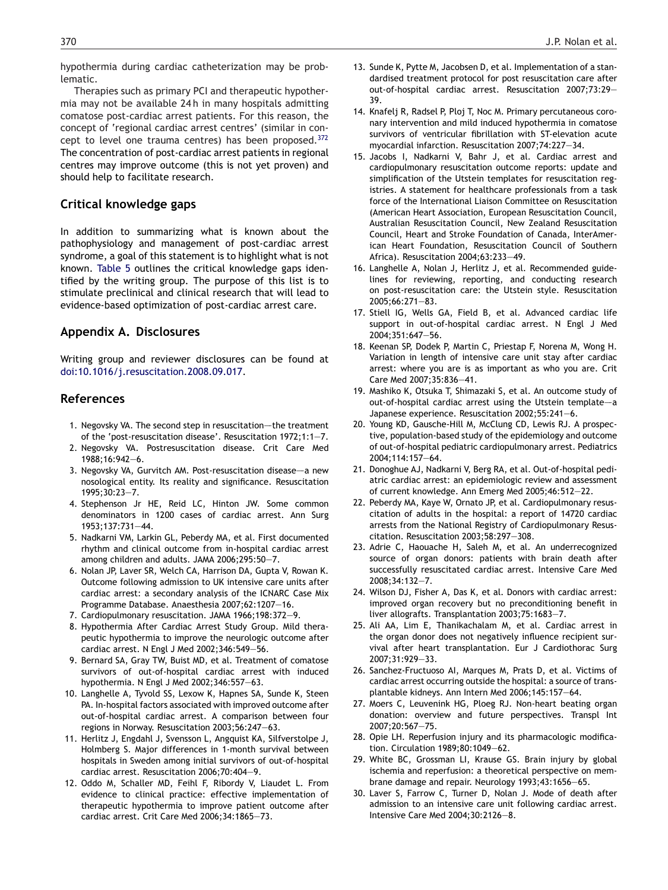<span id="page-20-0"></span>hypothermia during cardiac catheterization may be problematic.

Therapies such as primary PCI and therapeutic hypothermia may not be available 24 h in many hospitals admitting comatose post-cardiac arrest patients. For this reason, the concept of 'regional cardiac arrest centres' (similar in con-cept to level one trauma centres) has been proposed.<sup>[372](#page-29-0)</sup> The concentration of post-cardiac arrest patients in regional centres may improve outcome (this is not yet proven) and should help to facilitate research.

# **Critical knowledge gaps**

In addition to summarizing what is known about the pathophysiology and management of post-cardiac arrest syndrome, a goal of this statement is to highlight what is not known. [Table 5](#page-19-0) outlines the critical knowledge gaps identified by the writing group. The purpose of this list is to stimulate preclinical and clinical research that will lead to evidence-based optimization of post-cardiac arrest care.

## **Appendix A. Disclosures**

Writing group and reviewer disclosures can be found at [doi:10.1016/j.resuscitation.2008.09.017](http://dx.doi.org/10.1016/j.resuscitation.2008.09.017).

## **References**

- 1. Negovsky VA. The second step in resuscitation—–the treatment of the 'post-resuscitation disease'. Resuscitation 1972;1:1—7.
- 2. Negovsky VA. Postresuscitation disease. Crit Care Med 1988;16:942—6.
- 3. Negovsky VA, Gurvitch AM. Post-resuscitation disease-a new nosological entity. Its reality and significance. Resuscitation 1995;30:23—7.
- 4. Stephenson Jr HE, Reid LC, Hinton JW. Some common denominators in 1200 cases of cardiac arrest. Ann Surg 1953;137:731—44.
- 5. Nadkarni VM, Larkin GL, Peberdy MA, et al. First documented rhythm and clinical outcome from in-hospital cardiac arrest among children and adults. JAMA 2006;295:50—7.
- 6. Nolan JP, Laver SR, Welch CA, Harrison DA, Gupta V, Rowan K. Outcome following admission to UK intensive care units after cardiac arrest: a secondary analysis of the ICNARC Case Mix Programme Database. Anaesthesia 2007;62:1207—16.
- 7. Cardiopulmonary resuscitation. JAMA 1966;198:372—9.
- 8. Hypothermia After Cardiac Arrest Study Group. Mild therapeutic hypothermia to improve the neurologic outcome after cardiac arrest. N Engl J Med 2002;346:549—56.
- 9. Bernard SA, Gray TW, Buist MD, et al. Treatment of comatose survivors of out-of-hospital cardiac arrest with induced hypothermia. N Engl J Med 2002;346:557—63.
- 10. Langhelle A, Tyvold SS, Lexow K, Hapnes SA, Sunde K, Steen PA. In-hospital factors associated with improved outcome after out-of-hospital cardiac arrest. A comparison between four regions in Norway. Resuscitation 2003;56:247—63.
- 11. Herlitz J, Engdahl J, Svensson L, Angquist KA, Silfverstolpe J, Holmberg S. Major differences in 1-month survival between hospitals in Sweden among initial survivors of out-of-hospital cardiac arrest. Resuscitation 2006;70:404—9.
- 12. Oddo M, Schaller MD, Feihl F, Ribordy V, Liaudet L. From evidence to clinical practice: effective implementation of therapeutic hypothermia to improve patient outcome after cardiac arrest. Crit Care Med 2006;34:1865—73.
- 13. Sunde K, Pytte M, Jacobsen D, et al. Implementation of a standardised treatment protocol for post resuscitation care after out-of-hospital cardiac arrest. Resuscitation 2007;73:29— 39.
- 14. Knafelj R, Radsel P, Ploj T, Noc M. Primary percutaneous coronary intervention and mild induced hypothermia in comatose survivors of ventricular fibrillation with ST-elevation acute myocardial infarction. Resuscitation 2007;74:227—34.
- 15. Jacobs I, Nadkarni V, Bahr J, et al. Cardiac arrest and cardiopulmonary resuscitation outcome reports: update and simplification of the Utstein templates for resuscitation registries. A statement for healthcare professionals from a task force of the International Liaison Committee on Resuscitation (American Heart Association, European Resuscitation Council, Australian Resuscitation Council, New Zealand Resuscitation Council, Heart and Stroke Foundation of Canada, InterAmerican Heart Foundation, Resuscitation Council of Southern Africa). Resuscitation 2004;63:233—49.
- 16. Langhelle A, Nolan J, Herlitz J, et al. Recommended guidelines for reviewing, reporting, and conducting research on post-resuscitation care: the Utstein style. Resuscitation 2005;66:271—83.
- 17. Stiell IG, Wells GA, Field B, et al. Advanced cardiac life support in out-of-hospital cardiac arrest. N Engl J Med 2004;351:647—56.
- 18. Keenan SP, Dodek P, Martin C, Priestap F, Norena M, Wong H. Variation in length of intensive care unit stay after cardiac arrest: where you are is as important as who you are. Crit Care Med 2007;35:836—41.
- 19. Mashiko K, Otsuka T, Shimazaki S, et al. An outcome study of out-of-hospital cardiac arrest using the Utstein template-a Japanese experience. Resuscitation 2002;55:241—6.
- 20. Young KD, Gausche-Hill M, McClung CD, Lewis RJ. A prospective, population-based study of the epidemiology and outcome of out-of-hospital pediatric cardiopulmonary arrest. Pediatrics 2004;114:157—64.
- 21. Donoghue AJ, Nadkarni V, Berg RA, et al. Out-of-hospital pediatric cardiac arrest: an epidemiologic review and assessment of current knowledge. Ann Emerg Med 2005;46:512—22.
- 22. Peberdy MA, Kaye W, Ornato JP, et al. Cardiopulmonary resuscitation of adults in the hospital: a report of 14720 cardiac arrests from the National Registry of Cardiopulmonary Resuscitation. Resuscitation 2003;58:297—308.
- 23. Adrie C, Haouache H, Saleh M, et al. An underrecognized source of organ donors: patients with brain death after successfully resuscitated cardiac arrest. Intensive Care Med 2008;34:132—7.
- 24. Wilson DJ, Fisher A, Das K, et al. Donors with cardiac arrest: improved organ recovery but no preconditioning benefit in liver allografts. Transplantation 2003;75:1683—7.
- 25. Ali AA, Lim E, Thanikachalam M, et al. Cardiac arrest in the organ donor does not negatively influence recipient survival after heart transplantation. Eur J Cardiothorac Surg 2007;31:929—33.
- 26. Sanchez-Fructuoso AI, Marques M, Prats D, et al. Victims of cardiac arrest occurring outside the hospital: a source of transplantable kidneys. Ann Intern Med 2006;145:157—64.
- 27. Moers C, Leuvenink HG, Ploeg RJ. Non-heart beating organ donation: overview and future perspectives. Transpl Int 2007;20:567—75.
- 28. Opie LH. Reperfusion injury and its pharmacologic modification. Circulation 1989;80:1049—62.
- 29. White BC, Grossman LI, Krause GS. Brain injury by global ischemia and reperfusion: a theoretical perspective on membrane damage and repair. Neurology 1993;43:1656—65.
- 30. Laver S, Farrow C, Turner D, Nolan J. Mode of death after admission to an intensive care unit following cardiac arrest. Intensive Care Med 2004;30:2126—8.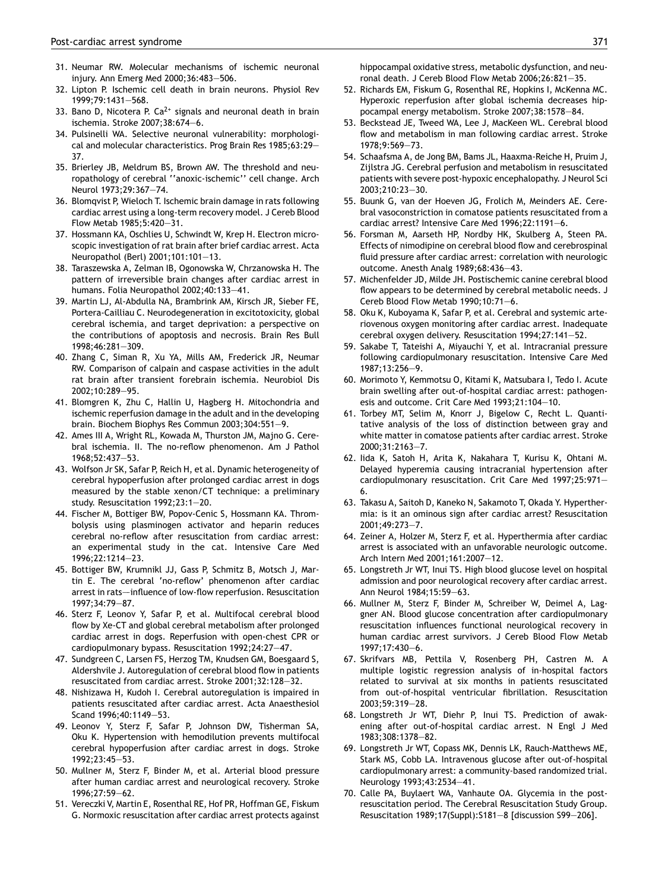- <span id="page-21-0"></span>31. Neumar RW. Molecular mechanisms of ischemic neuronal injury. Ann Emerg Med 2000;36:483—506.
- 32. Lipton P. Ischemic cell death in brain neurons. Physiol Rev 1999;79:1431—568.
- 33. Bano D, Nicotera P.  $Ca^{2+}$  signals and neuronal death in brain ischemia. Stroke 2007;38:674—6.
- 34. Pulsinelli WA. Selective neuronal vulnerability: morphological and molecular characteristics. Prog Brain Res 1985;63:29— 37.
- 35. Brierley JB, Meldrum BS, Brown AW. The threshold and neuropathology of cerebral ''anoxic-ischemic'' cell change. Arch Neurol 1973;29:367—74.
- 36. Blomqvist P, Wieloch T. Ischemic brain damage in rats following cardiac arrest using a long-term recovery model. J Cereb Blood Flow Metab 1985;5:420—31.
- 37. Hossmann KA, Oschlies U, Schwindt W, Krep H. Electron microscopic investigation of rat brain after brief cardiac arrest. Acta Neuropathol (Berl) 2001;101:101-13.
- 38. Taraszewska A, Zelman IB, Ogonowska W, Chrzanowska H. The pattern of irreversible brain changes after cardiac arrest in humans. Folia Neuropathol 2002;40:133—41.
- 39. Martin LJ, Al-Abdulla NA, Brambrink AM, Kirsch JR, Sieber FE, Portera-Cailliau C. Neurodegeneration in excitotoxicity, global cerebral ischemia, and target deprivation: a perspective on the contributions of apoptosis and necrosis. Brain Res Bull 1998;46:281—309.
- 40. Zhang C, Siman R, Xu YA, Mills AM, Frederick JR, Neumar RW. Comparison of calpain and caspase activities in the adult rat brain after transient forebrain ischemia. Neurobiol Dis 2002;10:289—95.
- 41. Blomgren K, Zhu C, Hallin U, Hagberg H. Mitochondria and ischemic reperfusion damage in the adult and in the developing brain. Biochem Biophys Res Commun 2003;304:551—9.
- 42. Ames III A, Wright RL, Kowada M, Thurston JM, Majno G. Cerebral ischemia. II. The no-reflow phenomenon. Am J Pathol 1968;52:437—53.
- 43. Wolfson Jr SK, Safar P, Reich H, et al. Dynamic heterogeneity of cerebral hypoperfusion after prolonged cardiac arrest in dogs measured by the stable xenon/CT technique: a preliminary study. Resuscitation 1992;23:1—20.
- 44. Fischer M, Bottiger BW, Popov-Cenic S, Hossmann KA. Thrombolysis using plasminogen activator and heparin reduces cerebral no-reflow after resuscitation from cardiac arrest: an experimental study in the cat. Intensive Care Med 1996;22:1214—23.
- 45. Bottiger BW, Krumnikl JJ, Gass P, Schmitz B, Motsch J, Martin E. The cerebral 'no-reflow' phenomenon after cardiac arrest in rats—–influence of low-flow reperfusion. Resuscitation 1997;34:79—87.
- 46. Sterz F, Leonov Y, Safar P, et al. Multifocal cerebral blood flow by Xe-CT and global cerebral metabolism after prolonged cardiac arrest in dogs. Reperfusion with open-chest CPR or cardiopulmonary bypass. Resuscitation 1992;24:27—47.
- 47. Sundgreen C, Larsen FS, Herzog TM, Knudsen GM, Boesgaard S, Aldershvile J. Autoregulation of cerebral blood flow in patients resuscitated from cardiac arrest. Stroke 2001;32:128—32.
- 48. Nishizawa H, Kudoh I. Cerebral autoregulation is impaired in patients resuscitated after cardiac arrest. Acta Anaesthesiol Scand 1996;40:1149—53.
- 49. Leonov Y, Sterz F, Safar P, Johnson DW, Tisherman SA, Oku K. Hypertension with hemodilution prevents multifocal cerebral hypoperfusion after cardiac arrest in dogs. Stroke 1992;23:45—53.
- 50. Mullner M, Sterz F, Binder M, et al. Arterial blood pressure after human cardiac arrest and neurological recovery. Stroke 1996;27:59—62.
- 51. Vereczki V, Martin E, Rosenthal RE, Hof PR, Hoffman GE, Fiskum G. Normoxic resuscitation after cardiac arrest protects against

hippocampal oxidative stress, metabolic dysfunction, and neuronal death. J Cereb Blood Flow Metab 2006;26:821—35.

- 52. Richards EM, Fiskum G, Rosenthal RE, Hopkins I, McKenna MC. Hyperoxic reperfusion after global ischemia decreases hippocampal energy metabolism. Stroke 2007;38:1578—84.
- 53. Beckstead JE, Tweed WA, Lee J, MacKeen WL. Cerebral blood flow and metabolism in man following cardiac arrest. Stroke 1978;9:569—73.
- 54. Schaafsma A, de Jong BM, Bams JL, Haaxma-Reiche H, Pruim J, Zijlstra JG. Cerebral perfusion and metabolism in resuscitated patients with severe post-hypoxic encephalopathy. J Neurol Sci 2003;210:23—30.
- 55. Buunk G, van der Hoeven JG, Frolich M, Meinders AE. Cerebral vasoconstriction in comatose patients resuscitated from a cardiac arrest? Intensive Care Med 1996;22:1191—6.
- 56. Forsman M, Aarseth HP, Nordby HK, Skulberg A, Steen PA. Effects of nimodipine on cerebral blood flow and cerebrospinal fluid pressure after cardiac arrest: correlation with neurologic outcome. Anesth Analg 1989;68:436—43.
- 57. Michenfelder JD, Milde JH. Postischemic canine cerebral blood flow appears to be determined by cerebral metabolic needs. J Cereb Blood Flow Metab 1990;10:71—6.
- 58. Oku K, Kuboyama K, Safar P, et al. Cerebral and systemic arteriovenous oxygen monitoring after cardiac arrest. Inadequate cerebral oxygen delivery. Resuscitation 1994;27:141—52.
- 59. Sakabe T, Tateishi A, Miyauchi Y, et al. Intracranial pressure following cardiopulmonary resuscitation. Intensive Care Med 1987;13:256—9.
- 60. Morimoto Y, Kemmotsu O, Kitami K, Matsubara I, Tedo I. Acute brain swelling after out-of-hospital cardiac arrest: pathogenesis and outcome. Crit Care Med 1993;21:104—10.
- 61. Torbey MT, Selim M, Knorr J, Bigelow C, Recht L. Quantitative analysis of the loss of distinction between gray and white matter in comatose patients after cardiac arrest. Stroke 2000;31:2163—7.
- 62. Iida K, Satoh H, Arita K, Nakahara T, Kurisu K, Ohtani M. Delayed hyperemia causing intracranial hypertension after cardiopulmonary resuscitation. Crit Care Med 1997;25:971— 6.
- 63. Takasu A, Saitoh D, Kaneko N, Sakamoto T, Okada Y. Hyperthermia: is it an ominous sign after cardiac arrest? Resuscitation 2001;49:273—7.
- 64. Zeiner A, Holzer M, Sterz F, et al. Hyperthermia after cardiac arrest is associated with an unfavorable neurologic outcome. Arch Intern Med 2001;161:2007—12.
- 65. Longstreth Jr WT, Inui TS. High blood glucose level on hospital admission and poor neurological recovery after cardiac arrest. Ann Neurol 1984;15:59—63.
- 66. Mullner M, Sterz F, Binder M, Schreiber W, Deimel A, Laggner AN. Blood glucose concentration after cardiopulmonary resuscitation influences functional neurological recovery in human cardiac arrest survivors. J Cereb Blood Flow Metab 1997;17:430—6.
- 67. Skrifvars MB, Pettila V, Rosenberg PH, Castren M. A multiple logistic regression analysis of in-hospital factors related to survival at six months in patients resuscitated from out-of-hospital ventricular fibrillation. Resuscitation 2003;59:319—28.
- 68. Longstreth Jr WT, Diehr P, Inui TS. Prediction of awakening after out-of-hospital cardiac arrest. N Engl J Med 1983;308:1378—82.
- 69. Longstreth Jr WT, Copass MK, Dennis LK, Rauch-Matthews ME, Stark MS, Cobb LA. Intravenous glucose after out-of-hospital cardiopulmonary arrest: a community-based randomized trial. Neurology 1993;43:2534—41.
- 70. Calle PA, Buylaert WA, Vanhaute OA. Glycemia in the postresuscitation period. The Cerebral Resuscitation Study Group. Resuscitation 1989;17(Suppl):S181—8 [discussion S99—206].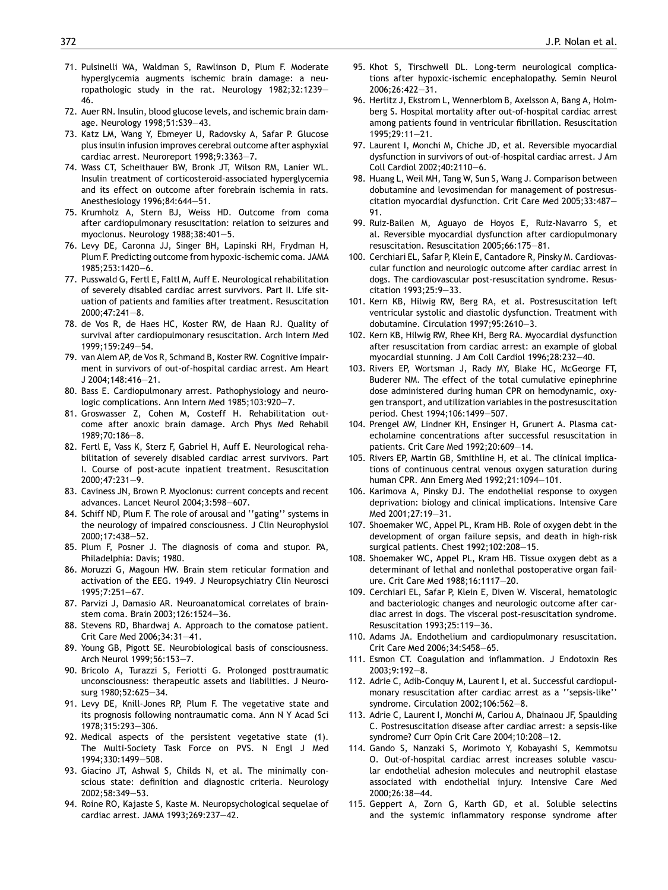- <span id="page-22-0"></span>71. Pulsinelli WA, Waldman S, Rawlinson D, Plum F. Moderate hyperglycemia augments ischemic brain damage: a neuropathologic study in the rat. Neurology 1982;32:1239— 46.
- 72. Auer RN. Insulin, blood glucose levels, and ischemic brain damage. Neurology 1998;51:S39—43.
- 73. Katz LM, Wang Y, Ebmeyer U, Radovsky A, Safar P. Glucose plus insulin infusion improves cerebral outcome after asphyxial cardiac arrest. Neuroreport 1998;9:3363—7.
- 74. Wass CT, Scheithauer BW, Bronk JT, Wilson RM, Lanier WL. Insulin treatment of corticosteroid-associated hyperglycemia and its effect on outcome after forebrain ischemia in rats. Anesthesiology 1996;84:644—51.
- 75. Krumholz A, Stern BJ, Weiss HD. Outcome from coma after cardiopulmonary resuscitation: relation to seizures and myoclonus. Neurology 1988;38:401—5.
- 76. Levy DE, Caronna JJ, Singer BH, Lapinski RH, Frydman H, Plum F. Predicting outcome from hypoxic-ischemic coma. JAMA 1985;253:1420—6.
- 77. Pusswald G, Fertl E, Faltl M, Auff E. Neurological rehabilitation of severely disabled cardiac arrest survivors. Part II. Life situation of patients and families after treatment. Resuscitation 2000;47:241—8.
- 78. de Vos R, de Haes HC, Koster RW, de Haan RJ. Quality of survival after cardiopulmonary resuscitation. Arch Intern Med 1999;159:249—54.
- 79. van Alem AP, de Vos R, Schmand B, Koster RW. Cognitive impairment in survivors of out-of-hospital cardiac arrest. Am Heart J 2004;148:416—21.
- 80. Bass E. Cardiopulmonary arrest. Pathophysiology and neurologic complications. Ann Intern Med 1985;103:920—7.
- 81. Groswasser Z, Cohen M, Costeff H. Rehabilitation outcome after anoxic brain damage. Arch Phys Med Rehabil 1989;70:186—8.
- 82. Fertl E, Vass K, Sterz F, Gabriel H, Auff E. Neurological rehabilitation of severely disabled cardiac arrest survivors. Part I. Course of post-acute inpatient treatment. Resuscitation 2000;47:231—9.
- 83. Caviness JN, Brown P. Myoclonus: current concepts and recent advances. Lancet Neurol 2004;3:598—607.
- 84. Schiff ND, Plum F. The role of arousal and ''gating'' systems in the neurology of impaired consciousness. J Clin Neurophysiol 2000;17:438—52.
- 85. Plum F, Posner J. The diagnosis of coma and stupor. PA, Philadelphia: Davis; 1980.
- 86. Moruzzi G, Magoun HW. Brain stem reticular formation and activation of the EEG. 1949. J Neuropsychiatry Clin Neurosci 1995;7:251—67.
- 87. Parvizi J, Damasio AR. Neuroanatomical correlates of brainstem coma. Brain 2003;126:1524—36.
- 88. Stevens RD, Bhardwaj A. Approach to the comatose patient. Crit Care Med 2006;34:31—41.
- 89. Young GB, Pigott SE. Neurobiological basis of consciousness. Arch Neurol 1999;56:153—7.
- 90. Bricolo A, Turazzi S, Feriotti G. Prolonged posttraumatic unconsciousness: therapeutic assets and liabilities. J Neurosurg 1980;52:625—34.
- 91. Levy DE, Knill-Jones RP, Plum F. The vegetative state and its prognosis following nontraumatic coma. Ann N Y Acad Sci 1978;315:293—306.
- 92. Medical aspects of the persistent vegetative state (1). The Multi-Society Task Force on PVS. N Engl J Med 1994;330:1499—508.
- 93. Giacino JT, Ashwal S, Childs N, et al. The minimally conscious state: definition and diagnostic criteria. Neurology 2002;58:349—53.
- 94. Roine RO, Kajaste S, Kaste M. Neuropsychological sequelae of cardiac arrest. JAMA 1993;269:237—42.
- 95. Khot S, Tirschwell DL. Long-term neurological complications after hypoxic-ischemic encephalopathy. Semin Neurol 2006;26:422—31.
- 96. Herlitz J, Ekstrom L, Wennerblom B, Axelsson A, Bang A, Holmberg S. Hospital mortality after out-of-hospital cardiac arrest among patients found in ventricular fibrillation. Resuscitation 1995;29:11—21.
- 97. Laurent I, Monchi M, Chiche JD, et al. Reversible myocardial dysfunction in survivors of out-of-hospital cardiac arrest. J Am Coll Cardiol 2002;40:2110—6.
- 98. Huang L, Weil MH, Tang W, Sun S, Wang J. Comparison between dobutamine and levosimendan for management of postresuscitation myocardial dysfunction. Crit Care Med 2005;33:487— 91.
- 99. Ruiz-Bailen M, Aguayo de Hoyos E, Ruiz-Navarro S, et al. Reversible myocardial dysfunction after cardiopulmonary resuscitation. Resuscitation 2005;66:175—81.
- 100. Cerchiari EL, Safar P, Klein E, Cantadore R, Pinsky M. Cardiovascular function and neurologic outcome after cardiac arrest in dogs. The cardiovascular post-resuscitation syndrome. Resuscitation 1993;25:9—33.
- 101. Kern KB, Hilwig RW, Berg RA, et al. Postresuscitation left ventricular systolic and diastolic dysfunction. Treatment with dobutamine. Circulation 1997;95:2610—3.
- 102. Kern KB, Hilwig RW, Rhee KH, Berg RA. Myocardial dysfunction after resuscitation from cardiac arrest: an example of global myocardial stunning. J Am Coll Cardiol 1996;28:232—40.
- 103. Rivers EP, Wortsman J, Rady MY, Blake HC, McGeorge FT, Buderer NM. The effect of the total cumulative epinephrine dose administered during human CPR on hemodynamic, oxygen transport, and utilization variables in the postresuscitation period. Chest 1994;106:1499—507.
- 104. Prengel AW, Lindner KH, Ensinger H, Grunert A. Plasma catecholamine concentrations after successful resuscitation in patients. Crit Care Med 1992;20:609—14.
- 105. Rivers EP, Martin GB, Smithline H, et al. The clinical implications of continuous central venous oxygen saturation during human CPR. Ann Emerg Med 1992;21:1094—101.
- 106. Karimova A, Pinsky DJ. The endothelial response to oxygen deprivation: biology and clinical implications. Intensive Care Med 2001;27:19—31.
- 107. Shoemaker WC, Appel PL, Kram HB. Role of oxygen debt in the development of organ failure sepsis, and death in high-risk surgical patients. Chest 1992;102:208—15.
- 108. Shoemaker WC, Appel PL, Kram HB. Tissue oxygen debt as a determinant of lethal and nonlethal postoperative organ failure. Crit Care Med 1988;16:1117—20.
- 109. Cerchiari EL, Safar P, Klein E, Diven W. Visceral, hematologic and bacteriologic changes and neurologic outcome after cardiac arrest in dogs. The visceral post-resuscitation syndrome. Resuscitation 1993;25:119—36.
- 110. Adams JA. Endothelium and cardiopulmonary resuscitation. Crit Care Med 2006;34:S458—65.
- 111. Esmon CT. Coagulation and inflammation. J Endotoxin Res 2003;9:192—8.
- 112. Adrie C, Adib-Conquy M, Laurent I, et al. Successful cardiopulmonary resuscitation after cardiac arrest as a ''sepsis-like'' syndrome. Circulation 2002;106:562—8.
- 113. Adrie C, Laurent I, Monchi M, Cariou A, Dhainaou JF, Spaulding C. Postresuscitation disease after cardiac arrest: a sepsis-like syndrome? Curr Opin Crit Care 2004;10:208—12.
- 114. Gando S, Nanzaki S, Morimoto Y, Kobayashi S, Kemmotsu O. Out-of-hospital cardiac arrest increases soluble vascular endothelial adhesion molecules and neutrophil elastase associated with endothelial injury. Intensive Care Med 2000;26:38—44.
- 115. Geppert A, Zorn G, Karth GD, et al. Soluble selectins and the systemic inflammatory response syndrome after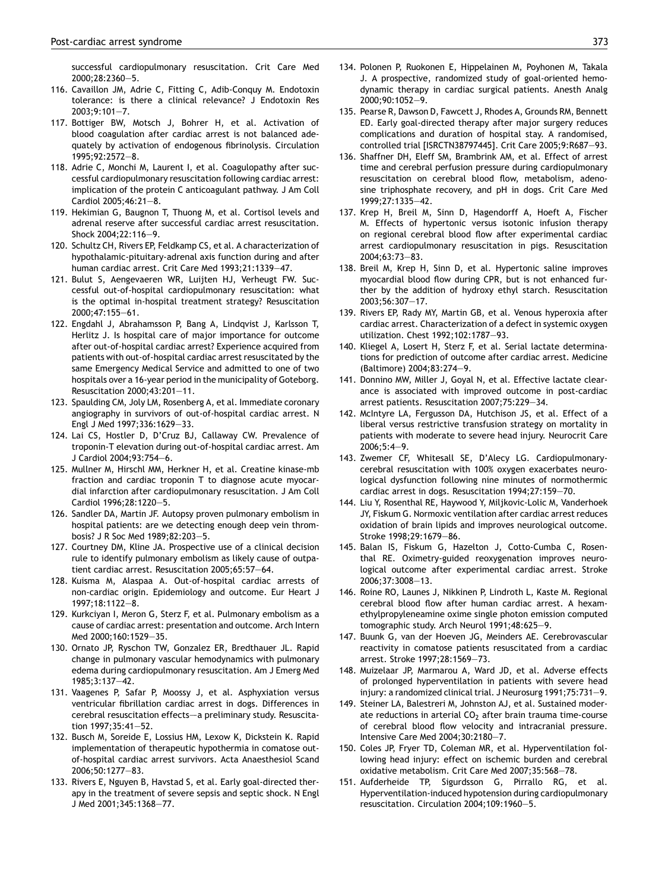<span id="page-23-0"></span>successful cardiopulmonary resuscitation. Crit Care Med 2000;28:2360—5.

- 116. Cavaillon JM, Adrie C, Fitting C, Adib-Conquy M. Endotoxin tolerance: is there a clinical relevance? J Endotoxin Res 2003;9:101—7.
- 117. Bottiger BW, Motsch J, Bohrer H, et al. Activation of blood coagulation after cardiac arrest is not balanced adequately by activation of endogenous fibrinolysis. Circulation 1995;92:2572—8.
- 118. Adrie C, Monchi M, Laurent I, et al. Coagulopathy after successful cardiopulmonary resuscitation following cardiac arrest: implication of the protein C anticoagulant pathway. J Am Coll Cardiol 2005;46:21—8.
- 119. Hekimian G, Baugnon T, Thuong M, et al. Cortisol levels and adrenal reserve after successful cardiac arrest resuscitation. Shock 2004;22:116—9.
- 120. Schultz CH, Rivers EP, Feldkamp CS, et al. A characterization of hypothalamic-pituitary-adrenal axis function during and after human cardiac arrest. Crit Care Med 1993;21:1339—47.
- 121. Bulut S, Aengevaeren WR, Luijten HJ, Verheugt FW. Successful out-of-hospital cardiopulmonary resuscitation: what is the optimal in-hospital treatment strategy? Resuscitation 2000;47:155—61.
- 122. Engdahl J, Abrahamsson P, Bang A, Lindqvist J, Karlsson T, Herlitz J. Is hospital care of major importance for outcome after out-of-hospital cardiac arrest? Experience acquired from patients with out-of-hospital cardiac arrest resuscitated by the same Emergency Medical Service and admitted to one of two hospitals over a 16-year period in the municipality of Goteborg. Resuscitation 2000;43:201—11.
- 123. Spaulding CM, Joly LM, Rosenberg A, et al. Immediate coronary angiography in survivors of out-of-hospital cardiac arrest. N Engl J Med 1997;336:1629—33.
- 124. Lai CS, Hostler D, D'Cruz BJ, Callaway CW. Prevalence of troponin-T elevation during out-of-hospital cardiac arrest. Am J Cardiol 2004;93:754—6.
- 125. Mullner M, Hirschl MM, Herkner H, et al. Creatine kinase-mb fraction and cardiac troponin T to diagnose acute myocardial infarction after cardiopulmonary resuscitation. J Am Coll Cardiol 1996;28:1220—5.
- 126. Sandler DA, Martin JF. Autopsy proven pulmonary embolism in hospital patients: are we detecting enough deep vein thrombosis? J R Soc Med 1989;82:203—5.
- 127. Courtney DM, Kline JA. Prospective use of a clinical decision rule to identify pulmonary embolism as likely cause of outpatient cardiac arrest. Resuscitation 2005;65:57—64.
- 128. Kuisma M, Alaspaa A. Out-of-hospital cardiac arrests of non-cardiac origin. Epidemiology and outcome. Eur Heart J 1997;18:1122—8.
- 129. Kurkciyan I, Meron G, Sterz F, et al. Pulmonary embolism as a cause of cardiac arrest: presentation and outcome. Arch Intern Med 2000;160:1529—35.
- 130. Ornato JP, Ryschon TW, Gonzalez ER, Bredthauer JL. Rapid change in pulmonary vascular hemodynamics with pulmonary edema during cardiopulmonary resuscitation. Am J Emerg Med 1985;3:137—42.
- 131. Vaagenes P, Safar P, Moossy J, et al. Asphyxiation versus ventricular fibrillation cardiac arrest in dogs. Differences in cerebral resuscitation effects-a preliminary study. Resuscitation 1997;35:41—52.
- 132. Busch M, Soreide E, Lossius HM, Lexow K, Dickstein K. Rapid implementation of therapeutic hypothermia in comatose outof-hospital cardiac arrest survivors. Acta Anaesthesiol Scand 2006;50:1277—83.
- 133. Rivers E, Nguyen B, Havstad S, et al. Early goal-directed therapy in the treatment of severe sepsis and septic shock. N Engl J Med 2001;345:1368—77.
- 134. Polonen P, Ruokonen E, Hippelainen M, Poyhonen M, Takala J. A prospective, randomized study of goal-oriented hemodynamic therapy in cardiac surgical patients. Anesth Analg 2000;90:1052—9.
- 135. Pearse R, Dawson D, Fawcett J, Rhodes A, Grounds RM, Bennett ED. Early goal-directed therapy after major surgery reduces complications and duration of hospital stay. A randomised, controlled trial [ISRCTN38797445]. Crit Care 2005;9:R687—93.
- 136. Shaffner DH, Eleff SM, Brambrink AM, et al. Effect of arrest time and cerebral perfusion pressure during cardiopulmonary resuscitation on cerebral blood flow, metabolism, adenosine triphosphate recovery, and pH in dogs. Crit Care Med 1999;27:1335—42.
- 137. Krep H, Breil M, Sinn D, Hagendorff A, Hoeft A, Fischer M. Effects of hypertonic versus isotonic infusion therapy on regional cerebral blood flow after experimental cardiac arrest cardiopulmonary resuscitation in pigs. Resuscitation 2004;63:73—83.
- 138. Breil M, Krep H, Sinn D, et al. Hypertonic saline improves myocardial blood flow during CPR, but is not enhanced further by the addition of hydroxy ethyl starch. Resuscitation 2003;56:307—17.
- 139. Rivers EP, Rady MY, Martin GB, et al. Venous hyperoxia after cardiac arrest. Characterization of a defect in systemic oxygen utilization. Chest 1992;102:1787—93.
- 140. Kliegel A, Losert H, Sterz F, et al. Serial lactate determinations for prediction of outcome after cardiac arrest. Medicine (Baltimore) 2004;83:274—9.
- 141. Donnino MW, Miller J, Goyal N, et al. Effective lactate clearance is associated with improved outcome in post-cardiac arrest patients. Resuscitation 2007;75:229—34.
- 142. McIntyre LA, Fergusson DA, Hutchison JS, et al. Effect of a liberal versus restrictive transfusion strategy on mortality in patients with moderate to severe head injury. Neurocrit Care 2006;5:4—9.
- 143. Zwemer CF, Whitesall SE, D'Alecy LG. Cardiopulmonarycerebral resuscitation with 100% oxygen exacerbates neurological dysfunction following nine minutes of normothermic cardiac arrest in dogs. Resuscitation 1994;27:159—70.
- 144. Liu Y, Rosenthal RE, Haywood Y, Miljkovic-Lolic M, Vanderhoek JY, Fiskum G. Normoxic ventilation after cardiac arrest reduces oxidation of brain lipids and improves neurological outcome. Stroke 1998;29:1679—86.
- 145. Balan IS, Fiskum G, Hazelton J, Cotto-Cumba C, Rosenthal RE. Oximetry-guided reoxygenation improves neurological outcome after experimental cardiac arrest. Stroke 2006;37:3008—13.
- 146. Roine RO, Launes J, Nikkinen P, Lindroth L, Kaste M. Regional cerebral blood flow after human cardiac arrest. A hexamethylpropyleneamine oxime single photon emission computed tomographic study. Arch Neurol 1991;48:625—9.
- 147. Buunk G, van der Hoeven JG, Meinders AE. Cerebrovascular reactivity in comatose patients resuscitated from a cardiac arrest. Stroke 1997;28:1569—73.
- 148. Muizelaar JP, Marmarou A, Ward JD, et al. Adverse effects of prolonged hyperventilation in patients with severe head injury: a randomized clinical trial. J Neurosurg 1991;75:731—9.
- 149. Steiner LA, Balestreri M, Johnston AJ, et al. Sustained moderate reductions in arterial  $CO<sub>2</sub>$  after brain trauma time-course of cerebral blood flow velocity and intracranial pressure. Intensive Care Med 2004;30:2180—7.
- 150. Coles JP, Fryer TD, Coleman MR, et al. Hyperventilation following head injury: effect on ischemic burden and cerebral oxidative metabolism. Crit Care Med 2007;35:568—78.
- 151. Aufderheide TP, Sigurdsson G, Pirrallo RG, et al. Hyperventilation-induced hypotension during cardiopulmonary resuscitation. Circulation 2004;109:1960—5.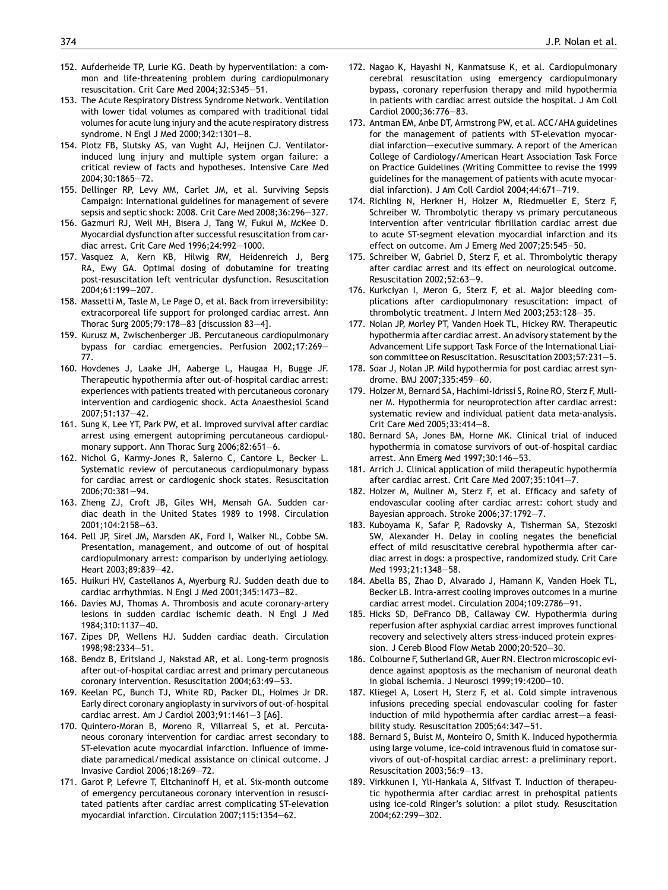- <span id="page-24-0"></span>152. Aufderheide TP, Lurie KG. Death by hyperventilation: a common and life-threatening problem during cardiopulmonary resuscitation. Crit Care Med 2004;32:S345—51.
- 153. The Acute Respiratory Distress Syndrome Network. Ventilation with lower tidal volumes as compared with traditional tidal volumes for acute lung injury and the acute respiratory distress syndrome. N Engl J Med 2000;342:1301—8.
- 154. Plotz FB, Slutsky AS, van Vught AJ, Heijnen CJ. Ventilatorinduced lung injury and multiple system organ failure: a critical review of facts and hypotheses. Intensive Care Med 2004;30:1865—72.
- 155. Dellinger RP, Levy MM, Carlet JM, et al. Surviving Sepsis Campaign: International guidelines for management of severe sepsis and septic shock: 2008. Crit Care Med 2008;36:296—327.
- 156. Gazmuri RJ, Weil MH, Bisera J, Tang W, Fukui M, McKee D. Myocardial dysfunction after successful resuscitation from cardiac arrest. Crit Care Med 1996;24:992—1000.
- 157. Vasquez A, Kern KB, Hilwig RW, Heidenreich J, Berg RA, Ewy GA. Optimal dosing of dobutamine for treating post-resuscitation left ventricular dysfunction. Resuscitation 2004;61:199—207.
- 158. Massetti M, Tasle M, Le Page O, et al. Back from irreversibility: extracorporeal life support for prolonged cardiac arrest. Ann Thorac Surg 2005;79:178—83 [discussion 83—4].
- 159. Kurusz M, Zwischenberger JB. Percutaneous cardiopulmonary bypass for cardiac emergencies. Perfusion 2002;17:269— 77.
- 160. Hovdenes J, Laake JH, Aaberge L, Haugaa H, Bugge JF. Therapeutic hypothermia after out-of-hospital cardiac arrest: experiences with patients treated with percutaneous coronary intervention and cardiogenic shock. Acta Anaesthesiol Scand 2007;51:137—42.
- 161. Sung K, Lee YT, Park PW, et al. Improved survival after cardiac arrest using emergent autopriming percutaneous cardiopulmonary support. Ann Thorac Surg 2006;82:651—6.
- 162. Nichol G, Karmy-Jones R, Salerno C, Cantore L, Becker L. Systematic review of percutaneous cardiopulmonary bypass for cardiac arrest or cardiogenic shock states. Resuscitation 2006;70:381—94.
- 163. Zheng ZJ, Croft JB, Giles WH, Mensah GA. Sudden cardiac death in the United States 1989 to 1998. Circulation 2001;104:2158—63.
- 164. Pell JP, Sirel JM, Marsden AK, Ford I, Walker NL, Cobbe SM. Presentation, management, and outcome of out of hospital cardiopulmonary arrest: comparison by underlying aetiology. Heart 2003;89:839—42.
- 165. Huikuri HV, Castellanos A, Myerburg RJ. Sudden death due to cardiac arrhythmias. N Engl J Med 2001;345:1473—82.
- 166. Davies MJ, Thomas A. Thrombosis and acute coronary-artery lesions in sudden cardiac ischemic death. N Engl J Med 1984;310:1137—40.
- 167. Zipes DP, Wellens HJ. Sudden cardiac death. Circulation 1998;98:2334—51.
- 168. Bendz B, Eritsland J, Nakstad AR, et al. Long-term prognosis after out-of-hospital cardiac arrest and primary percutaneous coronary intervention. Resuscitation 2004;63:49—53.
- 169. Keelan PC, Bunch TJ, White RD, Packer DL, Holmes Jr DR. Early direct coronary angioplasty in survivors of out-of-hospital cardiac arrest. Am J Cardiol 2003;91:1461—3 [A6].
- 170. Quintero-Moran B, Moreno R, Villarreal S, et al. Percutaneous coronary intervention for cardiac arrest secondary to ST-elevation acute myocardial infarction. Influence of immediate paramedical/medical assistance on clinical outcome. J Invasive Cardiol 2006;18:269—72.
- 171. Garot P, Lefevre T, Eltchaninoff H, et al. Six-month outcome of emergency percutaneous coronary intervention in resuscitated patients after cardiac arrest complicating ST-elevation myocardial infarction. Circulation 2007;115:1354—62.
- 172. Nagao K, Hayashi N, Kanmatsuse K, et al. Cardiopulmonary cerebral resuscitation using emergency cardiopulmonary bypass, coronary reperfusion therapy and mild hypothermia in patients with cardiac arrest outside the hospital. J Am Coll Cardiol 2000;36:776—83.
- 173. Antman EM, Anbe DT, Armstrong PW, et al. ACC/AHA guidelines for the management of patients with ST-elevation myocardial infarction—executive summary. A report of the American College of Cardiology/American Heart Association Task Force on Practice Guidelines (Writing Committee to revise the 1999 guidelines for the management of patients with acute myocardial infarction). J Am Coll Cardiol 2004;44:671—719.
- 174. Richling N, Herkner H, Holzer M, Riedmueller E, Sterz F, Schreiber W. Thrombolytic therapy vs primary percutaneous intervention after ventricular fibrillation cardiac arrest due to acute ST-segment elevation myocardial infarction and its effect on outcome. Am J Emerg Med 2007;25:545—50.
- 175. Schreiber W, Gabriel D, Sterz F, et al. Thrombolytic therapy after cardiac arrest and its effect on neurological outcome. Resuscitation 2002;52:63—9.
- 176. Kurkciyan I, Meron G, Sterz F, et al. Major bleeding complications after cardiopulmonary resuscitation: impact of thrombolytic treatment. J Intern Med 2003;253:128—35.
- 177. Nolan JP, Morley PT, Vanden Hoek TL, Hickey RW. Therapeutic hypothermia after cardiac arrest. An advisory statement by the Advancement Life support Task Force of the International Liaison committee on Resuscitation. Resuscitation 2003;57:231—5.
- 178. Soar J, Nolan JP. Mild hypothermia for post cardiac arrest syndrome. BMJ 2007;335:459—60.
- 179. Holzer M, Bernard SA, Hachimi-Idrissi S, Roine RO, Sterz F, Mullner M. Hypothermia for neuroprotection after cardiac arrest: systematic review and individual patient data meta-analysis. Crit Care Med 2005;33:414—8.
- 180. Bernard SA, Jones BM, Horne MK. Clinical trial of induced hypothermia in comatose survivors of out-of-hospital cardiac arrest. Ann Emerg Med 1997;30:146—53.
- 181. Arrich J. Clinical application of mild therapeutic hypothermia after cardiac arrest. Crit Care Med 2007;35:1041—7.
- 182. Holzer M, Mullner M, Sterz F, et al. Efficacy and safety of endovascular cooling after cardiac arrest: cohort study and Bayesian approach. Stroke 2006;37:1792—7.
- 183. Kuboyama K, Safar P, Radovsky A, Tisherman SA, Stezoski SW, Alexander H. Delay in cooling negates the beneficial effect of mild resuscitative cerebral hypothermia after cardiac arrest in dogs: a prospective, randomized study. Crit Care Med 1993;21:1348—58.
- 184. Abella BS, Zhao D, Alvarado J, Hamann K, Vanden Hoek TL, Becker LB. Intra-arrest cooling improves outcomes in a murine cardiac arrest model. Circulation 2004;109:2786—91.
- 185. Hicks SD, DeFranco DB, Callaway CW. Hypothermia during reperfusion after asphyxial cardiac arrest improves functional recovery and selectively alters stress-induced protein expression. J Cereb Blood Flow Metab 2000;20:520—30.
- 186. Colbourne F, Sutherland GR, Auer RN. Electron microscopic evidence against apoptosis as the mechanism of neuronal death in global ischemia. J Neurosci 1999;19:4200—10.
- 187. Kliegel A, Losert H, Sterz F, et al. Cold simple intravenous infusions preceding special endovascular cooling for faster induction of mild hypothermia after cardiac arrest-a feasibility study. Resuscitation 2005;64:347—51.
- 188. Bernard S, Buist M, Monteiro O, Smith K. Induced hypothermia using large volume, ice-cold intravenous fluid in comatose survivors of out-of-hospital cardiac arrest: a preliminary report. Resuscitation 2003;56:9—13.
- 189. Virkkunen I, Yli-Hankala A, Silfvast T. Induction of therapeutic hypothermia after cardiac arrest in prehospital patients using ice-cold Ringer's solution: a pilot study. Resuscitation 2004;62:299—302.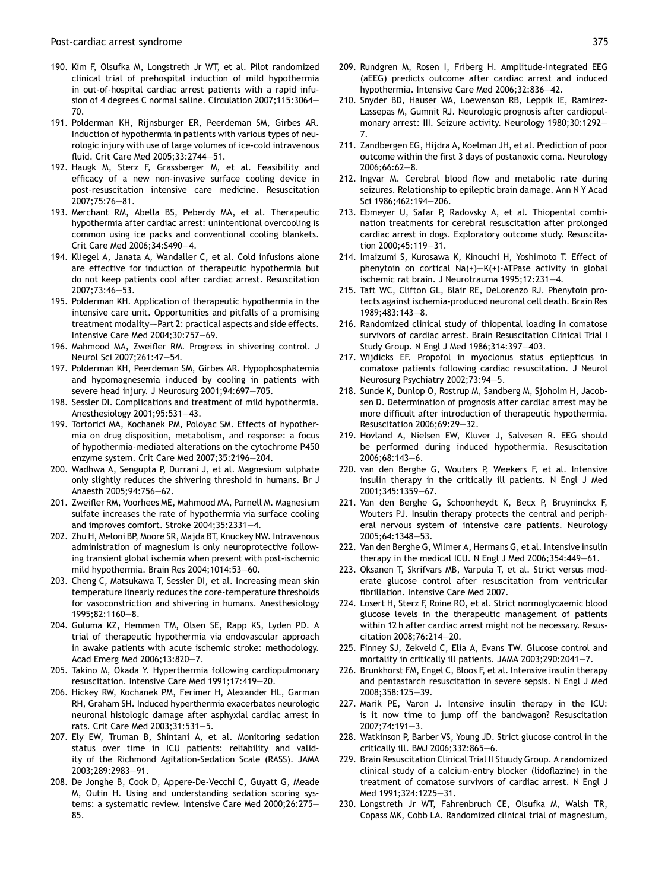- <span id="page-25-0"></span>190. Kim F, Olsufka M, Longstreth Jr WT, et al. Pilot randomized clinical trial of prehospital induction of mild hypothermia in out-of-hospital cardiac arrest patients with a rapid infusion of 4 degrees C normal saline. Circulation 2007;115:3064— 70.
- 191. Polderman KH, Rijnsburger ER, Peerdeman SM, Girbes AR. Induction of hypothermia in patients with various types of neurologic injury with use of large volumes of ice-cold intravenous fluid. Crit Care Med 2005;33:2744—51.
- 192. Haugk M, Sterz F, Grassberger M, et al. Feasibility and efficacy of a new non-invasive surface cooling device in post-resuscitation intensive care medicine. Resuscitation 2007;75:76—81.
- 193. Merchant RM, Abella BS, Peberdy MA, et al. Therapeutic hypothermia after cardiac arrest: unintentional overcooling is common using ice packs and conventional cooling blankets. Crit Care Med 2006;34:S490—4.
- 194. Kliegel A, Janata A, Wandaller C, et al. Cold infusions alone are effective for induction of therapeutic hypothermia but do not keep patients cool after cardiac arrest. Resuscitation 2007;73:46—53.
- 195. Polderman KH. Application of therapeutic hypothermia in the intensive care unit. Opportunities and pitfalls of a promising treatment modality—–Part 2: practical aspects and side effects. Intensive Care Med 2004;30:757—69.
- 196. Mahmood MA, Zweifler RM. Progress in shivering control. J Neurol Sci 2007;261:47—54.
- 197. Polderman KH, Peerdeman SM, Girbes AR. Hypophosphatemia and hypomagnesemia induced by cooling in patients with severe head injury. J Neurosurg 2001;94:697—705.
- 198. Sessler DI. Complications and treatment of mild hypothermia. Anesthesiology 2001;95:531—43.
- 199. Tortorici MA, Kochanek PM, Poloyac SM. Effects of hypothermia on drug disposition, metabolism, and response: a focus of hypothermia-mediated alterations on the cytochrome P450 enzyme system. Crit Care Med 2007;35:2196—204.
- 200. Wadhwa A, Sengupta P, Durrani J, et al. Magnesium sulphate only slightly reduces the shivering threshold in humans. Br J Anaesth 2005;94:756—62.
- 201. Zweifler RM, Voorhees ME, Mahmood MA, Parnell M. Magnesium sulfate increases the rate of hypothermia via surface cooling and improves comfort. Stroke 2004;35:2331—4.
- 202. Zhu H, Meloni BP, Moore SR, Majda BT, Knuckey NW. Intravenous administration of magnesium is only neuroprotective following transient global ischemia when present with post-ischemic mild hypothermia. Brain Res 2004;1014:53—60.
- 203. Cheng C, Matsukawa T, Sessler DI, et al. Increasing mean skin temperature linearly reduces the core-temperature thresholds for vasoconstriction and shivering in humans. Anesthesiology 1995;82:1160—8.
- 204. Guluma KZ, Hemmen TM, Olsen SE, Rapp KS, Lyden PD. A trial of therapeutic hypothermia via endovascular approach in awake patients with acute ischemic stroke: methodology. Acad Emerg Med 2006;13:820—7.
- 205. Takino M, Okada Y. Hyperthermia following cardiopulmonary resuscitation. Intensive Care Med 1991;17:419—20.
- 206. Hickey RW, Kochanek PM, Ferimer H, Alexander HL, Garman RH, Graham SH. Induced hyperthermia exacerbates neurologic neuronal histologic damage after asphyxial cardiac arrest in rats. Crit Care Med 2003;31:531—5.
- 207. Ely EW, Truman B, Shintani A, et al. Monitoring sedation status over time in ICU patients: reliability and validity of the Richmond Agitation-Sedation Scale (RASS). JAMA 2003;289:2983—91.
- 208. De Jonghe B, Cook D, Appere-De-Vecchi C, Guyatt G, Meade M, Outin H. Using and understanding sedation scoring systems: a systematic review. Intensive Care Med 2000;26:275— 85.
- 209. Rundgren M, Rosen I, Friberg H. Amplitude-integrated EEG (aEEG) predicts outcome after cardiac arrest and induced hypothermia. Intensive Care Med 2006;32:836—42.
- 210. Snyder BD, Hauser WA, Loewenson RB, Leppik IE, Ramirez-Lassepas M, Gumnit RJ. Neurologic prognosis after cardiopulmonary arrest: III. Seizure activity. Neurology 1980;30:1292— 7.
- 211. Zandbergen EG, Hijdra A, Koelman JH, et al. Prediction of poor outcome within the first 3 days of postanoxic coma. Neurology 2006;66:62—8.
- 212. Ingvar M. Cerebral blood flow and metabolic rate during seizures. Relationship to epileptic brain damage. Ann N Y Acad Sci 1986;462:194—206.
- 213. Ebmeyer U, Safar P, Radovsky A, et al. Thiopental combination treatments for cerebral resuscitation after prolonged cardiac arrest in dogs. Exploratory outcome study. Resuscitation 2000;45:119—31.
- 214. Imaizumi S, Kurosawa K, Kinouchi H, Yoshimoto T. Effect of phenytoin on cortical  $Na(+)-K(+)$ -ATPase activity in global ischemic rat brain. J Neurotrauma 1995;12:231—4.
- 215. Taft WC, Clifton GL, Blair RE, DeLorenzo RJ. Phenytoin protects against ischemia-produced neuronal cell death. Brain Res 1989;483:143—8.
- 216. Randomized clinical study of thiopental loading in comatose survivors of cardiac arrest. Brain Resuscitation Clinical Trial I Study Group. N Engl J Med 1986;314:397—403.
- 217. Wijdicks EF. Propofol in myoclonus status epilepticus in comatose patients following cardiac resuscitation. J Neurol Neurosurg Psychiatry 2002;73:94—5.
- 218. Sunde K, Dunlop O, Rostrup M, Sandberg M, Sjoholm H, Jacobsen D. Determination of prognosis after cardiac arrest may be more difficult after introduction of therapeutic hypothermia. Resuscitation 2006;69:29—32.
- 219. Hovland A, Nielsen EW, Kluver J, Salvesen R. EEG should be performed during induced hypothermia. Resuscitation 2006;68:143—6.
- 220. van den Berghe G, Wouters P, Weekers F, et al. Intensive insulin therapy in the critically ill patients. N Engl J Med 2001;345:1359—67.
- 221. Van den Berghe G, Schoonheydt K, Becx P, Bruyninckx F, Wouters PJ. Insulin therapy protects the central and peripheral nervous system of intensive care patients. Neurology 2005;64:1348—53.
- 222. Van den Berghe G, Wilmer A, Hermans G, et al. Intensive insulin therapy in the medical ICU. N Engl J Med 2006;354:449—61.
- 223. Oksanen T, Skrifvars MB, Varpula T, et al. Strict versus moderate glucose control after resuscitation from ventricular fibrillation. Intensive Care Med 2007.
- 224. Losert H, Sterz F, Roine RO, et al. Strict normoglycaemic blood glucose levels in the therapeutic management of patients within 12 h after cardiac arrest might not be necessary. Resuscitation 2008;76:214—20.
- 225. Finney SJ, Zekveld C, Elia A, Evans TW. Glucose control and mortality in critically ill patients. JAMA 2003;290:2041—7.
- 226. Brunkhorst FM, Engel C, Bloos F, et al. Intensive insulin therapy and pentastarch resuscitation in severe sepsis. N Engl J Med 2008;358:125—39.
- 227. Marik PE, Varon J. Intensive insulin therapy in the ICU: is it now time to jump off the bandwagon? Resuscitation 2007;74:191—3.
- 228. Watkinson P, Barber VS, Young JD. Strict glucose control in the critically ill. BMJ 2006;332:865—6.
- 229. Brain Resuscitation Clinical Trial II Stuudy Group. A randomized clinical study of a calcium-entry blocker (lidoflazine) in the treatment of comatose survivors of cardiac arrest. N Engl J Med 1991;324:1225—31.
- 230. Longstreth Jr WT, Fahrenbruch CE, Olsufka M, Walsh TR, Copass MK, Cobb LA. Randomized clinical trial of magnesium,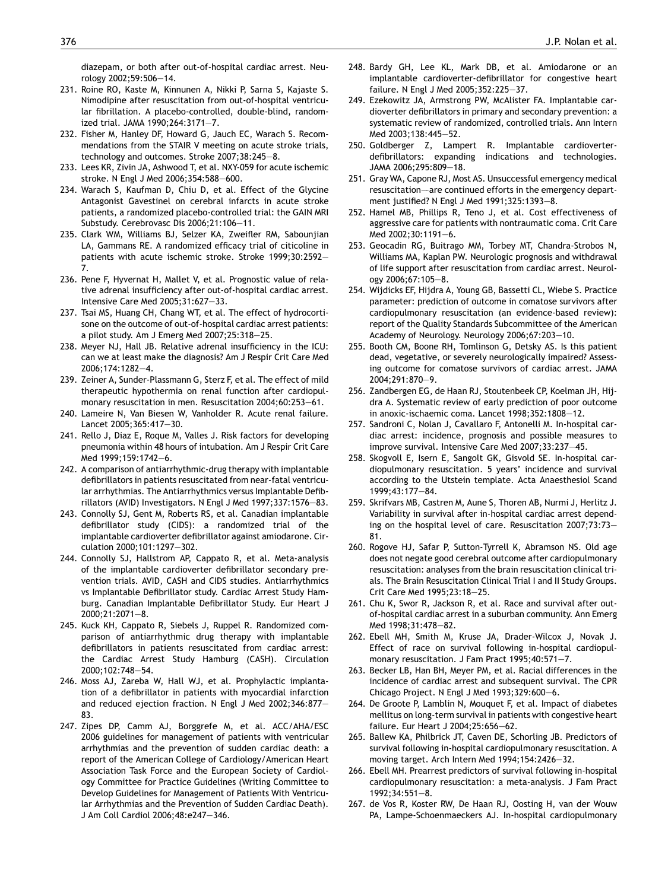<span id="page-26-0"></span>diazepam, or both after out-of-hospital cardiac arrest. Neurology 2002;59:506—14.

- 231. Roine RO, Kaste M, Kinnunen A, Nikki P, Sarna S, Kajaste S. Nimodipine after resuscitation from out-of-hospital ventricular fibrillation. A placebo-controlled, double-blind, randomized trial. JAMA 1990;264:3171—7.
- 232. Fisher M, Hanley DF, Howard G, Jauch EC, Warach S. Recommendations from the STAIR V meeting on acute stroke trials, technology and outcomes. Stroke 2007;38:245—8.
- 233. Lees KR, Zivin JA, Ashwood T, et al. NXY-059 for acute ischemic stroke. N Engl J Med 2006;354:588—600.
- 234. Warach S, Kaufman D, Chiu D, et al. Effect of the Glycine Antagonist Gavestinel on cerebral infarcts in acute stroke patients, a randomized placebo-controlled trial: the GAIN MRI Substudy. Cerebrovasc Dis 2006;21:106—11.
- 235. Clark WM, Williams BJ, Selzer KA, Zweifler RM, Sabounjian LA, Gammans RE. A randomized efficacy trial of citicoline in patients with acute ischemic stroke. Stroke 1999;30:2592— 7.
- 236. Pene F, Hyvernat H, Mallet V, et al. Prognostic value of relative adrenal insufficiency after out-of-hospital cardiac arrest. Intensive Care Med 2005;31:627—33.
- 237. Tsai MS, Huang CH, Chang WT, et al. The effect of hydrocortisone on the outcome of out-of-hospital cardiac arrest patients: a pilot study. Am J Emerg Med 2007;25:318—25.
- 238. Meyer NJ, Hall JB. Relative adrenal insufficiency in the ICU: can we at least make the diagnosis? Am J Respir Crit Care Med 2006;174:1282—4.
- 239. Zeiner A, Sunder-Plassmann G, Sterz F, et al. The effect of mild therapeutic hypothermia on renal function after cardiopulmonary resuscitation in men. Resuscitation 2004;60:253—61.
- 240. Lameire N, Van Biesen W, Vanholder R. Acute renal failure. Lancet 2005;365:417—30.
- 241. Rello J, Diaz E, Roque M, Valles J. Risk factors for developing pneumonia within 48 hours of intubation. Am J Respir Crit Care Med 1999;159:1742—6.
- 242. A comparison of antiarrhythmic-drug therapy with implantable defibrillators in patients resuscitated from near-fatal ventricular arrhythmias. The Antiarrhythmics versus Implantable Defibrillators (AVID) Investigators. N Engl J Med 1997;337:1576—83.
- 243. Connolly SJ, Gent M, Roberts RS, et al. Canadian implantable defibrillator study (CIDS): a randomized trial of the implantable cardioverter defibrillator against amiodarone. Circulation 2000;101:1297—302.
- 244. Connolly SJ, Hallstrom AP, Cappato R, et al. Meta-analysis of the implantable cardioverter defibrillator secondary prevention trials. AVID, CASH and CIDS studies. Antiarrhythmics vs Implantable Defibrillator study. Cardiac Arrest Study Hamburg. Canadian Implantable Defibrillator Study. Eur Heart J 2000;21:2071—8.
- 245. Kuck KH, Cappato R, Siebels J, Ruppel R. Randomized comparison of antiarrhythmic drug therapy with implantable defibrillators in patients resuscitated from cardiac arrest: the Cardiac Arrest Study Hamburg (CASH). Circulation 2000;102:748—54.
- 246. Moss AJ, Zareba W, Hall WJ, et al. Prophylactic implantation of a defibrillator in patients with myocardial infarction and reduced ejection fraction. N Engl J Med 2002;346:877— 83.
- 247. Zipes DP, Camm AJ, Borggrefe M, et al. ACC/AHA/ESC 2006 guidelines for management of patients with ventricular arrhythmias and the prevention of sudden cardiac death: a report of the American College of Cardiology/American Heart Association Task Force and the European Society of Cardiology Committee for Practice Guidelines (Writing Committee to Develop Guidelines for Management of Patients With Ventricular Arrhythmias and the Prevention of Sudden Cardiac Death). J Am Coll Cardiol 2006;48:e247—346.
- 248. Bardy GH, Lee KL, Mark DB, et al. Amiodarone or an implantable cardioverter-defibrillator for congestive heart failure. N Engl J Med 2005;352:225—37.
- 249. Ezekowitz JA, Armstrong PW, McAlister FA. Implantable cardioverter defibrillators in primary and secondary prevention: a systematic review of randomized, controlled trials. Ann Intern Med 2003;138:445—52.
- 250. Goldberger Z, Lampert R. Implantable cardioverterdefibrillators: expanding indications and technologies. JAMA 2006;295:809—18.
- 251. Gray WA, Capone RJ, Most AS. Unsuccessful emergency medical resuscitation—are continued efforts in the emergency department justified? N Engl J Med 1991;325:1393—8.
- 252. Hamel MB, Phillips R, Teno J, et al. Cost effectiveness of aggressive care for patients with nontraumatic coma. Crit Care Med 2002;30:1191—6.
- 253. Geocadin RG, Buitrago MM, Torbey MT, Chandra-Strobos N, Williams MA, Kaplan PW. Neurologic prognosis and withdrawal of life support after resuscitation from cardiac arrest. Neurology 2006;67:105—8.
- 254. Wijdicks EF, Hijdra A, Young GB, Bassetti CL, Wiebe S. Practice parameter: prediction of outcome in comatose survivors after cardiopulmonary resuscitation (an evidence-based review): report of the Quality Standards Subcommittee of the American Academy of Neurology. Neurology 2006;67:203—10.
- 255. Booth CM, Boone RH, Tomlinson G, Detsky AS. Is this patient dead, vegetative, or severely neurologically impaired? Assessing outcome for comatose survivors of cardiac arrest. JAMA 2004;291:870—9.
- 256. Zandbergen EG, de Haan RJ, Stoutenbeek CP, Koelman JH, Hijdra A. Systematic review of early prediction of poor outcome in anoxic-ischaemic coma. Lancet 1998;352:1808—12.
- 257. Sandroni C, Nolan J, Cavallaro F, Antonelli M. In-hospital cardiac arrest: incidence, prognosis and possible measures to improve survival. Intensive Care Med 2007;33:237—45.
- 258. Skogvoll E, Isern E, Sangolt GK, Gisvold SE. In-hospital cardiopulmonary resuscitation. 5 years' incidence and survival according to the Utstein template. Acta Anaesthesiol Scand 1999;43:177—84.
- 259. Skrifvars MB, Castren M, Aune S, Thoren AB, Nurmi J, Herlitz J. Variability in survival after in-hospital cardiac arrest depending on the hospital level of care. Resuscitation 2007;73:73— 81.
- 260. Rogove HJ, Safar P, Sutton-Tyrrell K, Abramson NS. Old age does not negate good cerebral outcome after cardiopulmonary resuscitation: analyses from the brain resuscitation clinical trials. The Brain Resuscitation Clinical Trial I and II Study Groups. Crit Care Med 1995;23:18—25.
- 261. Chu K, Swor R, Jackson R, et al. Race and survival after outof-hospital cardiac arrest in a suburban community. Ann Emerg Med 1998;31:478—82.
- 262. Ebell MH, Smith M, Kruse JA, Drader-Wilcox J, Novak J. Effect of race on survival following in-hospital cardiopulmonary resuscitation. J Fam Pract 1995;40:571—7.
- 263. Becker LB, Han BH, Meyer PM, et al. Racial differences in the incidence of cardiac arrest and subsequent survival. The CPR Chicago Project. N Engl J Med 1993;329:600—6.
- 264. De Groote P, Lamblin N, Mouquet F, et al. Impact of diabetes mellitus on long-term survival in patients with congestive heart failure. Eur Heart J 2004;25:656—62.
- 265. Ballew KA, Philbrick JT, Caven DE, Schorling JB. Predictors of survival following in-hospital cardiopulmonary resuscitation. A moving target. Arch Intern Med 1994;154:2426—32.
- 266. Ebell MH. Prearrest predictors of survival following in-hospital cardiopulmonary resuscitation: a meta-analysis. J Fam Pract 1992;34:551—8.
- 267. de Vos R, Koster RW, De Haan RJ, Oosting H, van der Wouw PA, Lampe-Schoenmaeckers AJ. In-hospital cardiopulmonary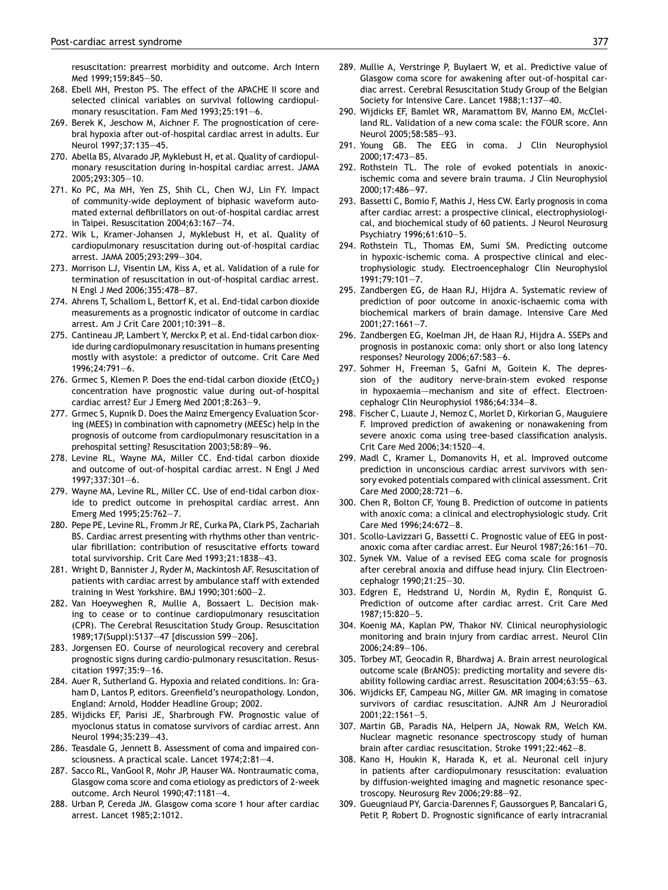<span id="page-27-0"></span>resuscitation: prearrest morbidity and outcome. Arch Intern Med 1999;159:845—50.

- 268. Ebell MH, Preston PS. The effect of the APACHE II score and selected clinical variables on survival following cardiopulmonary resuscitation. Fam Med 1993;25:191—6.
- 269. Berek K, Jeschow M, Aichner F. The prognostication of cerebral hypoxia after out-of-hospital cardiac arrest in adults. Eur Neurol 1997;37:135—45.
- 270. Abella BS, Alvarado JP, Myklebust H, et al. Quality of cardiopulmonary resuscitation during in-hospital cardiac arrest. JAMA 2005;293:305—10.
- 271. Ko PC, Ma MH, Yen ZS, Shih CL, Chen WJ, Lin FY. Impact of community-wide deployment of biphasic waveform automated external defibrillators on out-of-hospital cardiac arrest in Taipei. Resuscitation 2004;63:167—74.
- 272. Wik L, Kramer-Johansen J, Myklebust H, et al. Quality of cardiopulmonary resuscitation during out-of-hospital cardiac arrest. JAMA 2005;293:299—304.
- 273. Morrison LJ, Visentin LM, Kiss A, et al. Validation of a rule for termination of resuscitation in out-of-hospital cardiac arrest. N Engl J Med 2006;355:478—87.
- 274. Ahrens T, Schallom L, Bettorf K, et al. End-tidal carbon dioxide measurements as a prognostic indicator of outcome in cardiac arrest. Am J Crit Care 2001;10:391—8.
- 275. Cantineau JP, Lambert Y, Merckx P, et al. End-tidal carbon dioxide during cardiopulmonary resuscitation in humans presenting mostly with asystole: a predictor of outcome. Crit Care Med 1996;24:791—6.
- 276. Grmec S, Klemen P. Does the end-tidal carbon dioxide (EtCO<sub>2</sub>) concentration have prognostic value during out-of-hospital cardiac arrest? Eur J Emerg Med 2001;8:263—9.
- 277. Grmec S, Kupnik D. Does the Mainz Emergency Evaluation Scoring (MEES) in combination with capnometry (MEESc) help in the prognosis of outcome from cardiopulmonary resuscitation in a prehospital setting? Resuscitation 2003;58:89—96.
- 278. Levine RL, Wayne MA, Miller CC. End-tidal carbon dioxide and outcome of out-of-hospital cardiac arrest. N Engl J Med 1997;337:301—6.
- 279. Wayne MA, Levine RL, Miller CC. Use of end-tidal carbon dioxide to predict outcome in prehospital cardiac arrest. Ann Emerg Med 1995;25:762—7.
- 280. Pepe PE, Levine RL, Fromm Jr RE, Curka PA, Clark PS, Zachariah BS. Cardiac arrest presenting with rhythms other than ventricular fibrillation: contribution of resuscitative efforts toward total survivorship. Crit Care Med 1993;21:1838—43.
- 281. Wright D, Bannister J, Ryder M, Mackintosh AF. Resuscitation of patients with cardiac arrest by ambulance staff with extended training in West Yorkshire. BMJ 1990;301:600—2.
- 282. Van Hoeyweghen R, Mullie A, Bossaert L. Decision making to cease or to continue cardiopulmonary resuscitation (CPR). The Cerebral Resuscitation Study Group. Resuscitation 1989;17(Suppl):S137—47 [discussion S99—206].
- 283. Jorgensen EO. Course of neurological recovery and cerebral prognostic signs during cardio-pulmonary resuscitation. Resuscitation 1997;35:9—16.
- 284. Auer R, Sutherland G. Hypoxia and related conditions. In: Graham D, Lantos P, editors. Greenfield's neuropathology. London, England: Arnold, Hodder Headline Group; 2002.
- 285. Wijdicks EF, Parisi JE, Sharbrough FW. Prognostic value of myoclonus status in comatose survivors of cardiac arrest. Ann Neurol 1994;35:239—43.
- 286. Teasdale G, Jennett B. Assessment of coma and impaired consciousness. A practical scale. Lancet 1974;2:81—4.
- 287. Sacco RL, VanGool R, Mohr JP, Hauser WA. Nontraumatic coma, Glasgow coma score and coma etiology as predictors of 2-week outcome. Arch Neurol 1990;47:1181—4.
- 288. Urban P, Cereda JM. Glasgow coma score 1 hour after cardiac arrest. Lancet 1985;2:1012.
- 289. Mullie A, Verstringe P, Buylaert W, et al. Predictive value of Glasgow coma score for awakening after out-of-hospital cardiac arrest. Cerebral Resuscitation Study Group of the Belgian Society for Intensive Care. Lancet 1988;1:137—40.
- 290. Wijdicks EF, Bamlet WR, Maramattom BV, Manno EM, McClelland RL. Validation of a new coma scale: the FOUR score. Ann Neurol 2005;58:585—93.
- 291. Young GB. The EEG in coma. J Clin Neurophysiol 2000;17:473—85.
- 292. Rothstein TL. The role of evoked potentials in anoxicischemic coma and severe brain trauma. J Clin Neurophysiol 2000;17:486—97.
- 293. Bassetti C, Bomio F, Mathis J, Hess CW. Early prognosis in coma after cardiac arrest: a prospective clinical, electrophysiological, and biochemical study of 60 patients. J Neurol Neurosurg Psychiatry 1996;61:610—5.
- 294. Rothstein TL, Thomas EM, Sumi SM. Predicting outcome in hypoxic-ischemic coma. A prospective clinical and electrophysiologic study. Electroencephalogr Clin Neurophysiol 1991;79:101—7.
- 295. Zandbergen EG, de Haan RJ, Hijdra A. Systematic review of prediction of poor outcome in anoxic-ischaemic coma with biochemical markers of brain damage. Intensive Care Med 2001;27:1661—7.
- 296. Zandbergen EG, Koelman JH, de Haan RJ, Hijdra A. SSEPs and prognosis in postanoxic coma: only short or also long latency responses? Neurology 2006;67:583—6.
- 297. Sohmer H, Freeman S, Gafni M, Goitein K. The depression of the auditory nerve-brain-stem evoked response in hypoxaemia—mechanism and site of effect. Electroencephalogr Clin Neurophysiol 1986;64:334—8.
- 298. Fischer C, Luaute J, Nemoz C, Morlet D, Kirkorian G, Mauguiere F. Improved prediction of awakening or nonawakening from severe anoxic coma using tree-based classification analysis. Crit Care Med 2006;34:1520—4.
- 299. Madl C, Kramer L, Domanovits H, et al. Improved outcome prediction in unconscious cardiac arrest survivors with sensory evoked potentials compared with clinical assessment. Crit Care Med 2000;28:721—6.
- 300. Chen R, Bolton CF, Young B. Prediction of outcome in patients with anoxic coma: a clinical and electrophysiologic study. Crit Care Med 1996;24:672—8.
- 301. Scollo-Lavizzari G, Bassetti C. Prognostic value of EEG in postanoxic coma after cardiac arrest. Eur Neurol 1987;26:161—70.
- 302. Synek VM. Value of a revised EEG coma scale for prognosis after cerebral anoxia and diffuse head injury. Clin Electroencephalogr 1990;21:25—30.
- 303. Edgren E, Hedstrand U, Nordin M, Rydin E, Ronquist G. Prediction of outcome after cardiac arrest. Crit Care Med 1987;15:820—5.
- 304. Koenig MA, Kaplan PW, Thakor NV. Clinical neurophysiologic monitoring and brain injury from cardiac arrest. Neurol Clin 2006;24:89—106.
- 305. Torbey MT, Geocadin R, Bhardwaj A. Brain arrest neurological outcome scale (BrANOS): predicting mortality and severe disability following cardiac arrest. Resuscitation 2004;63:55—63.
- 306. Wijdicks EF, Campeau NG, Miller GM. MR imaging in comatose survivors of cardiac resuscitation. AJNR Am J Neuroradiol 2001;22:1561—5.
- 307. Martin GB, Paradis NA, Helpern JA, Nowak RM, Welch KM. Nuclear magnetic resonance spectroscopy study of human brain after cardiac resuscitation. Stroke 1991;22:462—8.
- 308. Kano H, Houkin K, Harada K, et al. Neuronal cell injury in patients after cardiopulmonary resuscitation: evaluation by diffusion-weighted imaging and magnetic resonance spectroscopy. Neurosurg Rev 2006;29:88—92.
- 309. Gueugniaud PY, Garcia-Darennes F, Gaussorgues P, Bancalari G, Petit P, Robert D. Prognostic significance of early intracranial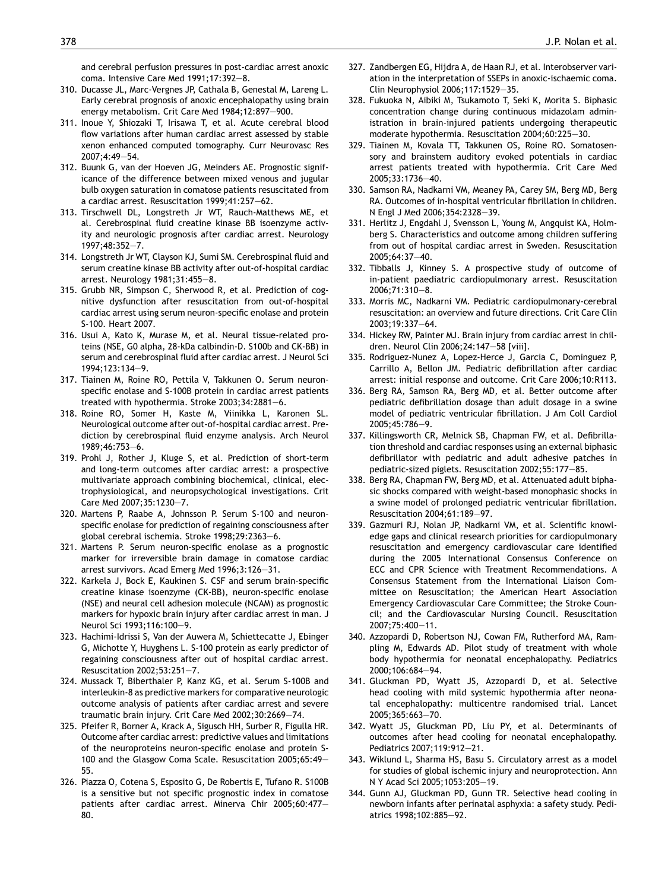<span id="page-28-0"></span>and cerebral perfusion pressures in post-cardiac arrest anoxic coma. Intensive Care Med 1991;17:392—8.

- 310. Ducasse JL, Marc-Vergnes JP, Cathala B, Genestal M, Lareng L. Early cerebral prognosis of anoxic encephalopathy using brain energy metabolism. Crit Care Med 1984;12:897—900.
- 311. Inoue Y, Shiozaki T, Irisawa T, et al. Acute cerebral blood flow variations after human cardiac arrest assessed by stable xenon enhanced computed tomography. Curr Neurovasc Res 2007;4:49—54.
- 312. Buunk G, van der Hoeven JG, Meinders AE. Prognostic significance of the difference between mixed venous and jugular bulb oxygen saturation in comatose patients resuscitated from a cardiac arrest. Resuscitation 1999;41:257—62.
- 313. Tirschwell DL, Longstreth Jr WT, Rauch-Matthews ME, et al. Cerebrospinal fluid creatine kinase BB isoenzyme activity and neurologic prognosis after cardiac arrest. Neurology 1997;48:352—7.
- 314. Longstreth Jr WT, Clayson KJ, Sumi SM. Cerebrospinal fluid and serum creatine kinase BB activity after out-of-hospital cardiac arrest. Neurology 1981;31:455—8.
- 315. Grubb NR, Simpson C, Sherwood R, et al. Prediction of cognitive dysfunction after resuscitation from out-of-hospital cardiac arrest using serum neuron-specific enolase and protein S-100. Heart 2007.
- 316. Usui A, Kato K, Murase M, et al. Neural tissue-related proteins (NSE, G0 alpha, 28-kDa calbindin-D. S100b and CK-BB) in serum and cerebrospinal fluid after cardiac arrest. J Neurol Sci 1994;123:134—9.
- 317. Tiainen M, Roine RO, Pettila V, Takkunen O. Serum neuronspecific enolase and S-100B protein in cardiac arrest patients treated with hypothermia. Stroke 2003;34:2881—6.
- 318. Roine RO, Somer H, Kaste M, Viinikka L, Karonen SL. Neurological outcome after out-of-hospital cardiac arrest. Prediction by cerebrospinal fluid enzyme analysis. Arch Neurol 1989;46:753—6.
- 319. Prohl J, Rother J, Kluge S, et al. Prediction of short-term and long-term outcomes after cardiac arrest: a prospective multivariate approach combining biochemical, clinical, electrophysiological, and neuropsychological investigations. Crit Care Med 2007;35:1230—7.
- 320. Martens P, Raabe A, Johnsson P. Serum S-100 and neuronspecific enolase for prediction of regaining consciousness after global cerebral ischemia. Stroke 1998;29:2363—6.
- 321. Martens P. Serum neuron-specific enolase as a prognostic marker for irreversible brain damage in comatose cardiac arrest survivors. Acad Emerg Med 1996;3:126—31.
- 322. Karkela J, Bock E, Kaukinen S. CSF and serum brain-specific creatine kinase isoenzyme (CK-BB), neuron-specific enolase (NSE) and neural cell adhesion molecule (NCAM) as prognostic markers for hypoxic brain injury after cardiac arrest in man. J Neurol Sci 1993;116:100—9.
- 323. Hachimi-Idrissi S, Van der Auwera M, Schiettecatte J, Ebinger G, Michotte Y, Huyghens L. S-100 protein as early predictor of regaining consciousness after out of hospital cardiac arrest. Resuscitation 2002;53:251—7.
- 324. Mussack T, Biberthaler P, Kanz KG, et al. Serum S-100B and interleukin-8 as predictive markers for comparative neurologic outcome analysis of patients after cardiac arrest and severe traumatic brain injury. Crit Care Med 2002;30:2669—74.
- 325. Pfeifer R, Borner A, Krack A, Sigusch HH, Surber R, Figulla HR. Outcome after cardiac arrest: predictive values and limitations of the neuroproteins neuron-specific enolase and protein S-100 and the Glasgow Coma Scale. Resuscitation 2005;65:49— 55.
- 326. Piazza O, Cotena S, Esposito G, De Robertis E, Tufano R. S100B is a sensitive but not specific prognostic index in comatose patients after cardiac arrest. Minerva Chir 2005;60:477— 80.
- 327. Zandbergen EG, Hijdra A, de Haan RJ, et al. Interobserver variation in the interpretation of SSEPs in anoxic-ischaemic coma. Clin Neurophysiol 2006;117:1529—35.
- 328. Fukuoka N, Aibiki M, Tsukamoto T, Seki K, Morita S. Biphasic concentration change during continuous midazolam administration in brain-injured patients undergoing therapeutic moderate hypothermia. Resuscitation 2004;60:225—30.
- 329. Tiainen M, Kovala TT, Takkunen OS, Roine RO. Somatosensory and brainstem auditory evoked potentials in cardiac arrest patients treated with hypothermia. Crit Care Med 2005;33:1736—40.
- 330. Samson RA, Nadkarni VM, Meaney PA, Carey SM, Berg MD, Berg RA. Outcomes of in-hospital ventricular fibrillation in children. N Engl J Med 2006;354:2328—39.
- 331. Herlitz J, Engdahl J, Svensson L, Young M, Angquist KA, Holmberg S. Characteristics and outcome among children suffering from out of hospital cardiac arrest in Sweden. Resuscitation 2005;64:37—40.
- 332. Tibballs J, Kinney S. A prospective study of outcome of in-patient paediatric cardiopulmonary arrest. Resuscitation 2006;71:310—8.
- 333. Morris MC, Nadkarni VM. Pediatric cardiopulmonary-cerebral resuscitation: an overview and future directions. Crit Care Clin 2003;19:337—64.
- 334. Hickey RW, Painter MJ. Brain injury from cardiac arrest in children. Neurol Clin 2006;24:147—58 [viii].
- 335. Rodriguez-Nunez A, Lopez-Herce J, Garcia C, Dominguez P, Carrillo A, Bellon JM. Pediatric defibrillation after cardiac arrest: initial response and outcome. Crit Care 2006;10:R113.
- 336. Berg RA, Samson RA, Berg MD, et al. Better outcome after pediatric defibrillation dosage than adult dosage in a swine model of pediatric ventricular fibrillation. J Am Coll Cardiol 2005;45:786—9.
- 337. Killingsworth CR, Melnick SB, Chapman FW, et al. Defibrillation threshold and cardiac responses using an external biphasic defibrillator with pediatric and adult adhesive patches in pediatric-sized piglets. Resuscitation 2002;55:177—85.
- 338. Berg RA, Chapman FW, Berg MD, et al. Attenuated adult biphasic shocks compared with weight-based monophasic shocks in a swine model of prolonged pediatric ventricular fibrillation. Resuscitation 2004;61:189—97.
- 339. Gazmuri RJ, Nolan JP, Nadkarni VM, et al. Scientific knowledge gaps and clinical research priorities for cardiopulmonary resuscitation and emergency cardiovascular care identified during the 2005 International Consensus Conference on ECC and CPR Science with Treatment Recommendations. A Consensus Statement from the International Liaison Committee on Resuscitation; the American Heart Association Emergency Cardiovascular Care Committee; the Stroke Council; and the Cardiovascular Nursing Council. Resuscitation 2007;75:400—11.
- 340. Azzopardi D, Robertson NJ, Cowan FM, Rutherford MA, Rampling M, Edwards AD. Pilot study of treatment with whole body hypothermia for neonatal encephalopathy. Pediatrics 2000;106:684—94.
- 341. Gluckman PD, Wyatt JS, Azzopardi D, et al. Selective head cooling with mild systemic hypothermia after neonatal encephalopathy: multicentre randomised trial. Lancet 2005;365:663—70.
- 342. Wyatt JS, Gluckman PD, Liu PY, et al. Determinants of outcomes after head cooling for neonatal encephalopathy. Pediatrics 2007;119:912—21.
- 343. Wiklund L, Sharma HS, Basu S. Circulatory arrest as a model for studies of global ischemic injury and neuroprotection. Ann N Y Acad Sci 2005;1053:205—19.
- 344. Gunn AJ, Gluckman PD, Gunn TR. Selective head cooling in newborn infants after perinatal asphyxia: a safety study. Pediatrics 1998;102:885—92.